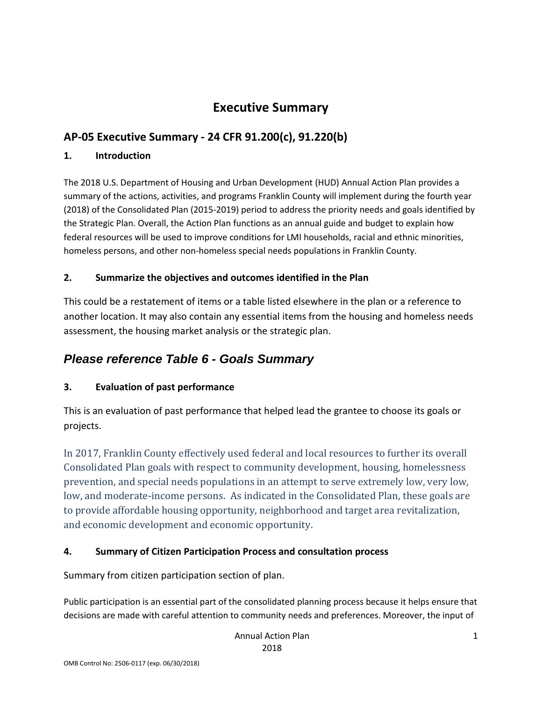# **Executive Summary**

# **AP-05 Executive Summary - 24 CFR 91.200(c), 91.220(b)**

### **1. Introduction**

The 2018 U.S. Department of Housing and Urban Development (HUD) Annual Action Plan provides a summary of the actions, activities, and programs Franklin County will implement during the fourth year (2018) of the Consolidated Plan (2015-2019) period to address the priority needs and goals identified by the Strategic Plan. Overall, the Action Plan functions as an annual guide and budget to explain how federal resources will be used to improve conditions for LMI households, racial and ethnic minorities, homeless persons, and other non-homeless special needs populations in Franklin County.

### **2. Summarize the objectives and outcomes identified in the Plan**

This could be a restatement of items or a table listed elsewhere in the plan or a reference to another location. It may also contain any essential items from the housing and homeless needs assessment, the housing market analysis or the strategic plan.

# *Please reference Table 6 - Goals Summary*

# **3. Evaluation of past performance**

This is an evaluation of past performance that helped lead the grantee to choose its goals or projects.

In 2017, Franklin County effectively used federal and local resources to further its overall Consolidated Plan goals with respect to community development, housing, homelessness prevention, and special needs populations in an attempt to serve extremely low, very low, low, and moderate-income persons. As indicated in the Consolidated Plan, these goals are to provide affordable housing opportunity, neighborhood and target area revitalization, and economic development and economic opportunity.

### **4. Summary of Citizen Participation Process and consultation process**

Summary from citizen participation section of plan.

Public participation is an essential part of the consolidated planning process because it helps ensure that decisions are made with careful attention to community needs and preferences. Moreover, the input of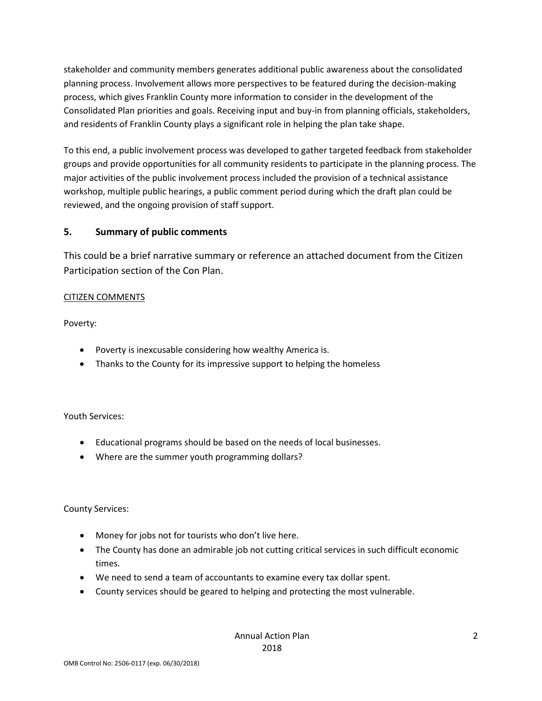stakeholder and community members generates additional public awareness about the consolidated planning process. Involvement allows more perspectives to be featured during the decision-making process, which gives Franklin County more information to consider in the development of the Consolidated Plan priorities and goals. Receiving input and buy-in from planning officials, stakeholders, and residents of Franklin County plays a significant role in helping the plan take shape.

To this end, a public involvement process was developed to gather targeted feedback from stakeholder groups and provide opportunities for all community residents to participate in the planning process. The major activities of the public involvement process included the provision of a technical assistance workshop, multiple public hearings, a public comment period during which the draft plan could be reviewed, and the ongoing provision of staff support.

### **5. Summary of public comments**

This could be a brief narrative summary or reference an attached document from the Citizen Participation section of the Con Plan.

### CITIZEN COMMENTS

Poverty:

- Poverty is inexcusable considering how wealthy America is.
- Thanks to the County for its impressive support to helping the homeless

Youth Services:

- Educational programs should be based on the needs of local businesses.
- Where are the summer youth programming dollars?

County Services:

- Money for jobs not for tourists who don't live here.
- The County has done an admirable job not cutting critical services in such difficult economic times.
- We need to send a team of accountants to examine every tax dollar spent.
- County services should be geared to helping and protecting the most vulnerable.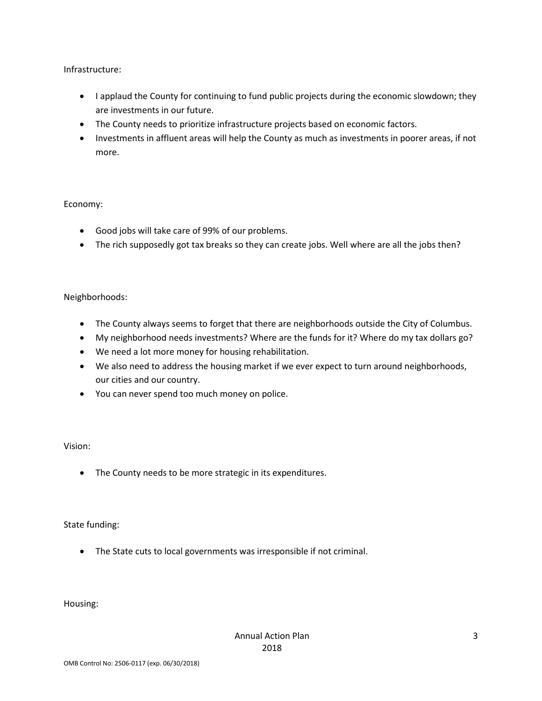Infrastructure:

- I applaud the County for continuing to fund public projects during the economic slowdown; they are investments in our future.
- The County needs to prioritize infrastructure projects based on economic factors.
- Investments in affluent areas will help the County as much as investments in poorer areas, if not more.

#### Economy:

- Good jobs will take care of 99% of our problems.
- The rich supposedly got tax breaks so they can create jobs. Well where are all the jobs then?

### Neighborhoods:

- The County always seems to forget that there are neighborhoods outside the City of Columbus.
- My neighborhood needs investments? Where are the funds for it? Where do my tax dollars go?
- We need a lot more money for housing rehabilitation.
- We also need to address the housing market if we ever expect to turn around neighborhoods, our cities and our country.
- You can never spend too much money on police.

### Vision:

• The County needs to be more strategic in its expenditures.

#### State funding:

• The State cuts to local governments was irresponsible if not criminal.

Housing: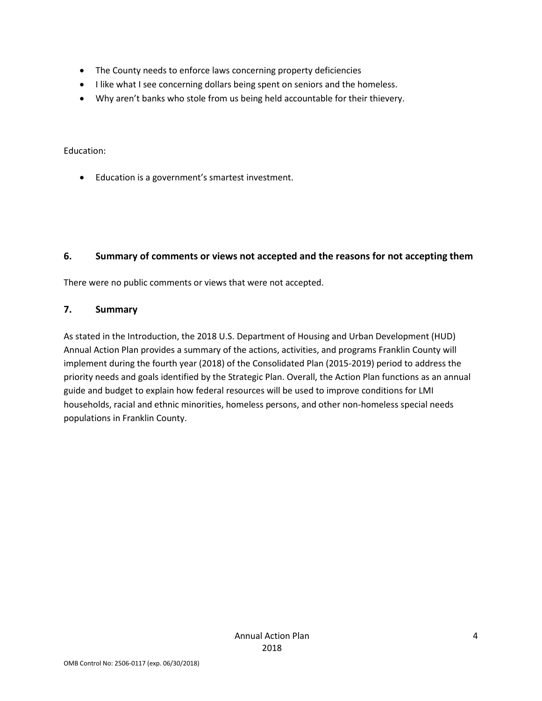- The County needs to enforce laws concerning property deficiencies
- I like what I see concerning dollars being spent on seniors and the homeless.
- Why aren't banks who stole from us being held accountable for their thievery.

#### Education:

• Education is a government's smartest investment.

### **6. Summary of comments or views not accepted and the reasons for not accepting them**

There were no public comments or views that were not accepted.

### **7. Summary**

As stated in the Introduction, the 2018 U.S. Department of Housing and Urban Development (HUD) Annual Action Plan provides a summary of the actions, activities, and programs Franklin County will implement during the fourth year (2018) of the Consolidated Plan (2015-2019) period to address the priority needs and goals identified by the Strategic Plan. Overall, the Action Plan functions as an annual guide and budget to explain how federal resources will be used to improve conditions for LMI households, racial and ethnic minorities, homeless persons, and other non-homeless special needs populations in Franklin County.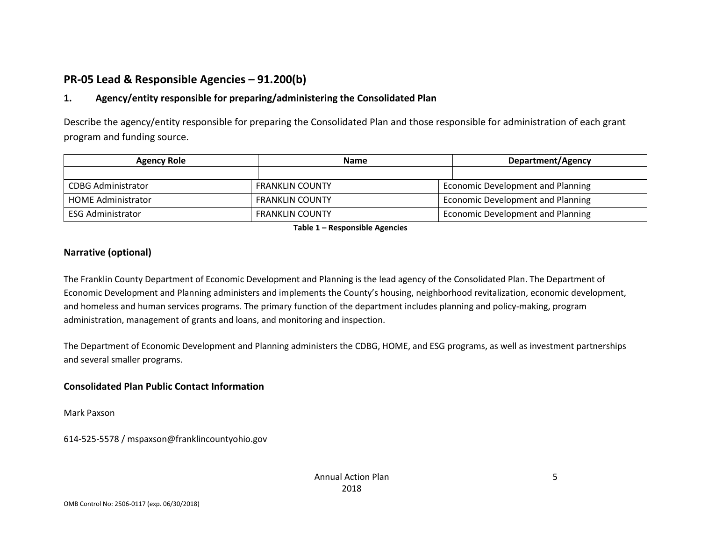# **PR-05 Lead & Responsible Agencies – 91.200(b)**

### **1. Agency/entity responsible for preparing/administering the Consolidated Plan**

Describe the agency/entity responsible for preparing the Consolidated Plan and those responsible for administration of each grant program and funding source.

| <b>Agency Role</b>        | <b>Name</b>            | Department/Agency                 |
|---------------------------|------------------------|-----------------------------------|
|                           |                        |                                   |
| <b>CDBG Administrator</b> | <b>FRANKLIN COUNTY</b> | Economic Development and Planning |
| <b>HOME Administrator</b> | <b>FRANKLIN COUNTY</b> | Economic Development and Planning |
| <b>ESG Administrator</b>  | FRANKLIN COUNTY        | Economic Development and Planning |

**Table 1 – Responsible Agencies**

### **Narrative (optional)**

The Franklin County Department of Economic Development and Planning is the lead agency of the Consolidated Plan. The Department of Economic Development and Planning administers and implements the County's housing, neighborhood revitalization, economic development, and homeless and human services programs. The primary function of the department includes planning and policy-making, program administration, management of grants and loans, and monitoring and inspection.

The Department of Economic Development and Planning administers the CDBG, HOME, and ESG programs, as well as investment partnerships and several smaller programs.

### **Consolidated Plan Public Contact Information**

Mark Paxson

614-525-5578 / mspaxson@franklincountyohio.gov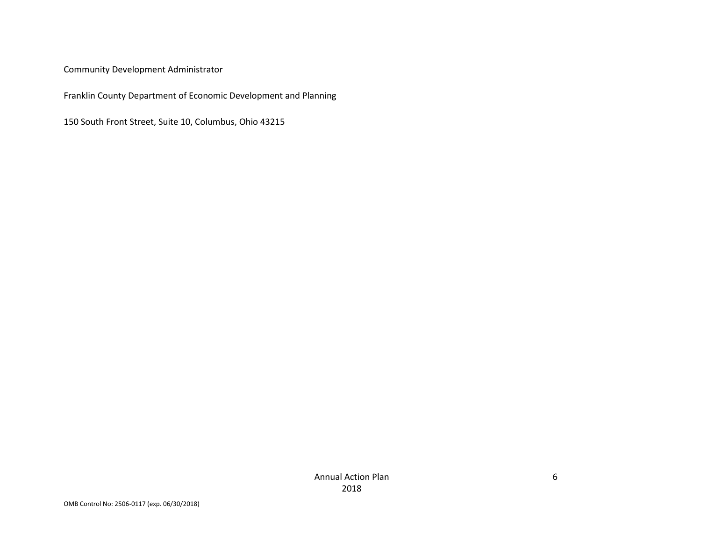Community Development Administrator

Franklin County Department of Economic Development and Planning

150 South Front Street, Suite 10, Columbus, Ohio 43215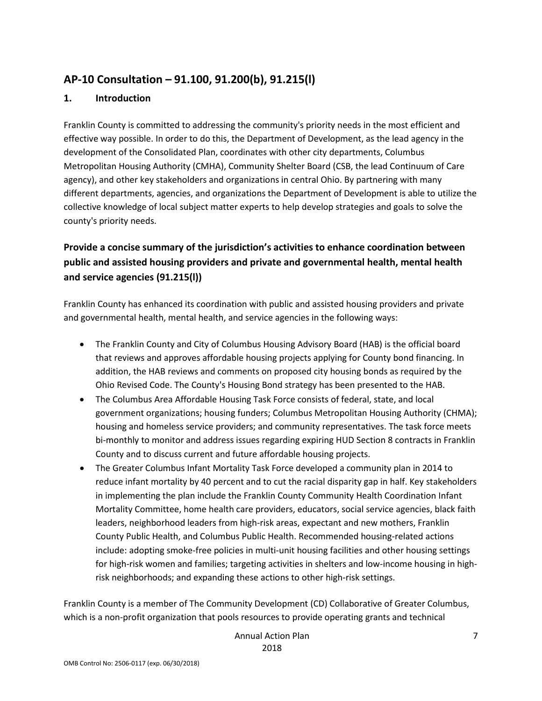# **AP-10 Consultation – 91.100, 91.200(b), 91.215(l)**

### **1. Introduction**

Franklin County is committed to addressing the community's priority needs in the most efficient and effective way possible. In order to do this, the Department of Development, as the lead agency in the development of the Consolidated Plan, coordinates with other city departments, Columbus Metropolitan Housing Authority (CMHA), Community Shelter Board (CSB, the lead Continuum of Care agency), and other key stakeholders and organizations in central Ohio. By partnering with many different departments, agencies, and organizations the Department of Development is able to utilize the collective knowledge of local subject matter experts to help develop strategies and goals to solve the county's priority needs.

# **Provide a concise summary of the jurisdiction's activities to enhance coordination between public and assisted housing providers and private and governmental health, mental health and service agencies (91.215(l))**

Franklin County has enhanced its coordination with public and assisted housing providers and private and governmental health, mental health, and service agencies in the following ways:

- The Franklin County and City of Columbus Housing Advisory Board (HAB) is the official board that reviews and approves affordable housing projects applying for County bond financing. In addition, the HAB reviews and comments on proposed city housing bonds as required by the Ohio Revised Code. The County's Housing Bond strategy has been presented to the HAB.
- The Columbus Area Affordable Housing Task Force consists of federal, state, and local government organizations; housing funders; Columbus Metropolitan Housing Authority (CHMA); housing and homeless service providers; and community representatives. The task force meets bi-monthly to monitor and address issues regarding expiring HUD Section 8 contracts in Franklin County and to discuss current and future affordable housing projects.
- The Greater Columbus Infant Mortality Task Force developed a community plan in 2014 to reduce infant mortality by 40 percent and to cut the racial disparity gap in half. Key stakeholders in implementing the plan include the Franklin County Community Health Coordination Infant Mortality Committee, home health care providers, educators, social service agencies, black faith leaders, neighborhood leaders from high-risk areas, expectant and new mothers, Franklin County Public Health, and Columbus Public Health. Recommended housing-related actions include: adopting smoke-free policies in multi-unit housing facilities and other housing settings for high-risk women and families; targeting activities in shelters and low-income housing in highrisk neighborhoods; and expanding these actions to other high-risk settings.

Franklin County is a member of The Community Development (CD) Collaborative of Greater Columbus, which is a non-profit organization that pools resources to provide operating grants and technical

> Annual Action Plan 2018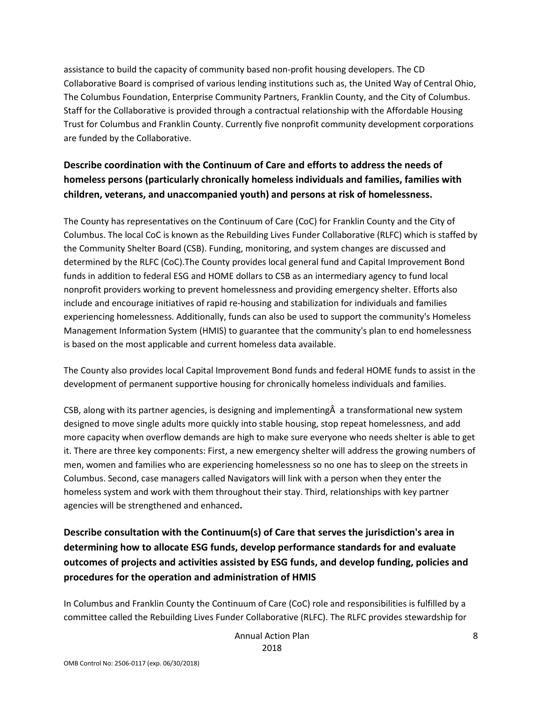assistance to build the capacity of community based non-profit housing developers. The CD Collaborative Board is comprised of various lending institutions such as, the United Way of Central Ohio, The Columbus Foundation, Enterprise Community Partners, Franklin County, and the City of Columbus. Staff for the Collaborative is provided through a contractual relationship with the Affordable Housing Trust for Columbus and Franklin County. Currently five nonprofit community development corporations are funded by the Collaborative.

# **Describe coordination with the Continuum of Care and efforts to address the needs of homeless persons (particularly chronically homeless individuals and families, families with children, veterans, and unaccompanied youth) and persons at risk of homelessness.**

The County has representatives on the Continuum of Care (CoC) for Franklin County and the City of Columbus. The local CoC is known as the Rebuilding Lives Funder Collaborative (RLFC) which is staffed by the Community Shelter Board (CSB). Funding, monitoring, and system changes are discussed and determined by the RLFC (CoC).The County provides local general fund and Capital Improvement Bond funds in addition to federal ESG and HOME dollars to CSB as an intermediary agency to fund local nonprofit providers working to prevent homelessness and providing emergency shelter. Efforts also include and encourage initiatives of rapid re-housing and stabilization for individuals and families experiencing homelessness. Additionally, funds can also be used to support the community's Homeless Management Information System (HMIS) to guarantee that the community's plan to end homelessness is based on the most applicable and current homeless data available.

The County also provides local Capital Improvement Bond funds and federal HOME funds to assist in the development of permanent supportive housing for chronically homeless individuals and families.

CSB, along with its partner agencies, is designing and implementingÂ a transformational new system designed to move single adults more quickly into stable housing, stop repeat homelessness, and add more capacity when overflow demands are high to make sure everyone who needs shelter is able to get it. There are three key components: First, a new emergency shelter will address the growing numbers of men, women and families who are experiencing homelessness so no one has to sleep on the streets in Columbus. Second, case managers called Navigators will link with a person when they enter the homeless system and work with them throughout their stay. Third, relationships with key partner agencies will be strengthened and enhanced**.**

**Describe consultation with the Continuum(s) of Care that serves the jurisdiction's area in determining how to allocate ESG funds, develop performance standards for and evaluate outcomes of projects and activities assisted by ESG funds, and develop funding, policies and procedures for the operation and administration of HMIS**

In Columbus and Franklin County the Continuum of Care (CoC) role and responsibilities is fulfilled by a committee called the Rebuilding Lives Funder Collaborative (RLFC). The RLFC provides stewardship for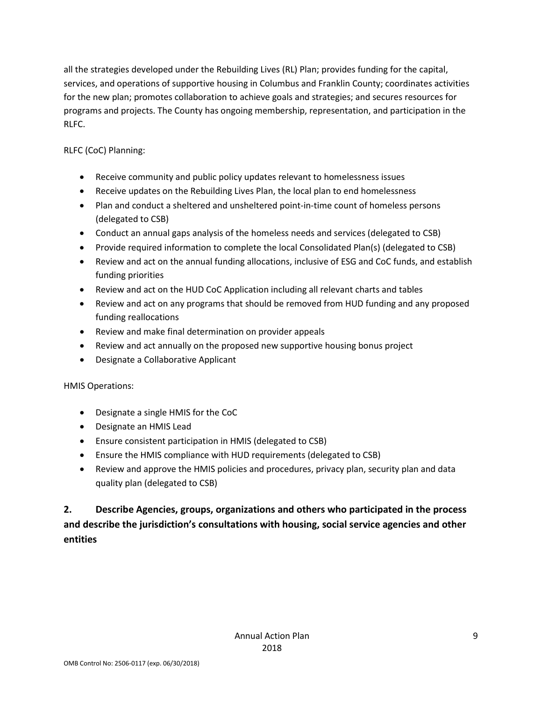all the strategies developed under the Rebuilding Lives (RL) Plan; provides funding for the capital, services, and operations of supportive housing in Columbus and Franklin County; coordinates activities for the new plan; promotes collaboration to achieve goals and strategies; and secures resources for programs and projects. The County has ongoing membership, representation, and participation in the RLFC.

RLFC (CoC) Planning:

- Receive community and public policy updates relevant to homelessness issues
- Receive updates on the Rebuilding Lives Plan, the local plan to end homelessness
- Plan and conduct a sheltered and unsheltered point-in-time count of homeless persons (delegated to CSB)
- Conduct an annual gaps analysis of the homeless needs and services (delegated to CSB)
- Provide required information to complete the local Consolidated Plan(s) (delegated to CSB)
- Review and act on the annual funding allocations, inclusive of ESG and CoC funds, and establish funding priorities
- Review and act on the HUD CoC Application including all relevant charts and tables
- Review and act on any programs that should be removed from HUD funding and any proposed funding reallocations
- Review and make final determination on provider appeals
- Review and act annually on the proposed new supportive housing bonus project
- Designate a Collaborative Applicant

HMIS Operations:

- Designate a single HMIS for the CoC
- Designate an HMIS Lead
- Ensure consistent participation in HMIS (delegated to CSB)
- Ensure the HMIS compliance with HUD requirements (delegated to CSB)
- Review and approve the HMIS policies and procedures, privacy plan, security plan and data quality plan (delegated to CSB)

**2. Describe Agencies, groups, organizations and others who participated in the process and describe the jurisdiction's consultations with housing, social service agencies and other entities**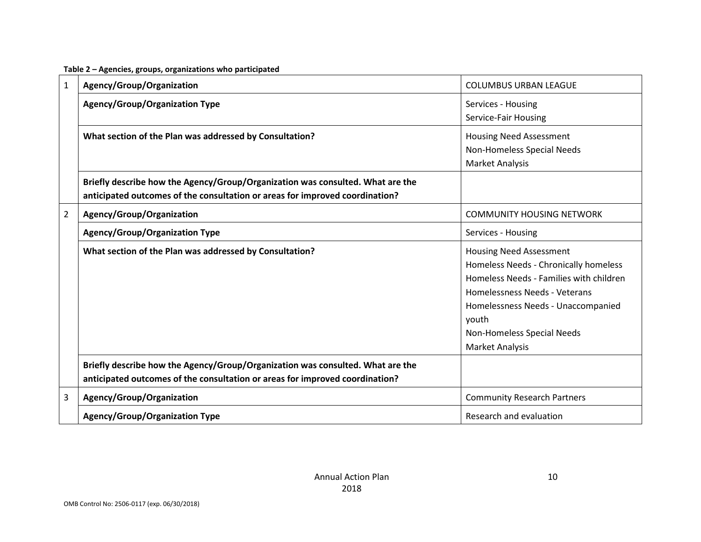#### **Table 2 – Agencies, groups, organizations who participated**

| $\mathbf{1}$   | Agency/Group/Organization                                                                                                                                      | <b>COLUMBUS URBAN LEAGUE</b>                                                                                                                                                                                                                               |
|----------------|----------------------------------------------------------------------------------------------------------------------------------------------------------------|------------------------------------------------------------------------------------------------------------------------------------------------------------------------------------------------------------------------------------------------------------|
|                | <b>Agency/Group/Organization Type</b>                                                                                                                          | Services - Housing<br>Service-Fair Housing                                                                                                                                                                                                                 |
|                | What section of the Plan was addressed by Consultation?                                                                                                        | <b>Housing Need Assessment</b><br>Non-Homeless Special Needs<br><b>Market Analysis</b>                                                                                                                                                                     |
|                | Briefly describe how the Agency/Group/Organization was consulted. What are the<br>anticipated outcomes of the consultation or areas for improved coordination? |                                                                                                                                                                                                                                                            |
| $\overline{2}$ | Agency/Group/Organization                                                                                                                                      | <b>COMMUNITY HOUSING NETWORK</b>                                                                                                                                                                                                                           |
|                | <b>Agency/Group/Organization Type</b>                                                                                                                          | Services - Housing                                                                                                                                                                                                                                         |
|                | What section of the Plan was addressed by Consultation?                                                                                                        | <b>Housing Need Assessment</b><br>Homeless Needs - Chronically homeless<br>Homeless Needs - Families with children<br>Homelessness Needs - Veterans<br>Homelessness Needs - Unaccompanied<br>youth<br>Non-Homeless Special Needs<br><b>Market Analysis</b> |
|                | Briefly describe how the Agency/Group/Organization was consulted. What are the<br>anticipated outcomes of the consultation or areas for improved coordination? |                                                                                                                                                                                                                                                            |
| 3              | Agency/Group/Organization                                                                                                                                      | <b>Community Research Partners</b>                                                                                                                                                                                                                         |
|                | <b>Agency/Group/Organization Type</b>                                                                                                                          | Research and evaluation                                                                                                                                                                                                                                    |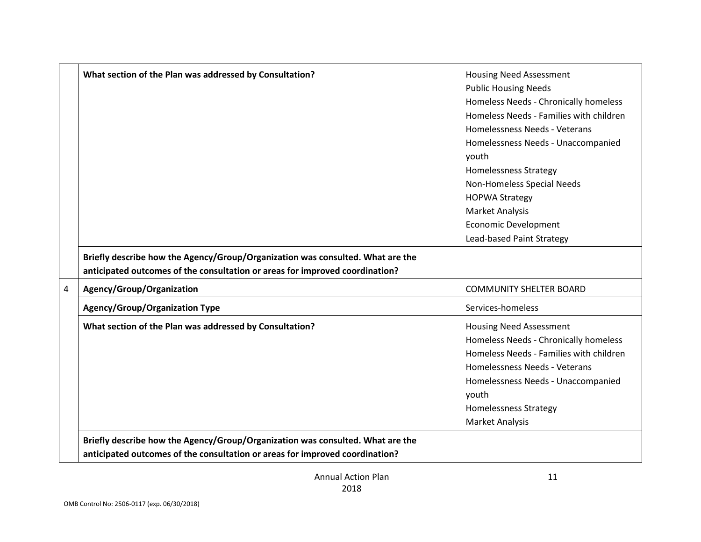|   | What section of the Plan was addressed by Consultation?                        | <b>Housing Need Assessment</b>          |
|---|--------------------------------------------------------------------------------|-----------------------------------------|
|   |                                                                                | <b>Public Housing Needs</b>             |
|   |                                                                                | Homeless Needs - Chronically homeless   |
|   |                                                                                | Homeless Needs - Families with children |
|   |                                                                                | Homelessness Needs - Veterans           |
|   |                                                                                | Homelessness Needs - Unaccompanied      |
|   |                                                                                | youth                                   |
|   |                                                                                | <b>Homelessness Strategy</b>            |
|   |                                                                                | Non-Homeless Special Needs              |
|   |                                                                                | <b>HOPWA Strategy</b>                   |
|   |                                                                                | <b>Market Analysis</b>                  |
|   |                                                                                | <b>Economic Development</b>             |
|   |                                                                                | Lead-based Paint Strategy               |
|   | Briefly describe how the Agency/Group/Organization was consulted. What are the |                                         |
|   | anticipated outcomes of the consultation or areas for improved coordination?   |                                         |
| 4 | Agency/Group/Organization                                                      | <b>COMMUNITY SHELTER BOARD</b>          |
|   | <b>Agency/Group/Organization Type</b>                                          | Services-homeless                       |
|   |                                                                                |                                         |
|   | What section of the Plan was addressed by Consultation?                        | <b>Housing Need Assessment</b>          |
|   |                                                                                | Homeless Needs - Chronically homeless   |
|   |                                                                                | Homeless Needs - Families with children |
|   |                                                                                | Homelessness Needs - Veterans           |
|   |                                                                                | Homelessness Needs - Unaccompanied      |
|   |                                                                                | youth                                   |
|   |                                                                                | <b>Homelessness Strategy</b>            |
|   |                                                                                | <b>Market Analysis</b>                  |
|   | Briefly describe how the Agency/Group/Organization was consulted. What are the |                                         |
|   | anticipated outcomes of the consultation or areas for improved coordination?   |                                         |
|   |                                                                                |                                         |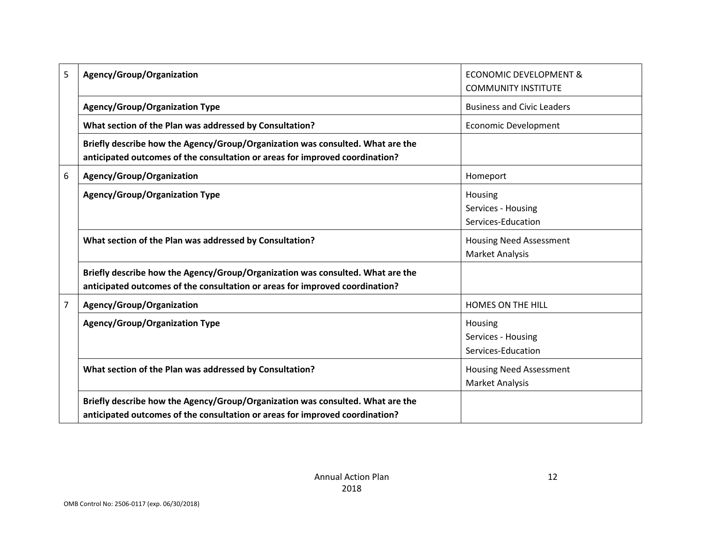| 5              | Agency/Group/Organization                                                                                                                                      | <b>ECONOMIC DEVELOPMENT &amp;</b><br><b>COMMUNITY INSTITUTE</b> |
|----------------|----------------------------------------------------------------------------------------------------------------------------------------------------------------|-----------------------------------------------------------------|
|                | <b>Agency/Group/Organization Type</b>                                                                                                                          | <b>Business and Civic Leaders</b>                               |
|                | What section of the Plan was addressed by Consultation?                                                                                                        | <b>Economic Development</b>                                     |
|                | Briefly describe how the Agency/Group/Organization was consulted. What are the<br>anticipated outcomes of the consultation or areas for improved coordination? |                                                                 |
| 6              | Agency/Group/Organization                                                                                                                                      | Homeport                                                        |
|                | <b>Agency/Group/Organization Type</b>                                                                                                                          | Housing<br>Services - Housing<br>Services-Education             |
|                | What section of the Plan was addressed by Consultation?                                                                                                        | <b>Housing Need Assessment</b><br>Market Analysis               |
|                | Briefly describe how the Agency/Group/Organization was consulted. What are the<br>anticipated outcomes of the consultation or areas for improved coordination? |                                                                 |
| $\overline{7}$ | Agency/Group/Organization                                                                                                                                      | <b>HOMES ON THE HILL</b>                                        |
|                | <b>Agency/Group/Organization Type</b>                                                                                                                          | Housing<br>Services - Housing<br>Services-Education             |
|                | What section of the Plan was addressed by Consultation?                                                                                                        | <b>Housing Need Assessment</b><br><b>Market Analysis</b>        |
|                | Briefly describe how the Agency/Group/Organization was consulted. What are the<br>anticipated outcomes of the consultation or areas for improved coordination? |                                                                 |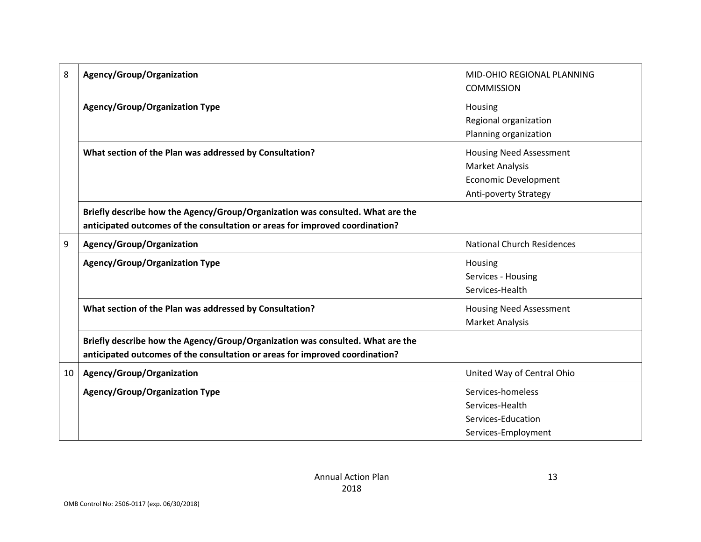| 8  | Agency/Group/Organization                                                                                                                                      | MID-OHIO REGIONAL PLANNING<br><b>COMMISSION</b>                                                                  |
|----|----------------------------------------------------------------------------------------------------------------------------------------------------------------|------------------------------------------------------------------------------------------------------------------|
|    | Agency/Group/Organization Type                                                                                                                                 | Housing<br>Regional organization<br>Planning organization                                                        |
|    | What section of the Plan was addressed by Consultation?                                                                                                        | <b>Housing Need Assessment</b><br><b>Market Analysis</b><br><b>Economic Development</b><br>Anti-poverty Strategy |
|    | Briefly describe how the Agency/Group/Organization was consulted. What are the<br>anticipated outcomes of the consultation or areas for improved coordination? |                                                                                                                  |
| 9  | Agency/Group/Organization                                                                                                                                      | <b>National Church Residences</b>                                                                                |
|    | <b>Agency/Group/Organization Type</b>                                                                                                                          | Housing<br>Services - Housing<br>Services-Health                                                                 |
|    | What section of the Plan was addressed by Consultation?                                                                                                        | <b>Housing Need Assessment</b><br><b>Market Analysis</b>                                                         |
|    | Briefly describe how the Agency/Group/Organization was consulted. What are the<br>anticipated outcomes of the consultation or areas for improved coordination? |                                                                                                                  |
| 10 | Agency/Group/Organization                                                                                                                                      | United Way of Central Ohio                                                                                       |
|    | <b>Agency/Group/Organization Type</b>                                                                                                                          | Services-homeless<br>Services-Health<br>Services-Education<br>Services-Employment                                |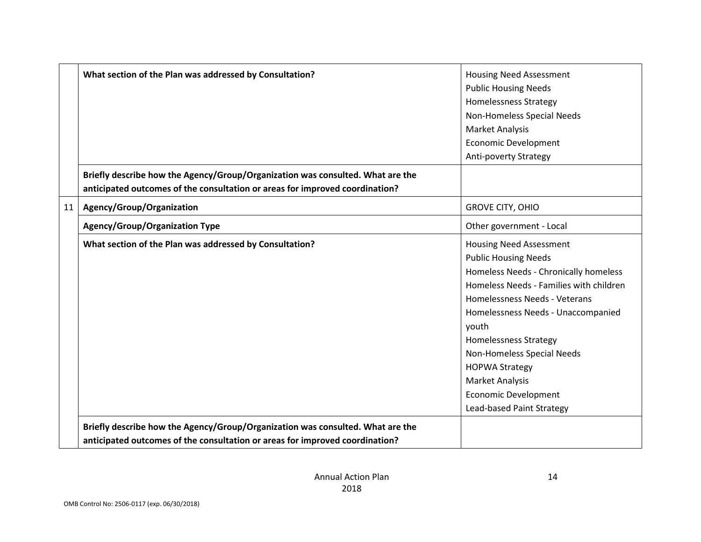|    | What section of the Plan was addressed by Consultation?                        | <b>Housing Need Assessment</b>          |
|----|--------------------------------------------------------------------------------|-----------------------------------------|
|    |                                                                                |                                         |
|    |                                                                                | <b>Public Housing Needs</b>             |
|    |                                                                                | <b>Homelessness Strategy</b>            |
|    |                                                                                | Non-Homeless Special Needs              |
|    |                                                                                | Market Analysis                         |
|    |                                                                                | <b>Economic Development</b>             |
|    |                                                                                | <b>Anti-poverty Strategy</b>            |
|    | Briefly describe how the Agency/Group/Organization was consulted. What are the |                                         |
|    | anticipated outcomes of the consultation or areas for improved coordination?   |                                         |
| 11 | Agency/Group/Organization                                                      | <b>GROVE CITY, OHIO</b>                 |
|    | <b>Agency/Group/Organization Type</b>                                          | Other government - Local                |
|    | What section of the Plan was addressed by Consultation?                        | <b>Housing Need Assessment</b>          |
|    |                                                                                | <b>Public Housing Needs</b>             |
|    |                                                                                | Homeless Needs - Chronically homeless   |
|    |                                                                                | Homeless Needs - Families with children |
|    |                                                                                | Homelessness Needs - Veterans           |
|    |                                                                                | Homelessness Needs - Unaccompanied      |
|    |                                                                                | youth                                   |
|    |                                                                                | <b>Homelessness Strategy</b>            |
|    |                                                                                | Non-Homeless Special Needs              |
|    |                                                                                | <b>HOPWA Strategy</b>                   |
|    |                                                                                | Market Analysis                         |
|    |                                                                                | <b>Economic Development</b>             |
|    |                                                                                | Lead-based Paint Strategy               |
|    | Briefly describe how the Agency/Group/Organization was consulted. What are the |                                         |
|    | anticipated outcomes of the consultation or areas for improved coordination?   |                                         |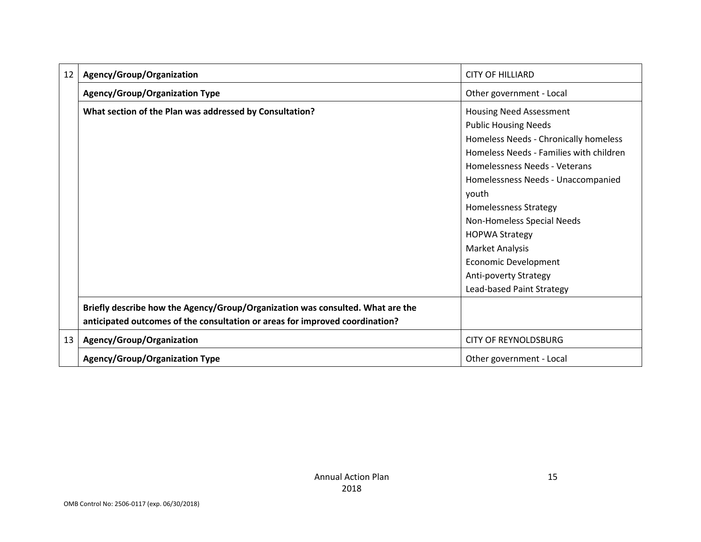| 12 | Agency/Group/Organization                                                                                                                                      | <b>CITY OF HILLIARD</b>                 |
|----|----------------------------------------------------------------------------------------------------------------------------------------------------------------|-----------------------------------------|
|    | <b>Agency/Group/Organization Type</b>                                                                                                                          | Other government - Local                |
|    | What section of the Plan was addressed by Consultation?                                                                                                        | Housing Need Assessment                 |
|    |                                                                                                                                                                | <b>Public Housing Needs</b>             |
|    |                                                                                                                                                                | Homeless Needs - Chronically homeless   |
|    |                                                                                                                                                                | Homeless Needs - Families with children |
|    |                                                                                                                                                                | Homelessness Needs - Veterans           |
|    |                                                                                                                                                                | Homelessness Needs - Unaccompanied      |
|    |                                                                                                                                                                | youth                                   |
|    |                                                                                                                                                                | Homelessness Strategy                   |
|    |                                                                                                                                                                | Non-Homeless Special Needs              |
|    |                                                                                                                                                                | <b>HOPWA Strategy</b>                   |
|    |                                                                                                                                                                | <b>Market Analysis</b>                  |
|    |                                                                                                                                                                | Economic Development                    |
|    |                                                                                                                                                                | Anti-poverty Strategy                   |
|    |                                                                                                                                                                | Lead-based Paint Strategy               |
|    | Briefly describe how the Agency/Group/Organization was consulted. What are the<br>anticipated outcomes of the consultation or areas for improved coordination? |                                         |
| 13 | Agency/Group/Organization                                                                                                                                      | <b>CITY OF REYNOLDSBURG</b>             |
|    | <b>Agency/Group/Organization Type</b>                                                                                                                          | Other government - Local                |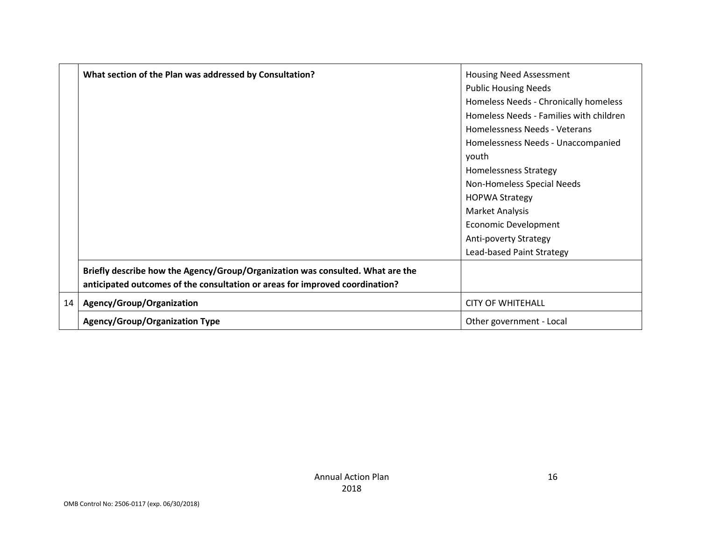|    | What section of the Plan was addressed by Consultation?                        | <b>Housing Need Assessment</b>          |
|----|--------------------------------------------------------------------------------|-----------------------------------------|
|    |                                                                                | <b>Public Housing Needs</b>             |
|    |                                                                                | Homeless Needs - Chronically homeless   |
|    |                                                                                | Homeless Needs - Families with children |
|    |                                                                                | Homelessness Needs - Veterans           |
|    |                                                                                | Homelessness Needs - Unaccompanied      |
|    |                                                                                | youth                                   |
|    |                                                                                | <b>Homelessness Strategy</b>            |
|    |                                                                                | Non-Homeless Special Needs              |
|    |                                                                                | <b>HOPWA Strategy</b>                   |
|    |                                                                                | Market Analysis                         |
|    |                                                                                | Economic Development                    |
|    |                                                                                | Anti-poverty Strategy                   |
|    |                                                                                | Lead-based Paint Strategy               |
|    | Briefly describe how the Agency/Group/Organization was consulted. What are the |                                         |
|    | anticipated outcomes of the consultation or areas for improved coordination?   |                                         |
| 14 | Agency/Group/Organization                                                      | <b>CITY OF WHITEHALL</b>                |
|    | <b>Agency/Group/Organization Type</b>                                          | Other government - Local                |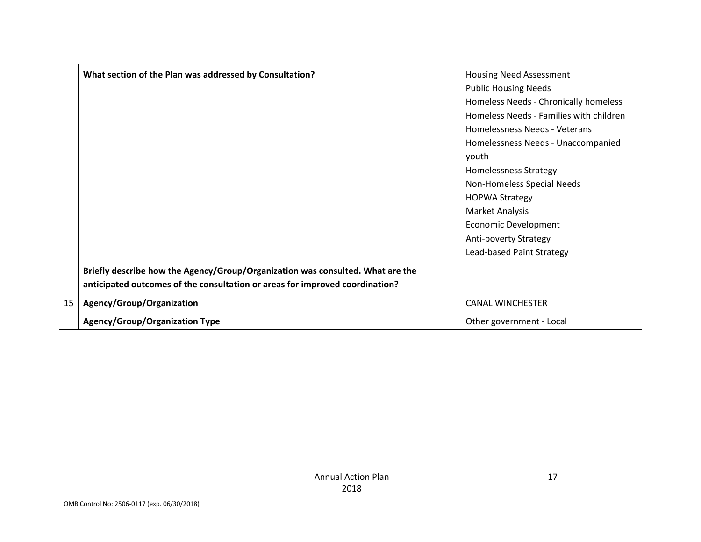|    | What section of the Plan was addressed by Consultation?                        | <b>Housing Need Assessment</b>          |
|----|--------------------------------------------------------------------------------|-----------------------------------------|
|    |                                                                                | <b>Public Housing Needs</b>             |
|    |                                                                                | Homeless Needs - Chronically homeless   |
|    |                                                                                | Homeless Needs - Families with children |
|    |                                                                                | Homelessness Needs - Veterans           |
|    |                                                                                | Homelessness Needs - Unaccompanied      |
|    |                                                                                | youth                                   |
|    |                                                                                | <b>Homelessness Strategy</b>            |
|    |                                                                                | Non-Homeless Special Needs              |
|    |                                                                                | <b>HOPWA Strategy</b>                   |
|    |                                                                                | Market Analysis                         |
|    |                                                                                | Economic Development                    |
|    |                                                                                | <b>Anti-poverty Strategy</b>            |
|    |                                                                                | Lead-based Paint Strategy               |
|    | Briefly describe how the Agency/Group/Organization was consulted. What are the |                                         |
|    | anticipated outcomes of the consultation or areas for improved coordination?   |                                         |
| 15 | Agency/Group/Organization                                                      | <b>CANAL WINCHESTER</b>                 |
|    | <b>Agency/Group/Organization Type</b>                                          | Other government - Local                |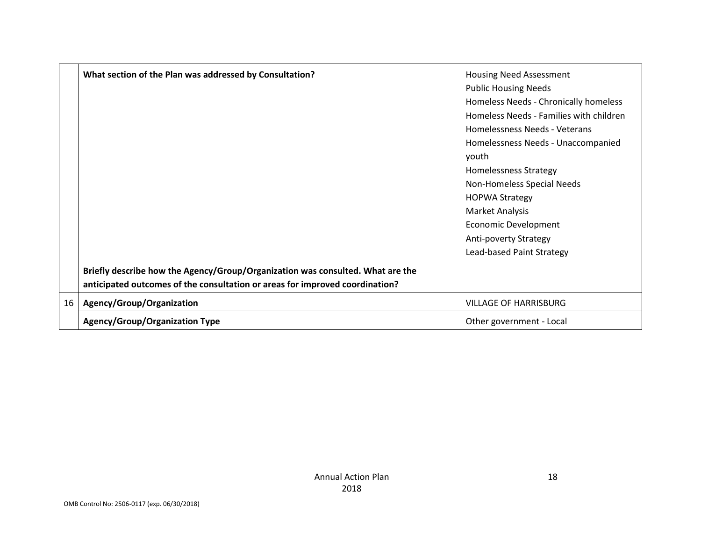|    | What section of the Plan was addressed by Consultation?                        | <b>Housing Need Assessment</b>          |
|----|--------------------------------------------------------------------------------|-----------------------------------------|
|    |                                                                                | <b>Public Housing Needs</b>             |
|    |                                                                                | Homeless Needs - Chronically homeless   |
|    |                                                                                | Homeless Needs - Families with children |
|    |                                                                                | Homelessness Needs - Veterans           |
|    |                                                                                | Homelessness Needs - Unaccompanied      |
|    |                                                                                | youth                                   |
|    |                                                                                | <b>Homelessness Strategy</b>            |
|    |                                                                                | Non-Homeless Special Needs              |
|    |                                                                                | <b>HOPWA Strategy</b>                   |
|    |                                                                                | Market Analysis                         |
|    |                                                                                | Economic Development                    |
|    |                                                                                | <b>Anti-poverty Strategy</b>            |
|    |                                                                                | Lead-based Paint Strategy               |
|    | Briefly describe how the Agency/Group/Organization was consulted. What are the |                                         |
|    | anticipated outcomes of the consultation or areas for improved coordination?   |                                         |
| 16 | Agency/Group/Organization                                                      | <b>VILLAGE OF HARRISBURG</b>            |
|    | <b>Agency/Group/Organization Type</b>                                          | Other government - Local                |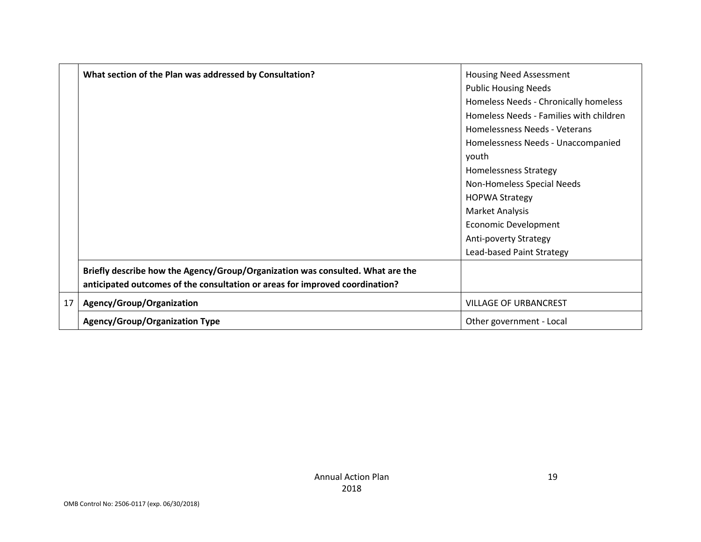|    | What section of the Plan was addressed by Consultation?                        | <b>Housing Need Assessment</b>          |
|----|--------------------------------------------------------------------------------|-----------------------------------------|
|    |                                                                                | <b>Public Housing Needs</b>             |
|    |                                                                                | Homeless Needs - Chronically homeless   |
|    |                                                                                | Homeless Needs - Families with children |
|    |                                                                                | Homelessness Needs - Veterans           |
|    |                                                                                | Homelessness Needs - Unaccompanied      |
|    |                                                                                | youth                                   |
|    |                                                                                | <b>Homelessness Strategy</b>            |
|    |                                                                                | Non-Homeless Special Needs              |
|    |                                                                                | <b>HOPWA Strategy</b>                   |
|    |                                                                                | Market Analysis                         |
|    |                                                                                | Economic Development                    |
|    |                                                                                | Anti-poverty Strategy                   |
|    |                                                                                | Lead-based Paint Strategy               |
|    | Briefly describe how the Agency/Group/Organization was consulted. What are the |                                         |
|    | anticipated outcomes of the consultation or areas for improved coordination?   |                                         |
| 17 | Agency/Group/Organization                                                      | <b>VILLAGE OF URBANCREST</b>            |
|    | <b>Agency/Group/Organization Type</b>                                          | Other government - Local                |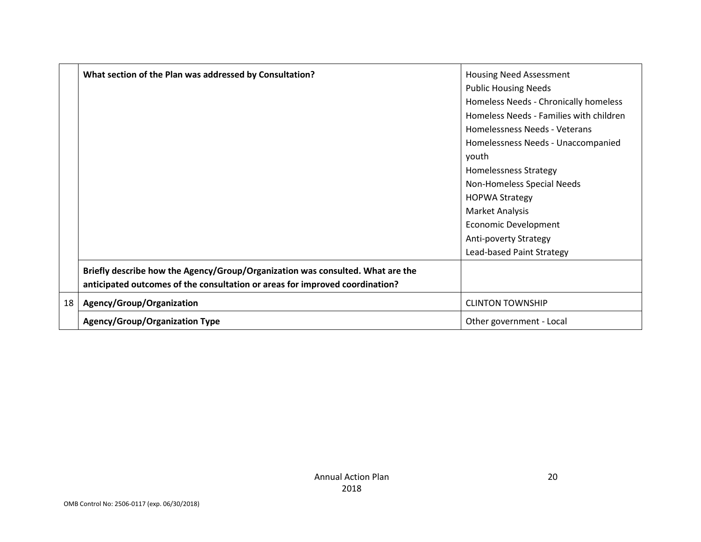|    | What section of the Plan was addressed by Consultation?                        | <b>Housing Need Assessment</b>          |
|----|--------------------------------------------------------------------------------|-----------------------------------------|
|    |                                                                                | <b>Public Housing Needs</b>             |
|    |                                                                                | Homeless Needs - Chronically homeless   |
|    |                                                                                | Homeless Needs - Families with children |
|    |                                                                                | Homelessness Needs - Veterans           |
|    |                                                                                | Homelessness Needs - Unaccompanied      |
|    |                                                                                | youth                                   |
|    |                                                                                | <b>Homelessness Strategy</b>            |
|    |                                                                                | Non-Homeless Special Needs              |
|    |                                                                                | <b>HOPWA Strategy</b>                   |
|    |                                                                                | Market Analysis                         |
|    |                                                                                | Economic Development                    |
|    |                                                                                | Anti-poverty Strategy                   |
|    |                                                                                | Lead-based Paint Strategy               |
|    | Briefly describe how the Agency/Group/Organization was consulted. What are the |                                         |
|    | anticipated outcomes of the consultation or areas for improved coordination?   |                                         |
| 18 | Agency/Group/Organization                                                      | <b>CLINTON TOWNSHIP</b>                 |
|    | <b>Agency/Group/Organization Type</b>                                          | Other government - Local                |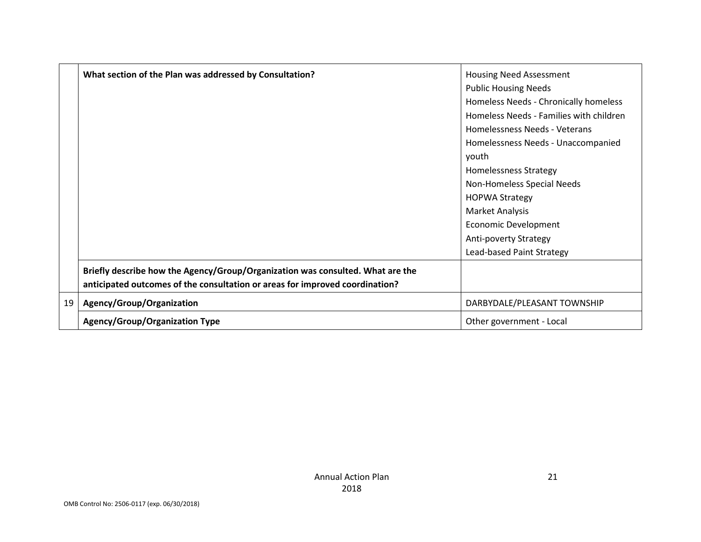|    | What section of the Plan was addressed by Consultation?                        | <b>Housing Need Assessment</b>          |
|----|--------------------------------------------------------------------------------|-----------------------------------------|
|    |                                                                                | <b>Public Housing Needs</b>             |
|    |                                                                                | Homeless Needs - Chronically homeless   |
|    |                                                                                | Homeless Needs - Families with children |
|    |                                                                                | Homelessness Needs - Veterans           |
|    |                                                                                | Homelessness Needs - Unaccompanied      |
|    |                                                                                | youth                                   |
|    |                                                                                | <b>Homelessness Strategy</b>            |
|    |                                                                                | Non-Homeless Special Needs              |
|    |                                                                                | <b>HOPWA Strategy</b>                   |
|    |                                                                                | Market Analysis                         |
|    |                                                                                | Economic Development                    |
|    |                                                                                | Anti-poverty Strategy                   |
|    |                                                                                | Lead-based Paint Strategy               |
|    | Briefly describe how the Agency/Group/Organization was consulted. What are the |                                         |
|    | anticipated outcomes of the consultation or areas for improved coordination?   |                                         |
| 19 | Agency/Group/Organization                                                      | DARBYDALE/PLEASANT TOWNSHIP             |
|    | <b>Agency/Group/Organization Type</b>                                          | Other government - Local                |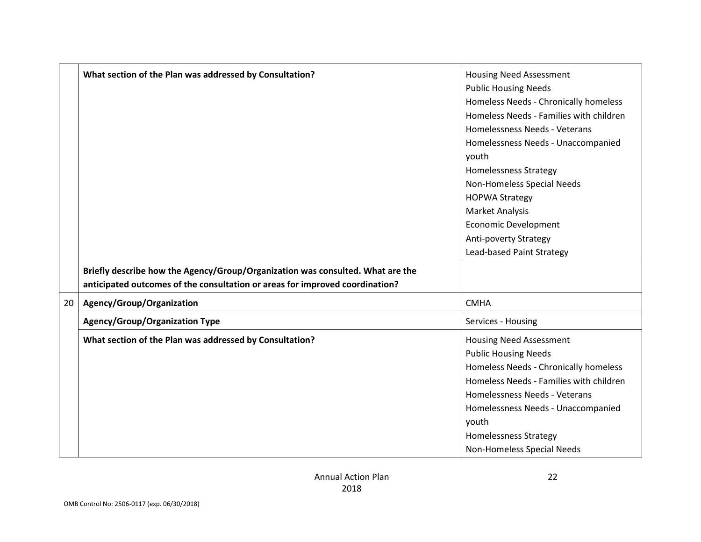|    | What section of the Plan was addressed by Consultation?                        | <b>Housing Need Assessment</b>          |
|----|--------------------------------------------------------------------------------|-----------------------------------------|
|    |                                                                                | <b>Public Housing Needs</b>             |
|    |                                                                                | Homeless Needs - Chronically homeless   |
|    |                                                                                | Homeless Needs - Families with children |
|    |                                                                                | Homelessness Needs - Veterans           |
|    |                                                                                | Homelessness Needs - Unaccompanied      |
|    |                                                                                | youth                                   |
|    |                                                                                | <b>Homelessness Strategy</b>            |
|    |                                                                                | Non-Homeless Special Needs              |
|    |                                                                                | <b>HOPWA Strategy</b>                   |
|    |                                                                                | Market Analysis                         |
|    |                                                                                | <b>Economic Development</b>             |
|    |                                                                                | Anti-poverty Strategy                   |
|    |                                                                                | Lead-based Paint Strategy               |
|    | Briefly describe how the Agency/Group/Organization was consulted. What are the |                                         |
|    | anticipated outcomes of the consultation or areas for improved coordination?   |                                         |
| 20 | Agency/Group/Organization                                                      | <b>CMHA</b>                             |
|    | <b>Agency/Group/Organization Type</b>                                          | Services - Housing                      |
|    | What section of the Plan was addressed by Consultation?                        | <b>Housing Need Assessment</b>          |
|    |                                                                                | <b>Public Housing Needs</b>             |
|    |                                                                                | Homeless Needs - Chronically homeless   |
|    |                                                                                | Homeless Needs - Families with children |
|    |                                                                                | Homelessness Needs - Veterans           |
|    |                                                                                | Homelessness Needs - Unaccompanied      |
|    |                                                                                | youth                                   |
|    |                                                                                | <b>Homelessness Strategy</b>            |
|    |                                                                                | Non-Homeless Special Needs              |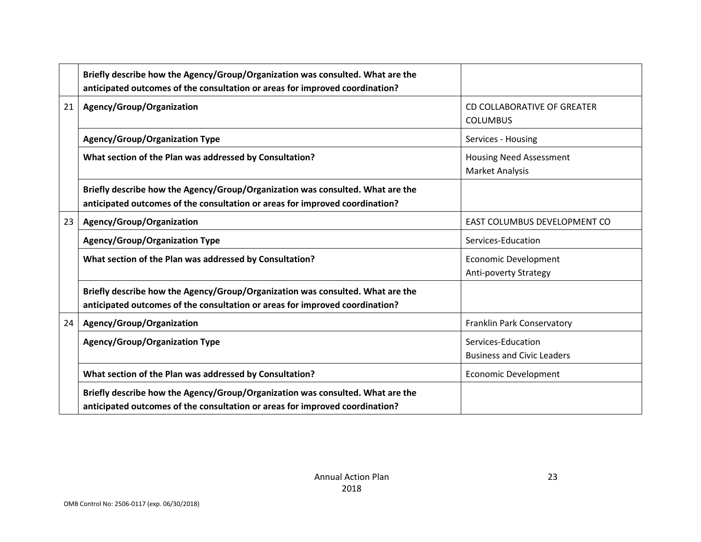|    | Briefly describe how the Agency/Group/Organization was consulted. What are the<br>anticipated outcomes of the consultation or areas for improved coordination? |                                                         |
|----|----------------------------------------------------------------------------------------------------------------------------------------------------------------|---------------------------------------------------------|
| 21 | Agency/Group/Organization                                                                                                                                      | CD COLLABORATIVE OF GREATER<br><b>COLUMBUS</b>          |
|    | <b>Agency/Group/Organization Type</b>                                                                                                                          | Services - Housing                                      |
|    | What section of the Plan was addressed by Consultation?                                                                                                        | <b>Housing Need Assessment</b><br>Market Analysis       |
|    | Briefly describe how the Agency/Group/Organization was consulted. What are the<br>anticipated outcomes of the consultation or areas for improved coordination? |                                                         |
| 23 | Agency/Group/Organization                                                                                                                                      | EAST COLUMBUS DEVELOPMENT CO                            |
|    | <b>Agency/Group/Organization Type</b>                                                                                                                          | Services-Education                                      |
|    | What section of the Plan was addressed by Consultation?                                                                                                        | Economic Development<br><b>Anti-poverty Strategy</b>    |
|    | Briefly describe how the Agency/Group/Organization was consulted. What are the<br>anticipated outcomes of the consultation or areas for improved coordination? |                                                         |
| 24 | Agency/Group/Organization                                                                                                                                      | Franklin Park Conservatory                              |
|    | <b>Agency/Group/Organization Type</b>                                                                                                                          | Services-Education<br><b>Business and Civic Leaders</b> |
|    | What section of the Plan was addressed by Consultation?                                                                                                        | Economic Development                                    |
|    | Briefly describe how the Agency/Group/Organization was consulted. What are the<br>anticipated outcomes of the consultation or areas for improved coordination? |                                                         |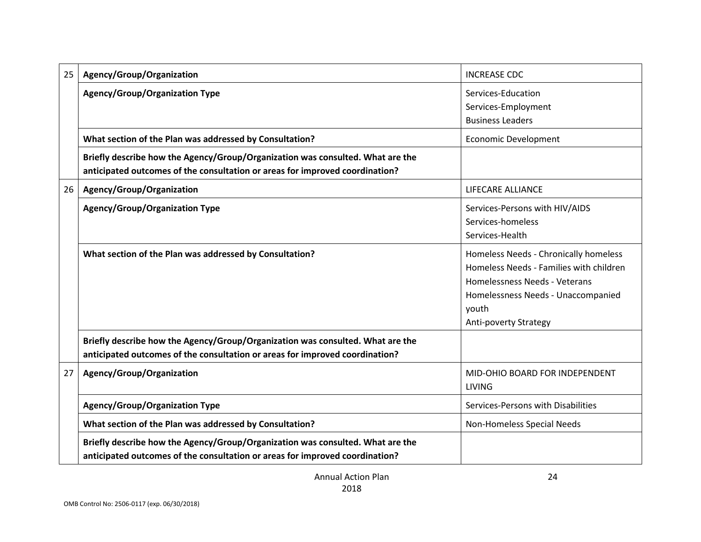| 25 | Agency/Group/Organization                                                                                                                                      | <b>INCREASE CDC</b>                                                                                                                                                                       |
|----|----------------------------------------------------------------------------------------------------------------------------------------------------------------|-------------------------------------------------------------------------------------------------------------------------------------------------------------------------------------------|
|    | Agency/Group/Organization Type                                                                                                                                 | Services-Education<br>Services-Employment<br><b>Business Leaders</b>                                                                                                                      |
|    | What section of the Plan was addressed by Consultation?                                                                                                        | <b>Economic Development</b>                                                                                                                                                               |
|    | Briefly describe how the Agency/Group/Organization was consulted. What are the<br>anticipated outcomes of the consultation or areas for improved coordination? |                                                                                                                                                                                           |
| 26 | Agency/Group/Organization                                                                                                                                      | LIFECARE ALLIANCE                                                                                                                                                                         |
|    | <b>Agency/Group/Organization Type</b>                                                                                                                          | Services-Persons with HIV/AIDS<br>Services-homeless<br>Services-Health                                                                                                                    |
|    | What section of the Plan was addressed by Consultation?                                                                                                        | Homeless Needs - Chronically homeless<br>Homeless Needs - Families with children<br>Homelessness Needs - Veterans<br>Homelessness Needs - Unaccompanied<br>youth<br>Anti-poverty Strategy |
|    | Briefly describe how the Agency/Group/Organization was consulted. What are the<br>anticipated outcomes of the consultation or areas for improved coordination? |                                                                                                                                                                                           |
| 27 | Agency/Group/Organization                                                                                                                                      | MID-OHIO BOARD FOR INDEPENDENT<br><b>LIVING</b>                                                                                                                                           |
|    | <b>Agency/Group/Organization Type</b>                                                                                                                          | Services-Persons with Disabilities                                                                                                                                                        |
|    | What section of the Plan was addressed by Consultation?                                                                                                        | Non-Homeless Special Needs                                                                                                                                                                |
|    | Briefly describe how the Agency/Group/Organization was consulted. What are the<br>anticipated outcomes of the consultation or areas for improved coordination? |                                                                                                                                                                                           |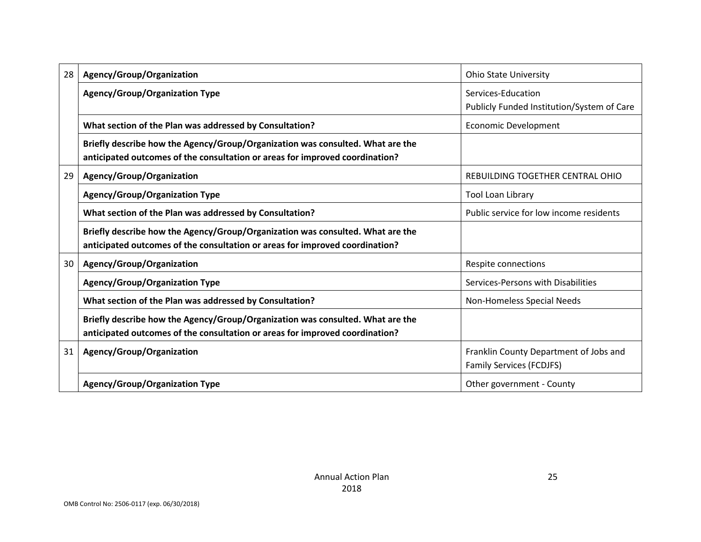| 28 | Agency/Group/Organization                                                                                                                                      | <b>Ohio State University</b>                                              |
|----|----------------------------------------------------------------------------------------------------------------------------------------------------------------|---------------------------------------------------------------------------|
|    | Agency/Group/Organization Type                                                                                                                                 | Services-Education<br>Publicly Funded Institution/System of Care          |
|    | What section of the Plan was addressed by Consultation?                                                                                                        | <b>Economic Development</b>                                               |
|    | Briefly describe how the Agency/Group/Organization was consulted. What are the<br>anticipated outcomes of the consultation or areas for improved coordination? |                                                                           |
| 29 | Agency/Group/Organization                                                                                                                                      | REBUILDING TOGETHER CENTRAL OHIO                                          |
|    | <b>Agency/Group/Organization Type</b>                                                                                                                          | Tool Loan Library                                                         |
|    | What section of the Plan was addressed by Consultation?                                                                                                        | Public service for low income residents                                   |
|    | Briefly describe how the Agency/Group/Organization was consulted. What are the<br>anticipated outcomes of the consultation or areas for improved coordination? |                                                                           |
| 30 | Agency/Group/Organization                                                                                                                                      | Respite connections                                                       |
|    | <b>Agency/Group/Organization Type</b>                                                                                                                          | Services-Persons with Disabilities                                        |
|    | What section of the Plan was addressed by Consultation?                                                                                                        | Non-Homeless Special Needs                                                |
|    | Briefly describe how the Agency/Group/Organization was consulted. What are the<br>anticipated outcomes of the consultation or areas for improved coordination? |                                                                           |
| 31 | Agency/Group/Organization                                                                                                                                      | Franklin County Department of Jobs and<br><b>Family Services (FCDJFS)</b> |
|    | <b>Agency/Group/Organization Type</b>                                                                                                                          | Other government - County                                                 |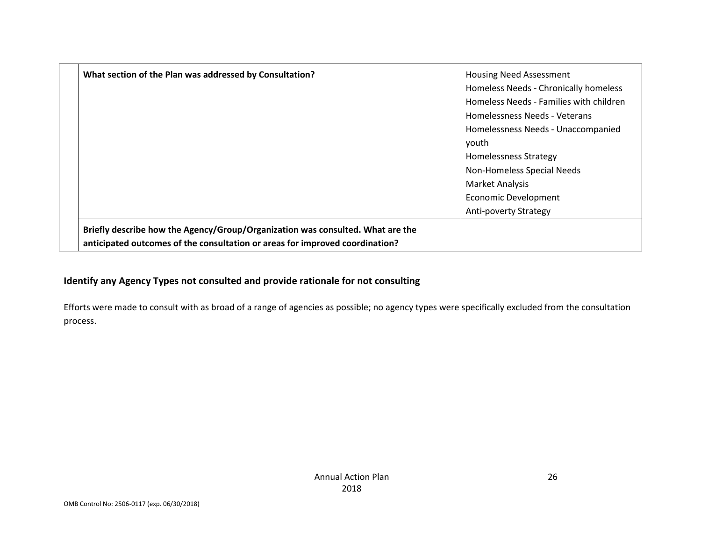| What section of the Plan was addressed by Consultation?                        | <b>Housing Need Assessment</b>          |
|--------------------------------------------------------------------------------|-----------------------------------------|
|                                                                                | Homeless Needs - Chronically homeless   |
|                                                                                | Homeless Needs - Families with children |
|                                                                                | Homelessness Needs - Veterans           |
|                                                                                | Homelessness Needs - Unaccompanied      |
|                                                                                | youth                                   |
|                                                                                | <b>Homelessness Strategy</b>            |
|                                                                                | Non-Homeless Special Needs              |
|                                                                                | <b>Market Analysis</b>                  |
|                                                                                | <b>Economic Development</b>             |
|                                                                                | <b>Anti-poverty Strategy</b>            |
| Briefly describe how the Agency/Group/Organization was consulted. What are the |                                         |
| anticipated outcomes of the consultation or areas for improved coordination?   |                                         |

### **Identify any Agency Types not consulted and provide rationale for not consulting**

Efforts were made to consult with as broad of a range of agencies as possible; no agency types were specifically excluded from the consultation process.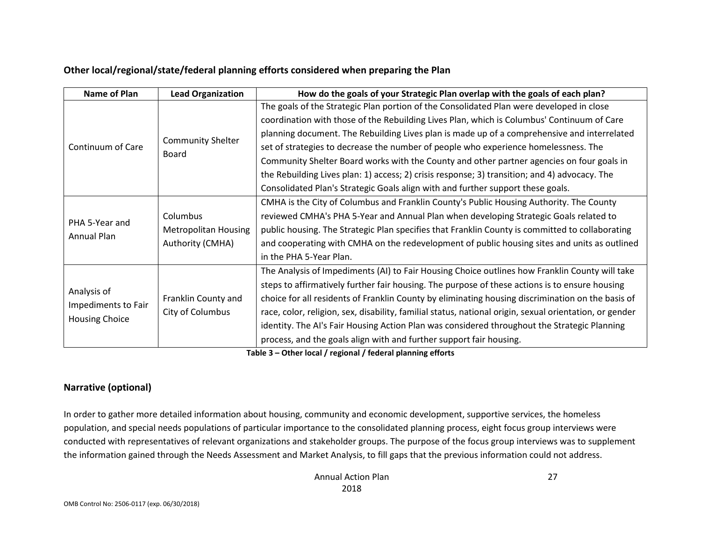### **Other local/regional/state/federal planning efforts considered when preparing the Plan**

| <b>Name of Plan</b>   | <b>Lead Organization</b>    | How do the goals of your Strategic Plan overlap with the goals of each plan?                            |  |  |  |  |
|-----------------------|-----------------------------|---------------------------------------------------------------------------------------------------------|--|--|--|--|
|                       |                             | The goals of the Strategic Plan portion of the Consolidated Plan were developed in close                |  |  |  |  |
|                       |                             | coordination with those of the Rebuilding Lives Plan, which is Columbus' Continuum of Care              |  |  |  |  |
|                       |                             | planning document. The Rebuilding Lives plan is made up of a comprehensive and interrelated             |  |  |  |  |
| Continuum of Care     | <b>Community Shelter</b>    | set of strategies to decrease the number of people who experience homelessness. The                     |  |  |  |  |
|                       | Board                       | Community Shelter Board works with the County and other partner agencies on four goals in               |  |  |  |  |
|                       |                             | the Rebuilding Lives plan: 1) access; 2) crisis response; 3) transition; and 4) advocacy. The           |  |  |  |  |
|                       |                             | Consolidated Plan's Strategic Goals align with and further support these goals.                         |  |  |  |  |
|                       |                             | CMHA is the City of Columbus and Franklin County's Public Housing Authority. The County                 |  |  |  |  |
|                       | Columbus                    | reviewed CMHA's PHA 5-Year and Annual Plan when developing Strategic Goals related to                   |  |  |  |  |
| PHA 5-Year and        | <b>Metropolitan Housing</b> | public housing. The Strategic Plan specifies that Franklin County is committed to collaborating         |  |  |  |  |
| Annual Plan           | Authority (CMHA)            | and cooperating with CMHA on the redevelopment of public housing sites and units as outlined            |  |  |  |  |
|                       |                             | in the PHA 5-Year Plan.                                                                                 |  |  |  |  |
|                       |                             | The Analysis of Impediments (AI) to Fair Housing Choice outlines how Franklin County will take          |  |  |  |  |
|                       |                             | steps to affirmatively further fair housing. The purpose of these actions is to ensure housing          |  |  |  |  |
| Analysis of           | Franklin County and         | choice for all residents of Franklin County by eliminating housing discrimination on the basis of       |  |  |  |  |
| Impediments to Fair   | City of Columbus            | race, color, religion, sex, disability, familial status, national origin, sexual orientation, or gender |  |  |  |  |
| <b>Housing Choice</b> |                             | identity. The AI's Fair Housing Action Plan was considered throughout the Strategic Planning            |  |  |  |  |
|                       |                             | process, and the goals align with and further support fair housing.                                     |  |  |  |  |

**Table 3 – Other local / regional / federal planning efforts**

### **Narrative (optional)**

In order to gather more detailed information about housing, community and economic development, supportive services, the homeless population, and special needs populations of particular importance to the consolidated planning process, eight focus group interviews were conducted with representatives of relevant organizations and stakeholder groups. The purpose of the focus group interviews was to supplement the information gained through the Needs Assessment and Market Analysis, to fill gaps that the previous information could not address.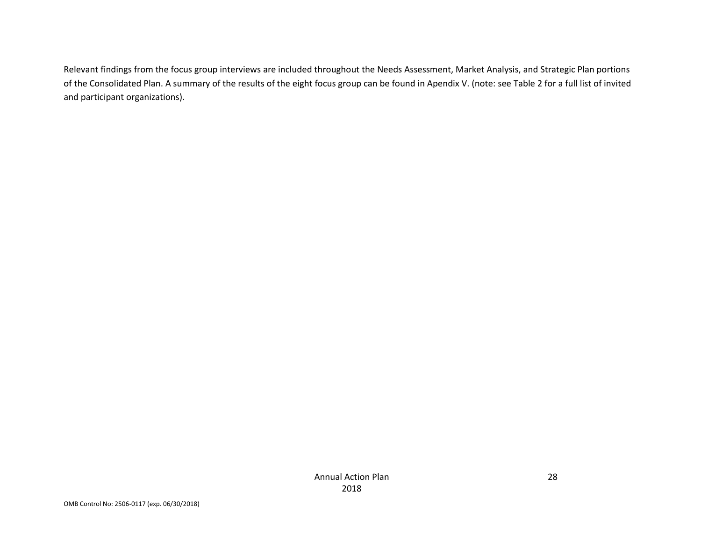Relevant findings from the focus group interviews are included throughout the Needs Assessment, Market Analysis, and Strategic Plan portions of the Consolidated Plan. A summary of the results of the eight focus group can be found in Apendix V. (note: see Table 2 for a full list of invited and participant organizations).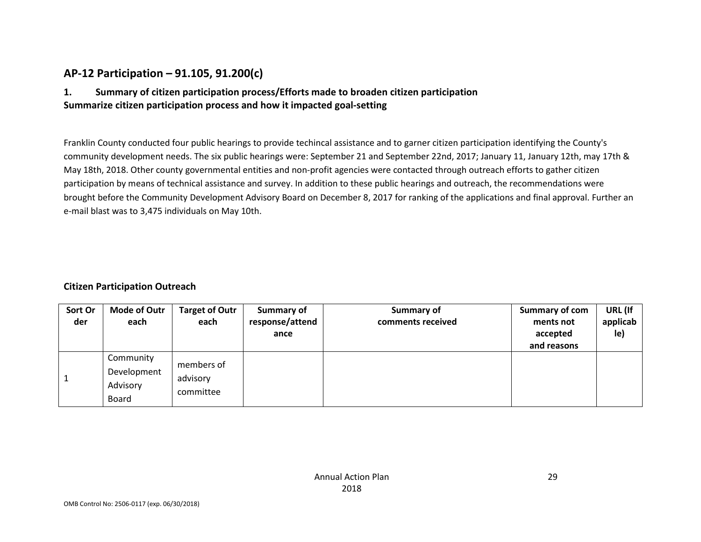## **AP-12 Participation – 91.105, 91.200(c)**

### **1. Summary of citizen participation process/Efforts made to broaden citizen participation Summarize citizen participation process and how it impacted goal-setting**

Franklin County conducted four public hearings to provide techincal assistance and to garner citizen participation identifying the County's community development needs. The six public hearings were: September 21 and September 22nd, 2017; January 11, January 12th, may 17th & May 18th, 2018. Other county governmental entities and non-profit agencies were contacted through outreach efforts to gather citizen participation by means of technical assistance and survey. In addition to these public hearings and outreach, the recommendations were brought before the Community Development Advisory Board on December 8, 2017 for ranking of the applications and final approval. Further an e-mail blast was to 3,475 individuals on May 10th.

### **Citizen Participation Outreach**

| Sort Or<br>der | <b>Mode of Outr</b><br>each                   | <b>Target of Outr</b><br>each       | <b>Summary of</b><br>response/attend<br>ance | Summary of<br>comments received | Summary of com<br>ments not<br>accepted<br>and reasons | URL (If<br>applicab<br>le) |
|----------------|-----------------------------------------------|-------------------------------------|----------------------------------------------|---------------------------------|--------------------------------------------------------|----------------------------|
|                | Community<br>Development<br>Advisory<br>Board | members of<br>advisory<br>committee |                                              |                                 |                                                        |                            |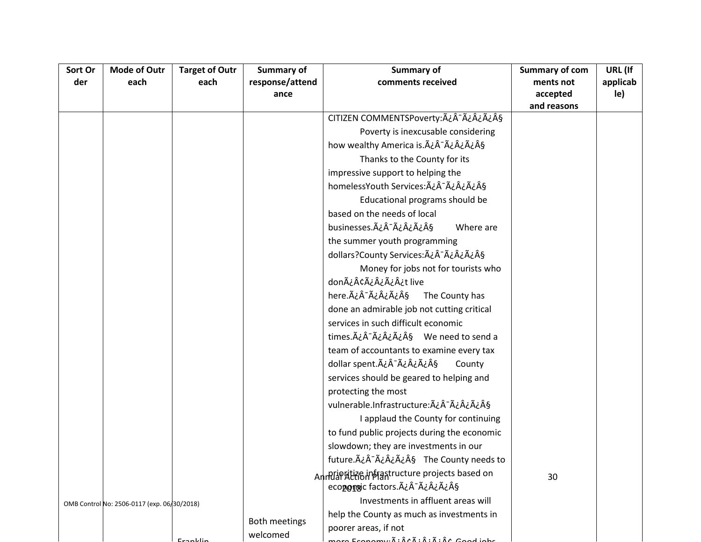| Sort Or | <b>Mode of Outr</b>                         | <b>Target of Outr</b> | Summary of      | Summary of                                           | Summary of com | URL (If  |
|---------|---------------------------------------------|-----------------------|-----------------|------------------------------------------------------|----------------|----------|
| der     | each                                        | each                  | response/attend | comments received                                    | ments not      | applicab |
|         |                                             |                       | ance            |                                                      | accepted       | le)      |
|         |                                             |                       |                 |                                                      | and reasons    |          |
|         |                                             |                       |                 | CITIZEN COMMENTSPoverty: ÿ· ÿ ¿ ÿ §                  |                |          |
|         |                                             |                       |                 | Poverty is inexcusable considering                   |                |          |
|         |                                             |                       |                 | how wealthy America is. A ¿Â - A ¿A ¿A ¿A §          |                |          |
|         |                                             |                       |                 | Thanks to the County for its                         |                |          |
|         |                                             |                       |                 | impressive support to helping the                    |                |          |
|         |                                             |                       |                 | homelessYouth Services: A¿Â-ÿ¿§                      |                |          |
|         |                                             |                       |                 | Educational programs should be                       |                |          |
|         |                                             |                       |                 | based on the needs of local                          |                |          |
|         |                                             |                       |                 | businesses. ÿÃ-ÿÿÿ§<br>Where are                     |                |          |
|         |                                             |                       |                 | the summer youth programming                         |                |          |
|         |                                             |                       |                 | dollars?County Services: A¿Â-ÿ¿ÿ§                    |                |          |
|         |                                             |                       |                 | Money for jobs not for tourists who                  |                |          |
|         |                                             |                       |                 | donÿ¢ÿ¿¿t live                                       |                |          |
|         |                                             |                       |                 | here.ÿ¯ÿ¿ÿ§<br>The County has                        |                |          |
|         |                                             |                       |                 | done an admirable job not cutting critical           |                |          |
|         |                                             |                       |                 | services in such difficult economic                  |                |          |
|         |                                             |                       |                 | times. Ač Ač Ač Ač Aš We need to send a              |                |          |
|         |                                             |                       |                 | team of accountants to examine every tax             |                |          |
|         |                                             |                       |                 | dollar spent.ÿÂ <sup>-</sup> ÿ¿ÿ§<br>County          |                |          |
|         |                                             |                       |                 | services should be geared to helping and             |                |          |
|         |                                             |                       |                 | protecting the most                                  |                |          |
|         |                                             |                       |                 | vulnerable.Infrastructure: ÿÂ-ÿ¿ÿ§                   |                |          |
|         |                                             |                       |                 | I applaud the County for continuing                  |                |          |
|         |                                             |                       |                 | to fund public projects during the economic          |                |          |
|         |                                             |                       |                 | slowdown; they are investments in our                |                |          |
|         |                                             |                       |                 | future.A¿Â <sup>-</sup> A¿Â¿A¿Â§ The County needs to |                |          |
|         |                                             |                       |                 | An RIP ALTA An Arabia An An Alta Sed on              |                |          |
|         |                                             |                       |                 | econonsic factors. ÿÂ-ÿ¿ÿ§                           | 30             |          |
|         | OMB Control No: 2506-0117 (exp. 06/30/2018) |                       |                 | Investments in affluent areas will                   |                |          |
|         |                                             |                       |                 | help the County as much as investments in            |                |          |
|         |                                             |                       | Both meetings   | poorer areas, if not                                 |                |          |
|         |                                             | منابا مدعتا           | welcomed        | nara Franamuñ: Âr à :  : à :  coad jahr              |                |          |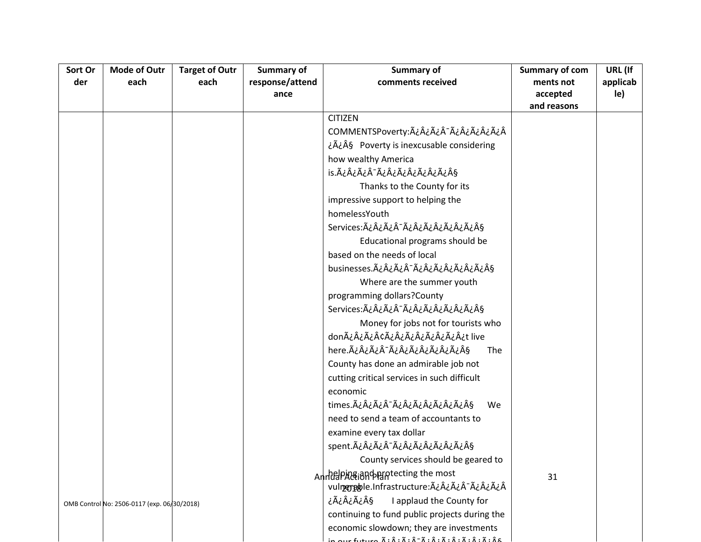| Sort Or | <b>Mode of Outr</b>                         | <b>Target of Outr</b> | Summary of      | Summary of                                    | Summary of com | URL (If  |
|---------|---------------------------------------------|-----------------------|-----------------|-----------------------------------------------|----------------|----------|
| der     | each                                        | each                  | response/attend | comments received                             | ments not      | applicab |
|         |                                             |                       | ance            |                                               | accepted       | le)      |
|         |                                             |                       |                 |                                               | and reasons    |          |
|         |                                             |                       |                 | <b>CITIZEN</b>                                |                |          |
|         |                                             |                       |                 | COMMENTSPoverty:ÿ¿ÿ¯ÿ¿ÿ¿ÿÂ                    |                |          |
|         |                                             |                       |                 | ¿Ã¿Â§ Poverty is inexcusable considering      |                |          |
|         |                                             |                       |                 | how wealthy America                           |                |          |
|         |                                             |                       |                 | is.ÿ¿ÿÂ-ÿ¿ÿ¿ÿ¿ÿ§                              |                |          |
|         |                                             |                       |                 | Thanks to the County for its                  |                |          |
|         |                                             |                       |                 | impressive support to helping the             |                |          |
|         |                                             |                       |                 | homelessYouth                                 |                |          |
|         |                                             |                       |                 | Services:ÿ¿¿Â∙ÿ¿¿ÿ¿ÿ§                         |                |          |
|         |                                             |                       |                 | Educational programs should be                |                |          |
|         |                                             |                       |                 | based on the needs of local                   |                |          |
|         |                                             |                       |                 | businesses.ÿ¿ÿÂ~ÿ¿ÿ¿ÿÿ§                       |                |          |
|         |                                             |                       |                 | Where are the summer youth                    |                |          |
|         |                                             |                       |                 | programming dollars?County                    |                |          |
|         |                                             |                       |                 | Services:ÿ¿¿Â∙ÿ¿¿¿¿ÿ§                         |                |          |
|         |                                             |                       |                 | Money for jobs not for tourists who           |                |          |
|         |                                             |                       |                 | donÿ¿ÿ¢ÿ¿ÿÿ¿ÿ¿t live                          |                |          |
|         |                                             |                       |                 | here.ÿ¿ÿÂ <sup>-</sup> ÿ¿ÿ¿ÿÿÿ§<br>The        |                |          |
|         |                                             |                       |                 | County has done an admirable job not          |                |          |
|         |                                             |                       |                 | cutting critical services in such difficult   |                |          |
|         |                                             |                       |                 | economic                                      |                |          |
|         |                                             |                       |                 | times.ÿ¿Â-ÿ¿ÿ¿ÿ¿ÿ§<br>We                      |                |          |
|         |                                             |                       |                 | need to send a team of accountants to         |                |          |
|         |                                             |                       |                 | examine every tax dollar                      |                |          |
|         |                                             |                       |                 | spent.ÿ¿ÿ¯ÿ¿ÿÿ¿ÿÿ§                            |                |          |
|         |                                             |                       |                 | County services should be geared to           |                |          |
|         |                                             |                       |                 | AnnielPA&iandparatecting the most             | 31             |          |
|         |                                             |                       |                 | vulmemeble.Infrastructure: ÿ¿ÿÂ-ÿ¿ÿÂ          |                |          |
|         | OMB Control No: 2506-0117 (exp. 06/30/2018) |                       |                 | ۆÿ¿ÿ§<br>I applaud the County for             |                |          |
|         |                                             |                       |                 | continuing to fund public projects during the |                |          |
|         |                                             |                       |                 | economic slowdown; they are investments       |                |          |
|         |                                             |                       |                 | $7.2.7.7.2-7.2.7.2.7.7.2.7.2.$                |                |          |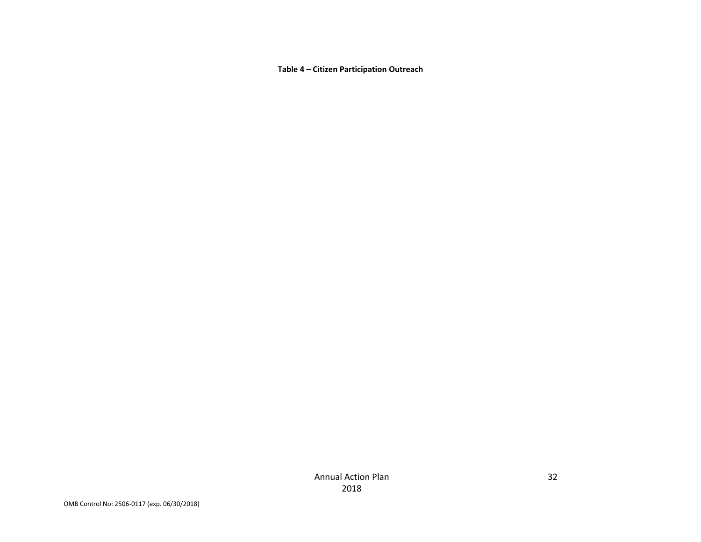**Table 4 – Citizen Participation Outreach**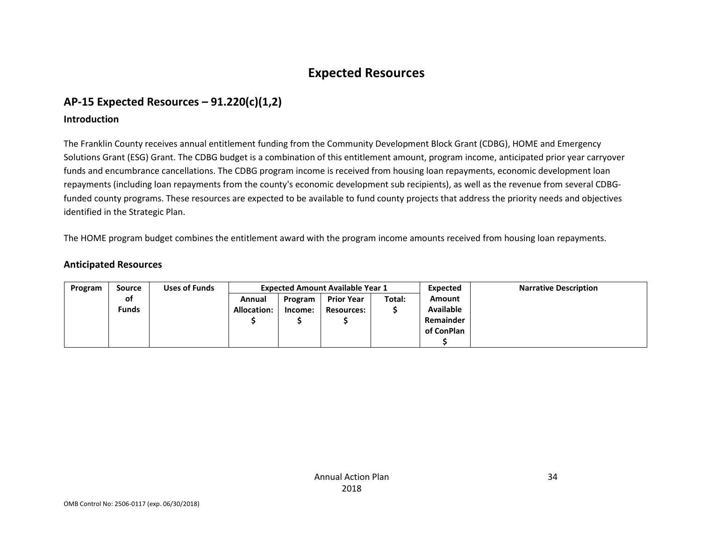# **Expected Resources**

# **AP-15 Expected Resources – 91.220(c)(1,2)**

### **Introduction**

The Franklin County receives annual entitlement funding from the Community Development Block Grant (CDBG), HOME and Emergency Solutions Grant (ESG) Grant. The CDBG budget is a combination of this entitlement amount, program income, anticipated prior year carryover funds and encumbrance cancellations. The CDBG program income is received from housing loan repayments, economic development loan repayments (including loan repayments from the county's economic development sub recipients), as well as the revenue from several CDBGfunded county programs. These resources are expected to be available to fund county projects that address the priority needs and objectives identified in the Strategic Plan.

The HOME program budget combines the entitlement award with the program income amounts received from housing loan repayments.

### **Anticipated Resources**

| Program | Source       | Uses of Funds | <b>Expected Amount Available Year 1</b> |         |                   |        | Expected         | <b>Narrative Description</b> |
|---------|--------------|---------------|-----------------------------------------|---------|-------------------|--------|------------------|------------------------------|
|         | οf           |               | Annual                                  | Program | <b>Prior Year</b> | Total: | <b>Amount</b>    |                              |
|         | <b>Funds</b> |               | <b>Allocation:</b>                      | Income: | <b>Resources:</b> |        | <b>Available</b> |                              |
|         |              |               |                                         |         |                   |        | Remainder        |                              |
|         |              |               |                                         |         |                   |        | of ConPlan       |                              |
|         |              |               |                                         |         |                   |        |                  |                              |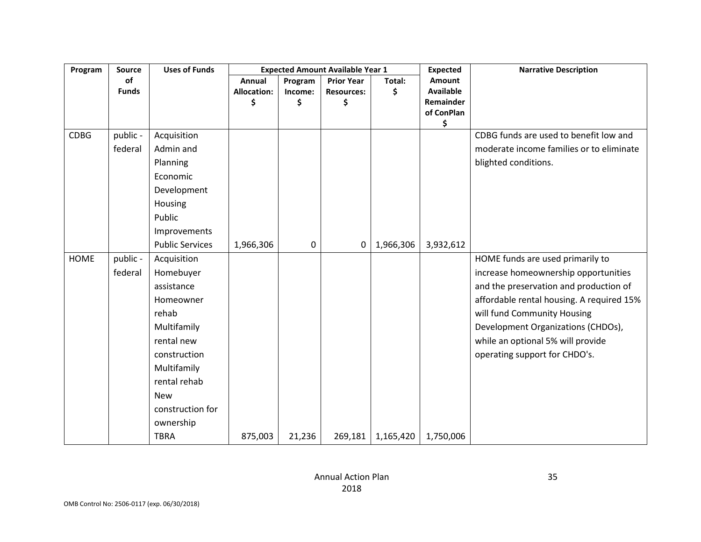| Program     | <b>Source</b> | <b>Uses of Funds</b>   | <b>Expected Amount Available Year 1</b> |         |                   |           | <b>Expected</b>         | <b>Narrative Description</b>              |
|-------------|---------------|------------------------|-----------------------------------------|---------|-------------------|-----------|-------------------------|-------------------------------------------|
|             | of            |                        | Annual                                  | Program | <b>Prior Year</b> | Total:    | Amount                  |                                           |
|             | <b>Funds</b>  |                        | <b>Allocation:</b>                      | Income: | <b>Resources:</b> | \$        | <b>Available</b>        |                                           |
|             |               |                        | \$                                      | \$      | \$                |           | Remainder<br>of ConPlan |                                           |
|             |               |                        |                                         |         |                   |           | \$                      |                                           |
| <b>CDBG</b> | public -      | Acquisition            |                                         |         |                   |           |                         | CDBG funds are used to benefit low and    |
|             | federal       | Admin and              |                                         |         |                   |           |                         | moderate income families or to eliminate  |
|             |               | Planning               |                                         |         |                   |           |                         | blighted conditions.                      |
|             |               | Economic               |                                         |         |                   |           |                         |                                           |
|             |               | Development            |                                         |         |                   |           |                         |                                           |
|             |               | Housing                |                                         |         |                   |           |                         |                                           |
|             |               | Public                 |                                         |         |                   |           |                         |                                           |
|             |               | Improvements           |                                         |         |                   |           |                         |                                           |
|             |               | <b>Public Services</b> | 1,966,306                               | 0       | 0                 | 1,966,306 | 3,932,612               |                                           |
| <b>HOME</b> | public -      | Acquisition            |                                         |         |                   |           |                         | HOME funds are used primarily to          |
|             | federal       | Homebuyer              |                                         |         |                   |           |                         | increase homeownership opportunities      |
|             |               | assistance             |                                         |         |                   |           |                         | and the preservation and production of    |
|             |               | Homeowner              |                                         |         |                   |           |                         | affordable rental housing. A required 15% |
|             |               | rehab                  |                                         |         |                   |           |                         | will fund Community Housing               |
|             |               | Multifamily            |                                         |         |                   |           |                         | Development Organizations (CHDOs),        |
|             |               | rental new             |                                         |         |                   |           |                         | while an optional 5% will provide         |
|             |               | construction           |                                         |         |                   |           |                         | operating support for CHDO's.             |
|             |               | Multifamily            |                                         |         |                   |           |                         |                                           |
|             |               | rental rehab           |                                         |         |                   |           |                         |                                           |
|             |               | <b>New</b>             |                                         |         |                   |           |                         |                                           |
|             |               | construction for       |                                         |         |                   |           |                         |                                           |
|             |               | ownership              |                                         |         |                   |           |                         |                                           |
|             |               | <b>TBRA</b>            | 875,003                                 | 21,236  | 269,181           | 1,165,420 | 1,750,006               |                                           |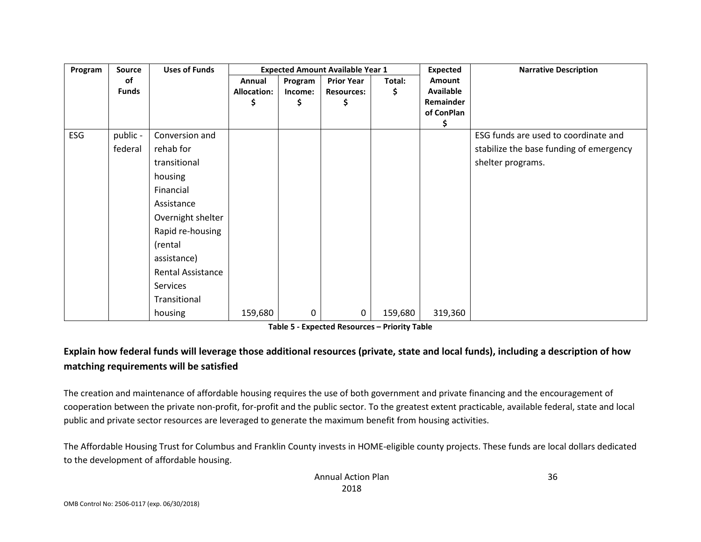| Program | <b>Source</b> | <b>Uses of Funds</b>     | <b>Expected Amount Available Year 1</b> |         |                   |         | <b>Expected</b> | <b>Narrative Description</b>            |
|---------|---------------|--------------------------|-----------------------------------------|---------|-------------------|---------|-----------------|-----------------------------------------|
|         | оf            |                          | Annual                                  | Program | <b>Prior Year</b> | Total:  | <b>Amount</b>   |                                         |
|         | <b>Funds</b>  |                          | <b>Allocation:</b>                      | Income: | <b>Resources:</b> | \$      | Available       |                                         |
|         |               |                          | Ş                                       | \$      | \$                |         | Remainder       |                                         |
|         |               |                          |                                         |         |                   |         | of ConPlan      |                                         |
| ESG     | public -      | Conversion and           |                                         |         |                   |         | \$              | ESG funds are used to coordinate and    |
|         |               |                          |                                         |         |                   |         |                 |                                         |
|         | federal       | rehab for                |                                         |         |                   |         |                 | stabilize the base funding of emergency |
|         |               | transitional             |                                         |         |                   |         |                 | shelter programs.                       |
|         |               | housing                  |                                         |         |                   |         |                 |                                         |
|         |               | Financial                |                                         |         |                   |         |                 |                                         |
|         |               | Assistance               |                                         |         |                   |         |                 |                                         |
|         |               | Overnight shelter        |                                         |         |                   |         |                 |                                         |
|         |               | Rapid re-housing         |                                         |         |                   |         |                 |                                         |
|         |               | (rental                  |                                         |         |                   |         |                 |                                         |
|         |               | assistance)              |                                         |         |                   |         |                 |                                         |
|         |               | <b>Rental Assistance</b> |                                         |         |                   |         |                 |                                         |
|         |               | Services                 |                                         |         |                   |         |                 |                                         |
|         |               | Transitional             |                                         |         |                   |         |                 |                                         |
|         |               | housing                  | 159,680                                 | 0       | 0                 | 159,680 | 319,360         |                                         |

**Table 5 - Expected Resources – Priority Table**

## **Explain how federal funds will leverage those additional resources (private, state and local funds), including a description of how matching requirements will be satisfied**

The creation and maintenance of affordable housing requires the use of both government and private financing and the encouragement of cooperation between the private non-profit, for-profit and the public sector. To the greatest extent practicable, available federal, state and local public and private sector resources are leveraged to generate the maximum benefit from housing activities.

The Affordable Housing Trust for Columbus and Franklin County invests in HOME-eligible county projects. These funds are local dollars dedicated to the development of affordable housing.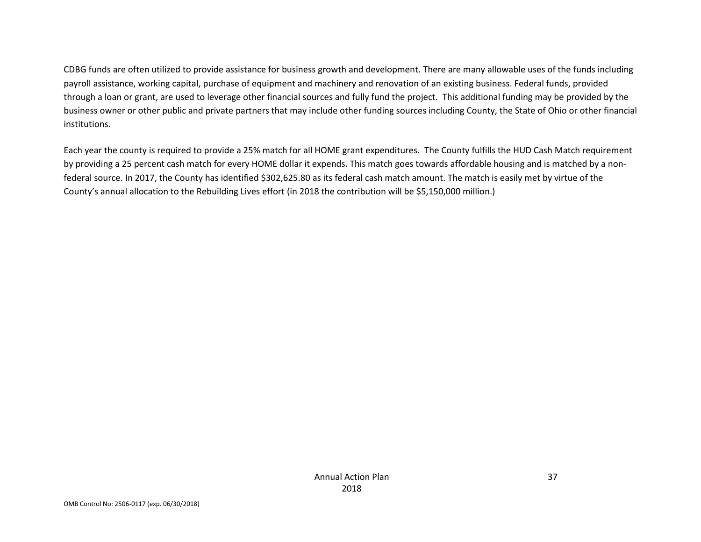CDBG funds are often utilized to provide assistance for business growth and development. There are many allowable uses of the funds including payroll assistance, working capital, purchase of equipment and machinery and renovation of an existing business. Federal funds, provided through a loan or grant, are used to leverage other financial sources and fully fund the project. This additional funding may be provided by the business owner or other public and private partners that may include other funding sources including County, the State of Ohio or other financial institutions.

Each year the county is required to provide a 25% match for all HOME grant expenditures. The County fulfills the HUD Cash Match requirement by providing a 25 percent cash match for every HOME dollar it expends. This match goes towards affordable housing and is matched by a nonfederal source. In 2017, the County has identified \$302,625.80 as its federal cash match amount. The match is easily met by virtue of the County's annual allocation to the Rebuilding Lives effort (in 2018 the contribution will be \$5,150,000 million.)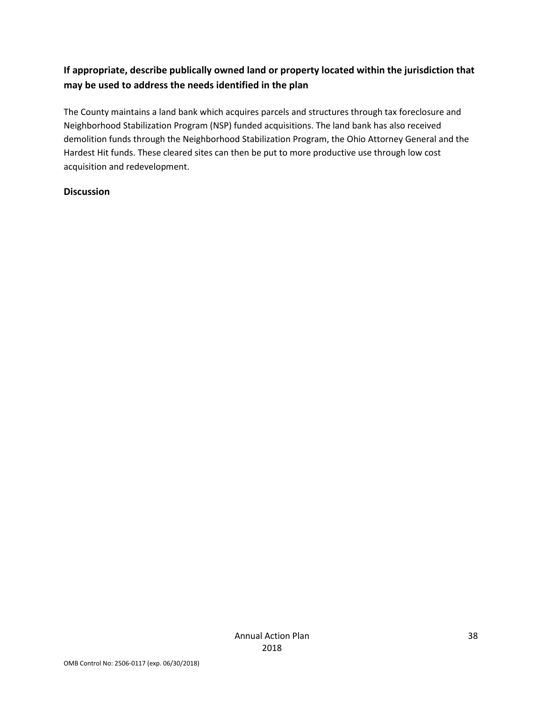# **If appropriate, describe publically owned land or property located within the jurisdiction that may be used to address the needs identified in the plan**

The County maintains a land bank which acquires parcels and structures through tax foreclosure and Neighborhood Stabilization Program (NSP) funded acquisitions. The land bank has also received demolition funds through the Neighborhood Stabilization Program, the Ohio Attorney General and the Hardest Hit funds. These cleared sites can then be put to more productive use through low cost acquisition and redevelopment.

#### **Discussion**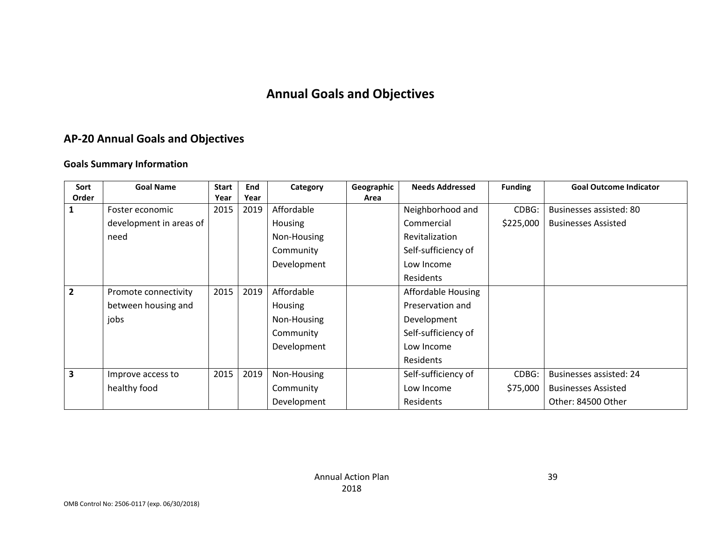# **Annual Goals and Objectives**

# **AP-20 Annual Goals and Objectives**

#### **Goals Summary Information**

| Sort                    | <b>Goal Name</b>        | <b>Start</b> | End  | Category    | Geographic | <b>Needs Addressed</b> | <b>Funding</b> | <b>Goal Outcome Indicator</b>  |
|-------------------------|-------------------------|--------------|------|-------------|------------|------------------------|----------------|--------------------------------|
| Order                   |                         |              | Year |             | Area       |                        |                |                                |
|                         | Foster economic         | 2015         | 2019 | Affordable  |            | Neighborhood and       | CDBG:          | Businesses assisted: 80        |
|                         | development in areas of |              |      | Housing     | Commercial |                        | \$225,000      | <b>Businesses Assisted</b>     |
|                         | need                    |              |      | Non-Housing |            | Revitalization         |                |                                |
|                         |                         |              |      | Community   |            | Self-sufficiency of    |                |                                |
|                         |                         |              |      | Development |            | Low Income             |                |                                |
|                         |                         |              |      |             |            | Residents              |                |                                |
| $\overline{2}$          | Promote connectivity    | 2015         | 2019 | Affordable  |            | Affordable Housing     |                |                                |
|                         | between housing and     |              |      | Housing     |            | Preservation and       |                |                                |
|                         | jobs                    |              |      | Non-Housing |            | Development            |                |                                |
|                         |                         |              |      | Community   |            | Self-sufficiency of    |                |                                |
|                         |                         |              |      | Development |            | Low Income             |                |                                |
|                         |                         |              |      |             |            | Residents              |                |                                |
| $\overline{\mathbf{3}}$ | Improve access to       | 2015         | 2019 | Non-Housing |            | Self-sufficiency of    | CDBG:          | <b>Businesses assisted: 24</b> |
|                         | healthy food            |              |      | Community   |            | Low Income             | \$75,000       | <b>Businesses Assisted</b>     |
|                         |                         |              |      | Development |            | Residents              |                | Other: 84500 Other             |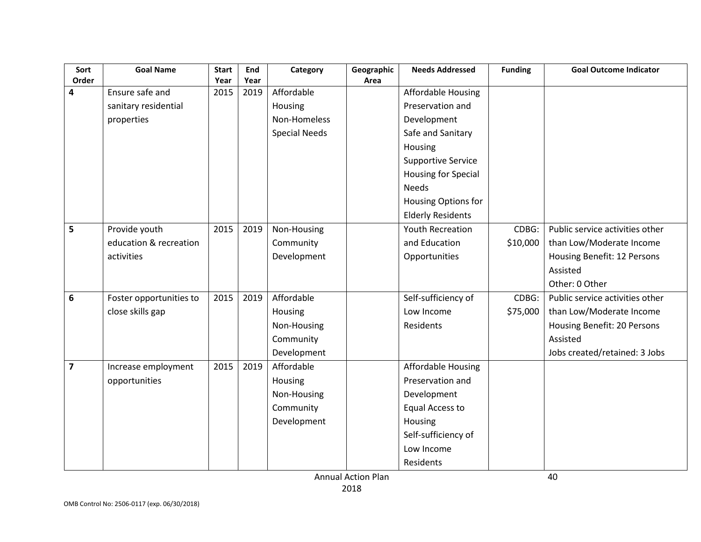| Sort<br>Order           | <b>Goal Name</b>        | <b>Start</b> | End<br>Year | Category             | Geographic | <b>Needs Addressed</b>     | <b>Funding</b> | <b>Goal Outcome Indicator</b>   |
|-------------------------|-------------------------|--------------|-------------|----------------------|------------|----------------------------|----------------|---------------------------------|
| 4                       | Ensure safe and         | Year<br>2015 | 2019        | Affordable           | Area       | Affordable Housing         |                |                                 |
|                         | sanitary residential    |              |             | Housing              |            | Preservation and           |                |                                 |
|                         | properties              |              |             | Non-Homeless         |            | Development                |                |                                 |
|                         |                         |              |             | <b>Special Needs</b> |            | Safe and Sanitary          |                |                                 |
|                         |                         |              |             |                      |            | Housing                    |                |                                 |
|                         |                         |              |             |                      |            |                            |                |                                 |
|                         |                         |              |             |                      |            | <b>Supportive Service</b>  |                |                                 |
|                         |                         |              |             |                      |            | <b>Housing for Special</b> |                |                                 |
|                         |                         |              |             |                      |            | <b>Needs</b>               |                |                                 |
|                         |                         |              |             |                      |            | Housing Options for        |                |                                 |
|                         |                         |              |             |                      |            | <b>Elderly Residents</b>   |                |                                 |
| 5                       | Provide youth           | 2015         | 2019        | Non-Housing          |            | <b>Youth Recreation</b>    | CDBG:          | Public service activities other |
|                         | education & recreation  |              |             | Community            |            | and Education              | \$10,000       | than Low/Moderate Income        |
|                         | activities              |              |             | Development          |            | Opportunities              |                | Housing Benefit: 12 Persons     |
|                         |                         |              |             |                      |            |                            |                | Assisted                        |
|                         |                         |              |             |                      |            |                            |                | Other: 0 Other                  |
| 6                       | Foster opportunities to | 2015         | 2019        | Affordable           |            | Self-sufficiency of        | CDBG:          | Public service activities other |
|                         | close skills gap        |              |             | Housing              |            | Low Income                 | \$75,000       | than Low/Moderate Income        |
|                         |                         |              |             | Non-Housing          |            | Residents                  |                | Housing Benefit: 20 Persons     |
|                         |                         |              |             | Community            |            |                            |                | Assisted                        |
|                         |                         |              |             | Development          |            |                            |                | Jobs created/retained: 3 Jobs   |
| $\overline{\mathbf{z}}$ | Increase employment     | 2015         | 2019        | Affordable           |            | <b>Affordable Housing</b>  |                |                                 |
|                         | opportunities           |              |             | Housing              |            | Preservation and           |                |                                 |
|                         |                         |              |             | Non-Housing          |            | Development                |                |                                 |
|                         |                         |              |             | Community            |            | Equal Access to            |                |                                 |
|                         |                         |              |             | Development          |            | Housing                    |                |                                 |
|                         |                         |              |             |                      |            | Self-sufficiency of        |                |                                 |
|                         |                         |              |             |                      |            | Low Income                 |                |                                 |
|                         |                         |              |             |                      |            | Residents                  |                |                                 |

Annual Action Plan 2018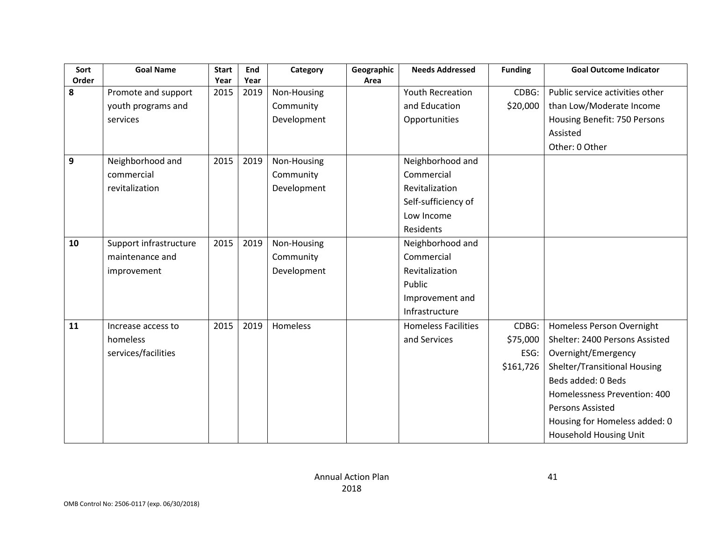| Sort  | <b>Goal Name</b>       | <b>Start</b> | End  | Category    | Geographic | <b>Needs Addressed</b>     | <b>Funding</b> | <b>Goal Outcome Indicator</b>   |
|-------|------------------------|--------------|------|-------------|------------|----------------------------|----------------|---------------------------------|
| Order |                        | Year         | Year |             | Area       |                            |                |                                 |
| 8     | Promote and support    | 2015         | 2019 | Non-Housing |            | Youth Recreation           | CDBG:          | Public service activities other |
|       | youth programs and     |              |      | Community   |            | and Education              | \$20,000       | than Low/Moderate Income        |
|       | services               |              |      | Development |            | Opportunities              |                | Housing Benefit: 750 Persons    |
|       |                        |              |      |             |            |                            |                | Assisted                        |
|       |                        |              |      |             |            |                            |                | Other: 0 Other                  |
| 9     | Neighborhood and       | 2015         | 2019 | Non-Housing |            | Neighborhood and           |                |                                 |
|       | commercial             |              |      | Community   |            | Commercial                 |                |                                 |
|       | revitalization         |              |      | Development |            | Revitalization             |                |                                 |
|       |                        |              |      |             |            | Self-sufficiency of        |                |                                 |
|       |                        |              |      |             |            | Low Income                 |                |                                 |
|       |                        |              |      |             |            | Residents                  |                |                                 |
| 10    | Support infrastructure | 2015         | 2019 | Non-Housing |            | Neighborhood and           |                |                                 |
|       | maintenance and        |              |      | Community   |            | Commercial                 |                |                                 |
|       | improvement            |              |      | Development |            | Revitalization             |                |                                 |
|       |                        |              |      |             |            | Public                     |                |                                 |
|       |                        |              |      |             |            | Improvement and            |                |                                 |
|       |                        |              |      |             |            | Infrastructure             |                |                                 |
| 11    | Increase access to     | 2015         | 2019 | Homeless    |            | <b>Homeless Facilities</b> | CDBG:          | Homeless Person Overnight       |
|       | homeless               |              |      |             |            | and Services               | \$75,000       | Shelter: 2400 Persons Assisted  |
|       | services/facilities    |              |      |             |            |                            | ESG:           | Overnight/Emergency             |
|       |                        |              |      |             |            |                            | \$161,726      | Shelter/Transitional Housing    |
|       |                        |              |      |             |            |                            |                | Beds added: 0 Beds              |
|       |                        |              |      |             |            |                            |                | Homelessness Prevention: 400    |
|       |                        |              |      |             |            |                            |                | Persons Assisted                |
|       |                        |              |      |             |            |                            |                | Housing for Homeless added: 0   |
|       |                        |              |      |             |            |                            |                | Household Housing Unit          |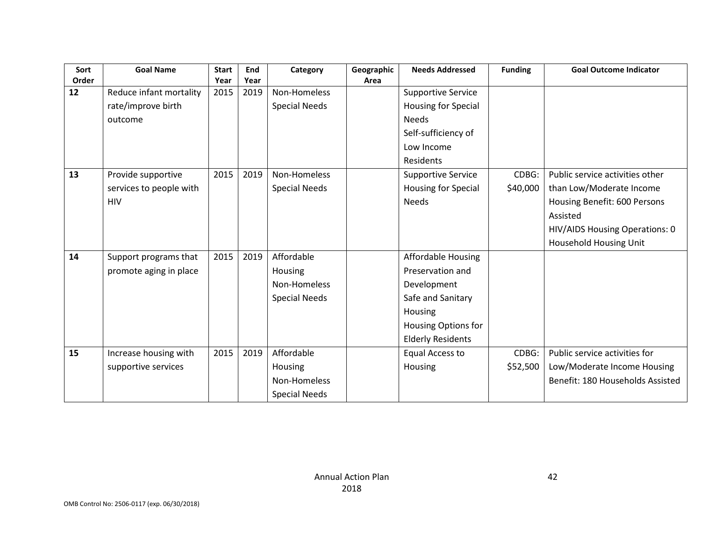| Sort  | <b>Goal Name</b>        | <b>Start</b> | End  | Category             | Geographic | <b>Needs Addressed</b>     | <b>Funding</b> | <b>Goal Outcome Indicator</b>    |
|-------|-------------------------|--------------|------|----------------------|------------|----------------------------|----------------|----------------------------------|
| Order |                         | Year         | Year |                      | Area       |                            |                |                                  |
| 12    | Reduce infant mortality | 2015         | 2019 | Non-Homeless         |            | <b>Supportive Service</b>  |                |                                  |
|       | rate/improve birth      |              |      | <b>Special Needs</b> |            | <b>Housing for Special</b> |                |                                  |
|       | outcome                 |              |      |                      |            | <b>Needs</b>               |                |                                  |
|       |                         |              |      |                      |            | Self-sufficiency of        |                |                                  |
|       |                         |              |      |                      |            | Low Income                 |                |                                  |
|       |                         |              |      |                      |            | Residents                  |                |                                  |
| 13    | Provide supportive      | 2015         | 2019 | Non-Homeless         |            | <b>Supportive Service</b>  | CDBG:          | Public service activities other  |
|       | services to people with |              |      | <b>Special Needs</b> |            | <b>Housing for Special</b> | \$40,000       | than Low/Moderate Income         |
|       | <b>HIV</b>              |              |      |                      |            | <b>Needs</b>               |                | Housing Benefit: 600 Persons     |
|       |                         |              |      |                      |            |                            |                | Assisted                         |
|       |                         |              |      |                      |            |                            |                | HIV/AIDS Housing Operations: 0   |
|       |                         |              |      |                      |            |                            |                | Household Housing Unit           |
| 14    | Support programs that   | 2015         | 2019 | Affordable           |            | Affordable Housing         |                |                                  |
|       | promote aging in place  |              |      | Housing              |            | Preservation and           |                |                                  |
|       |                         |              |      | Non-Homeless         |            | Development                |                |                                  |
|       |                         |              |      | <b>Special Needs</b> |            | Safe and Sanitary          |                |                                  |
|       |                         |              |      |                      |            | Housing                    |                |                                  |
|       |                         |              |      |                      |            | Housing Options for        |                |                                  |
|       |                         |              |      |                      |            | <b>Elderly Residents</b>   |                |                                  |
| 15    | Increase housing with   | 2015         | 2019 | Affordable           |            | <b>Equal Access to</b>     | CDBG:          | Public service activities for    |
|       | supportive services     |              |      | Housing              |            | Housing                    | \$52,500       | Low/Moderate Income Housing      |
|       |                         |              |      | Non-Homeless         |            |                            |                | Benefit: 180 Households Assisted |
|       |                         |              |      | <b>Special Needs</b> |            |                            |                |                                  |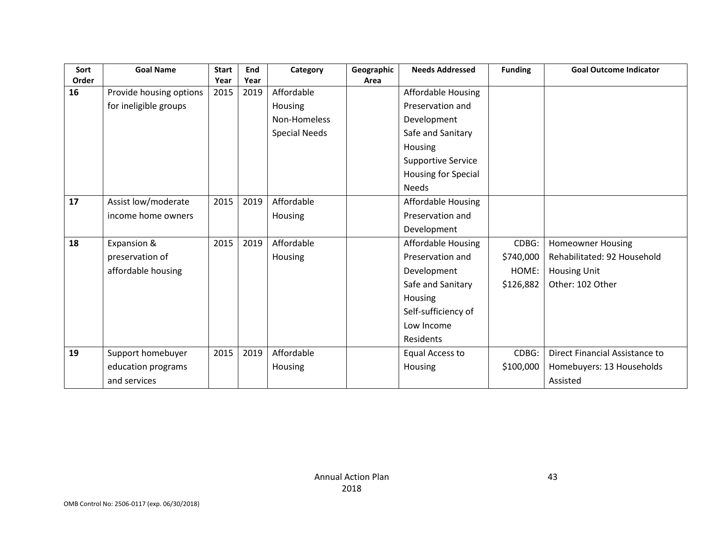| Sort<br>Order | <b>Goal Name</b>        | <b>Start</b><br>Year | End<br>Year | Category             | Geographic<br>Area | <b>Needs Addressed</b>    | <b>Funding</b> | <b>Goal Outcome Indicator</b>  |
|---------------|-------------------------|----------------------|-------------|----------------------|--------------------|---------------------------|----------------|--------------------------------|
| 16            | Provide housing options | 2015                 | 2019        | Affordable           |                    | Affordable Housing        |                |                                |
|               | for ineligible groups   |                      |             | Housing              |                    | Preservation and          |                |                                |
|               |                         |                      |             | Non-Homeless         |                    | Development               |                |                                |
|               |                         |                      |             | <b>Special Needs</b> |                    | Safe and Sanitary         |                |                                |
|               |                         |                      |             |                      |                    | Housing                   |                |                                |
|               |                         |                      |             |                      |                    | <b>Supportive Service</b> |                |                                |
|               |                         |                      |             |                      |                    | Housing for Special       |                |                                |
|               |                         |                      |             |                      |                    | <b>Needs</b>              |                |                                |
| 17            | Assist low/moderate     | 2015                 | 2019        | Affordable           |                    | Affordable Housing        |                |                                |
|               | income home owners      |                      |             | Housing              |                    | Preservation and          |                |                                |
|               |                         |                      |             |                      |                    | Development               |                |                                |
| 18            | Expansion &             | 2015                 | 2019        | Affordable           |                    | Affordable Housing        | CDBG:          | <b>Homeowner Housing</b>       |
|               | preservation of         |                      |             | Housing              |                    | Preservation and          | \$740,000      | Rehabilitated: 92 Household    |
|               | affordable housing      |                      |             |                      |                    | Development               | HOME:          | <b>Housing Unit</b>            |
|               |                         |                      |             |                      |                    | Safe and Sanitary         | \$126,882      | Other: 102 Other               |
|               |                         |                      |             |                      |                    | Housing                   |                |                                |
|               |                         |                      |             |                      |                    | Self-sufficiency of       |                |                                |
|               |                         |                      |             |                      |                    | Low Income                |                |                                |
|               |                         |                      |             |                      |                    | Residents                 |                |                                |
| 19            | Support homebuyer       | 2015                 | 2019        | Affordable           |                    | Equal Access to           | CDBG:          | Direct Financial Assistance to |
|               | education programs      |                      |             | Housing              |                    | Housing                   | \$100,000      | Homebuyers: 13 Households      |
|               | and services            |                      |             |                      |                    |                           |                | Assisted                       |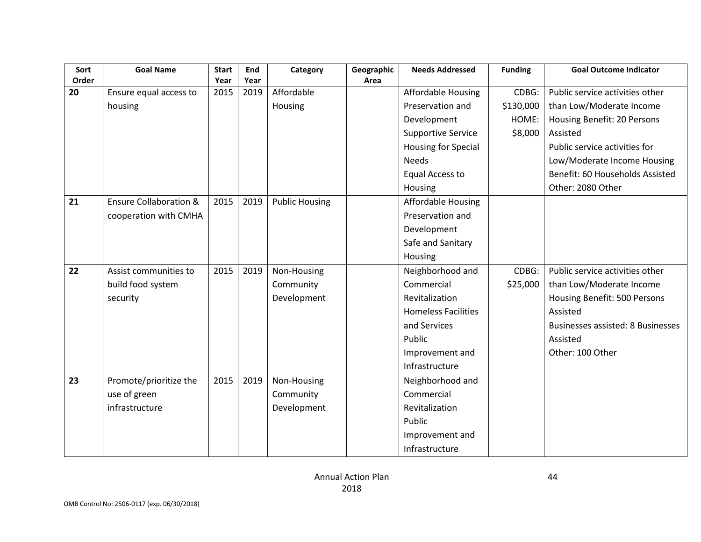| Sort        | <b>Goal Name</b>                  | <b>Start</b> | End          | Category              | Geographic | <b>Needs Addressed</b>     | <b>Funding</b> | <b>Goal Outcome Indicator</b>            |
|-------------|-----------------------------------|--------------|--------------|-----------------------|------------|----------------------------|----------------|------------------------------------------|
| Order<br>20 |                                   | Year<br>2015 | Year<br>2019 | Affordable            | Area       |                            | CDBG:          | Public service activities other          |
|             | Ensure equal access to            |              |              |                       |            | Affordable Housing         |                |                                          |
|             | housing                           |              |              | Housing               |            | Preservation and           | \$130,000      | than Low/Moderate Income                 |
|             |                                   |              |              |                       |            | Development                | HOME:          | Housing Benefit: 20 Persons              |
|             |                                   |              |              |                       |            | <b>Supportive Service</b>  | \$8,000        | Assisted                                 |
|             |                                   |              |              |                       |            | Housing for Special        |                | Public service activities for            |
|             |                                   |              |              |                       |            | <b>Needs</b>               |                | Low/Moderate Income Housing              |
|             |                                   |              |              |                       |            | <b>Equal Access to</b>     |                | Benefit: 60 Households Assisted          |
|             |                                   |              |              |                       |            | Housing                    |                | Other: 2080 Other                        |
| 21          | <b>Ensure Collaboration &amp;</b> | 2015         | 2019         | <b>Public Housing</b> |            | <b>Affordable Housing</b>  |                |                                          |
|             | cooperation with CMHA             |              |              |                       |            | Preservation and           |                |                                          |
|             |                                   |              |              |                       |            | Development                |                |                                          |
|             |                                   |              |              |                       |            | Safe and Sanitary          |                |                                          |
|             |                                   |              |              |                       |            | Housing                    |                |                                          |
| 22          | Assist communities to             | 2015         | 2019         | Non-Housing           |            | Neighborhood and           | CDBG:          | Public service activities other          |
|             | build food system                 |              |              | Community             |            | Commercial                 | \$25,000       | than Low/Moderate Income                 |
|             | security                          |              |              | Development           |            | Revitalization             |                | Housing Benefit: 500 Persons             |
|             |                                   |              |              |                       |            | <b>Homeless Facilities</b> |                | Assisted                                 |
|             |                                   |              |              |                       |            | and Services               |                | <b>Businesses assisted: 8 Businesses</b> |
|             |                                   |              |              |                       |            | Public                     |                | Assisted                                 |
|             |                                   |              |              |                       |            | Improvement and            |                | Other: 100 Other                         |
|             |                                   |              |              |                       |            | Infrastructure             |                |                                          |
| 23          | Promote/prioritize the            | 2015         | 2019         | Non-Housing           |            | Neighborhood and           |                |                                          |
|             | use of green                      |              |              | Community             |            | Commercial                 |                |                                          |
|             | infrastructure                    |              |              | Development           |            | Revitalization             |                |                                          |
|             |                                   |              |              |                       |            | Public                     |                |                                          |
|             |                                   |              |              |                       |            | Improvement and            |                |                                          |
|             |                                   |              |              |                       |            | Infrastructure             |                |                                          |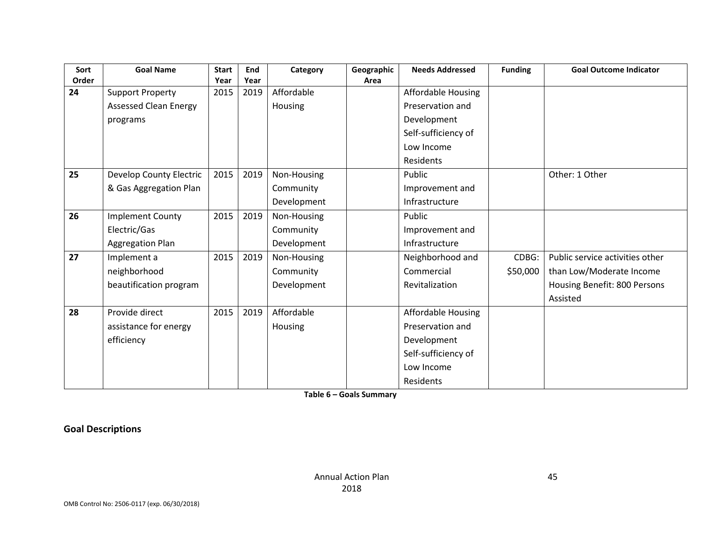| Sort<br>Order | <b>Goal Name</b>             | <b>Start</b><br>Year | End<br>Year | Category    | Geographic<br>Area | <b>Needs Addressed</b> | <b>Funding</b> | <b>Goal Outcome Indicator</b>   |
|---------------|------------------------------|----------------------|-------------|-------------|--------------------|------------------------|----------------|---------------------------------|
| 24            | <b>Support Property</b>      | 2015                 | 2019        | Affordable  |                    | Affordable Housing     |                |                                 |
|               | <b>Assessed Clean Energy</b> |                      |             | Housing     |                    | Preservation and       |                |                                 |
|               | programs                     |                      |             |             |                    | Development            |                |                                 |
|               |                              |                      |             |             |                    | Self-sufficiency of    |                |                                 |
|               |                              |                      |             |             |                    | Low Income             |                |                                 |
|               |                              |                      |             |             |                    |                        |                |                                 |
|               |                              |                      |             |             |                    | Residents              |                |                                 |
| 25            | Develop County Electric      | 2015                 | 2019        | Non-Housing |                    | Public                 |                | Other: 1 Other                  |
|               | & Gas Aggregation Plan       |                      |             | Community   |                    | Improvement and        |                |                                 |
|               |                              |                      |             | Development |                    | Infrastructure         |                |                                 |
| 26            | <b>Implement County</b>      | 2015                 | 2019        | Non-Housing |                    | Public                 |                |                                 |
|               | Electric/Gas                 |                      |             | Community   |                    | Improvement and        |                |                                 |
|               | Aggregation Plan             |                      |             | Development |                    | Infrastructure         |                |                                 |
| 27            | Implement a                  | 2015                 | 2019        | Non-Housing |                    | Neighborhood and       | CDBG:          | Public service activities other |
|               | neighborhood                 |                      |             | Community   |                    | Commercial             | \$50,000       | than Low/Moderate Income        |
|               | beautification program       |                      |             | Development |                    | Revitalization         |                | Housing Benefit: 800 Persons    |
|               |                              |                      |             |             |                    |                        |                | Assisted                        |
| 28            | Provide direct               | 2015                 | 2019        | Affordable  |                    | Affordable Housing     |                |                                 |
|               | assistance for energy        |                      |             | Housing     |                    | Preservation and       |                |                                 |
|               | efficiency                   |                      |             |             |                    | Development            |                |                                 |
|               |                              |                      |             |             |                    | Self-sufficiency of    |                |                                 |
|               |                              |                      |             |             |                    | Low Income             |                |                                 |
|               |                              |                      |             |             |                    | Residents              |                |                                 |

**Table 6 – Goals Summary**

**Goal Descriptions**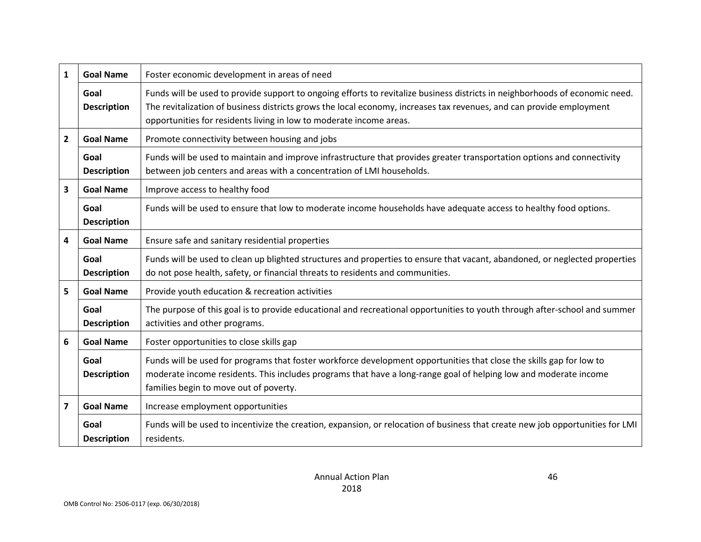| $\mathbf{1}$   | <b>Goal Name</b>           | Foster economic development in areas of need                                                                                                                                                                                                                                                                                |
|----------------|----------------------------|-----------------------------------------------------------------------------------------------------------------------------------------------------------------------------------------------------------------------------------------------------------------------------------------------------------------------------|
|                | Goal<br><b>Description</b> | Funds will be used to provide support to ongoing efforts to revitalize business districts in neighborhoods of economic need.<br>The revitalization of business districts grows the local economy, increases tax revenues, and can provide employment<br>opportunities for residents living in low to moderate income areas. |
| $\overline{2}$ | <b>Goal Name</b>           | Promote connectivity between housing and jobs                                                                                                                                                                                                                                                                               |
|                | Goal<br><b>Description</b> | Funds will be used to maintain and improve infrastructure that provides greater transportation options and connectivity<br>between job centers and areas with a concentration of LMI households.                                                                                                                            |
| 3              | <b>Goal Name</b>           | Improve access to healthy food                                                                                                                                                                                                                                                                                              |
|                | Goal<br><b>Description</b> | Funds will be used to ensure that low to moderate income households have adequate access to healthy food options.                                                                                                                                                                                                           |
| 4              | <b>Goal Name</b>           | Ensure safe and sanitary residential properties                                                                                                                                                                                                                                                                             |
|                | Goal<br><b>Description</b> | Funds will be used to clean up blighted structures and properties to ensure that vacant, abandoned, or neglected properties<br>do not pose health, safety, or financial threats to residents and communities.                                                                                                               |
| 5              | <b>Goal Name</b>           | Provide youth education & recreation activities                                                                                                                                                                                                                                                                             |
|                | Goal<br><b>Description</b> | The purpose of this goal is to provide educational and recreational opportunities to youth through after-school and summer<br>activities and other programs.                                                                                                                                                                |
| 6              | <b>Goal Name</b>           | Foster opportunities to close skills gap                                                                                                                                                                                                                                                                                    |
|                | Goal<br><b>Description</b> | Funds will be used for programs that foster workforce development opportunities that close the skills gap for low to<br>moderate income residents. This includes programs that have a long-range goal of helping low and moderate income<br>families begin to move out of poverty.                                          |
| 7              | <b>Goal Name</b>           | Increase employment opportunities                                                                                                                                                                                                                                                                                           |
|                | Goal<br><b>Description</b> | Funds will be used to incentivize the creation, expansion, or relocation of business that create new job opportunities for LMI<br>residents.                                                                                                                                                                                |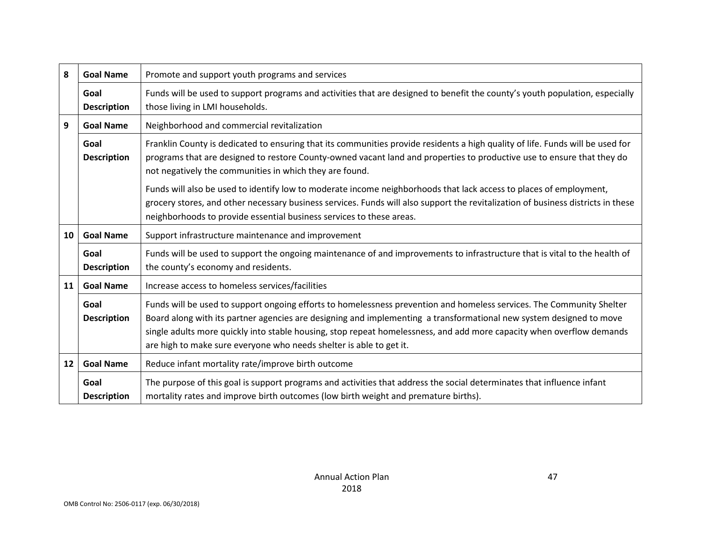| 8  | <b>Goal Name</b>           | Promote and support youth programs and services                                                                                                                                                                                                                                                                                                                                                                                                                                                                                                                                                                                                       |
|----|----------------------------|-------------------------------------------------------------------------------------------------------------------------------------------------------------------------------------------------------------------------------------------------------------------------------------------------------------------------------------------------------------------------------------------------------------------------------------------------------------------------------------------------------------------------------------------------------------------------------------------------------------------------------------------------------|
|    | Goal<br><b>Description</b> | Funds will be used to support programs and activities that are designed to benefit the county's youth population, especially<br>those living in LMI households.                                                                                                                                                                                                                                                                                                                                                                                                                                                                                       |
| 9  | <b>Goal Name</b>           | Neighborhood and commercial revitalization                                                                                                                                                                                                                                                                                                                                                                                                                                                                                                                                                                                                            |
|    | Goal<br><b>Description</b> | Franklin County is dedicated to ensuring that its communities provide residents a high quality of life. Funds will be used for<br>programs that are designed to restore County-owned vacant land and properties to productive use to ensure that they do<br>not negatively the communities in which they are found.<br>Funds will also be used to identify low to moderate income neighborhoods that lack access to places of employment,<br>grocery stores, and other necessary business services. Funds will also support the revitalization of business districts in these<br>neighborhoods to provide essential business services to these areas. |
| 10 | <b>Goal Name</b>           | Support infrastructure maintenance and improvement                                                                                                                                                                                                                                                                                                                                                                                                                                                                                                                                                                                                    |
|    | Goal<br><b>Description</b> | Funds will be used to support the ongoing maintenance of and improvements to infrastructure that is vital to the health of<br>the county's economy and residents.                                                                                                                                                                                                                                                                                                                                                                                                                                                                                     |
| 11 | <b>Goal Name</b>           | Increase access to homeless services/facilities                                                                                                                                                                                                                                                                                                                                                                                                                                                                                                                                                                                                       |
|    | Goal<br><b>Description</b> | Funds will be used to support ongoing efforts to homelessness prevention and homeless services. The Community Shelter<br>Board along with its partner agencies are designing and implementing a transformational new system designed to move<br>single adults more quickly into stable housing, stop repeat homelessness, and add more capacity when overflow demands<br>are high to make sure everyone who needs shelter is able to get it.                                                                                                                                                                                                          |
| 12 | <b>Goal Name</b>           | Reduce infant mortality rate/improve birth outcome                                                                                                                                                                                                                                                                                                                                                                                                                                                                                                                                                                                                    |
|    | Goal<br><b>Description</b> | The purpose of this goal is support programs and activities that address the social determinates that influence infant<br>mortality rates and improve birth outcomes (low birth weight and premature births).                                                                                                                                                                                                                                                                                                                                                                                                                                         |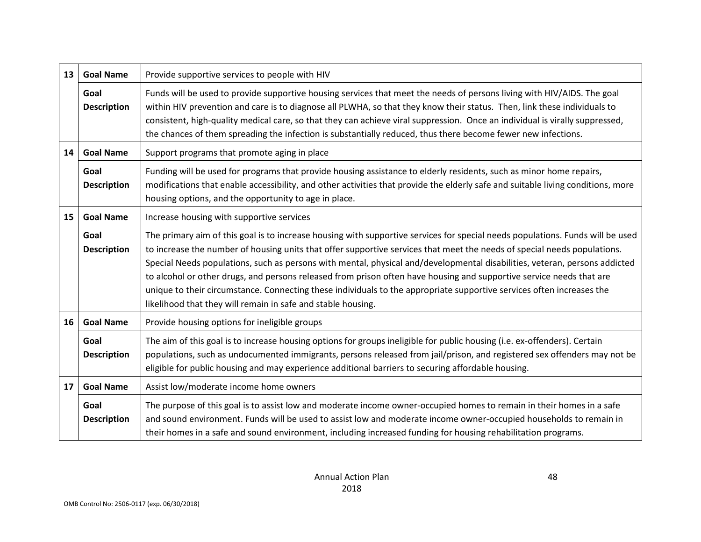| 13 | <b>Goal Name</b>           | Provide supportive services to people with HIV                                                                                                                                                                                                                                                                                                                                                                                                                                                                                                                                                                                                                                                            |
|----|----------------------------|-----------------------------------------------------------------------------------------------------------------------------------------------------------------------------------------------------------------------------------------------------------------------------------------------------------------------------------------------------------------------------------------------------------------------------------------------------------------------------------------------------------------------------------------------------------------------------------------------------------------------------------------------------------------------------------------------------------|
|    | Goal<br><b>Description</b> | Funds will be used to provide supportive housing services that meet the needs of persons living with HIV/AIDS. The goal<br>within HIV prevention and care is to diagnose all PLWHA, so that they know their status. Then, link these individuals to<br>consistent, high-quality medical care, so that they can achieve viral suppression. Once an individual is virally suppressed,<br>the chances of them spreading the infection is substantially reduced, thus there become fewer new infections.                                                                                                                                                                                                      |
| 14 | <b>Goal Name</b>           | Support programs that promote aging in place                                                                                                                                                                                                                                                                                                                                                                                                                                                                                                                                                                                                                                                              |
|    | Goal<br><b>Description</b> | Funding will be used for programs that provide housing assistance to elderly residents, such as minor home repairs,<br>modifications that enable accessibility, and other activities that provide the elderly safe and suitable living conditions, more<br>housing options, and the opportunity to age in place.                                                                                                                                                                                                                                                                                                                                                                                          |
| 15 | <b>Goal Name</b>           | Increase housing with supportive services                                                                                                                                                                                                                                                                                                                                                                                                                                                                                                                                                                                                                                                                 |
|    | Goal<br><b>Description</b> | The primary aim of this goal is to increase housing with supportive services for special needs populations. Funds will be used<br>to increase the number of housing units that offer supportive services that meet the needs of special needs populations.<br>Special Needs populations, such as persons with mental, physical and/developmental disabilities, veteran, persons addicted<br>to alcohol or other drugs, and persons released from prison often have housing and supportive service needs that are<br>unique to their circumstance. Connecting these individuals to the appropriate supportive services often increases the<br>likelihood that they will remain in safe and stable housing. |
| 16 | <b>Goal Name</b>           | Provide housing options for ineligible groups                                                                                                                                                                                                                                                                                                                                                                                                                                                                                                                                                                                                                                                             |
|    | Goal<br><b>Description</b> | The aim of this goal is to increase housing options for groups ineligible for public housing (i.e. ex-offenders). Certain<br>populations, such as undocumented immigrants, persons released from jail/prison, and registered sex offenders may not be<br>eligible for public housing and may experience additional barriers to securing affordable housing.                                                                                                                                                                                                                                                                                                                                               |
| 17 | <b>Goal Name</b>           | Assist low/moderate income home owners                                                                                                                                                                                                                                                                                                                                                                                                                                                                                                                                                                                                                                                                    |
|    | Goal<br><b>Description</b> | The purpose of this goal is to assist low and moderate income owner-occupied homes to remain in their homes in a safe<br>and sound environment. Funds will be used to assist low and moderate income owner-occupied households to remain in<br>their homes in a safe and sound environment, including increased funding for housing rehabilitation programs.                                                                                                                                                                                                                                                                                                                                              |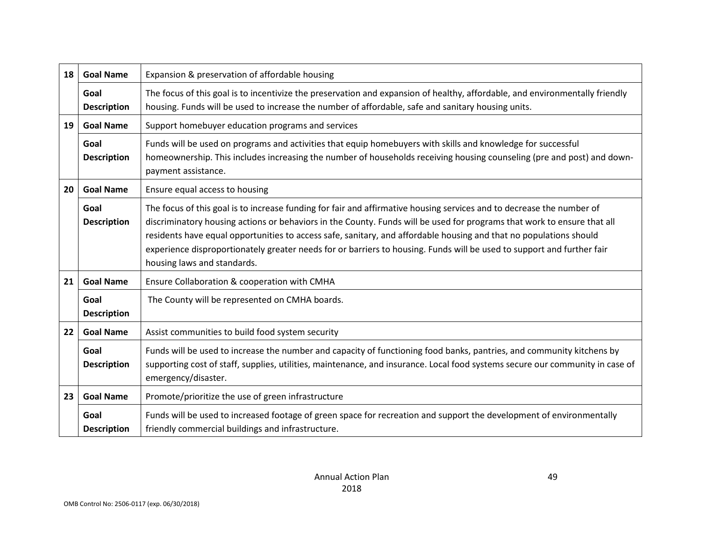| 18 | <b>Goal Name</b>           | Expansion & preservation of affordable housing                                                                                                                                                                                                                                                                                                                                                                                                                                                                                  |
|----|----------------------------|---------------------------------------------------------------------------------------------------------------------------------------------------------------------------------------------------------------------------------------------------------------------------------------------------------------------------------------------------------------------------------------------------------------------------------------------------------------------------------------------------------------------------------|
|    | Goal<br><b>Description</b> | The focus of this goal is to incentivize the preservation and expansion of healthy, affordable, and environmentally friendly<br>housing. Funds will be used to increase the number of affordable, safe and sanitary housing units.                                                                                                                                                                                                                                                                                              |
| 19 | <b>Goal Name</b>           | Support homebuyer education programs and services                                                                                                                                                                                                                                                                                                                                                                                                                                                                               |
|    | Goal<br><b>Description</b> | Funds will be used on programs and activities that equip homebuyers with skills and knowledge for successful<br>homeownership. This includes increasing the number of households receiving housing counseling (pre and post) and down-<br>payment assistance.                                                                                                                                                                                                                                                                   |
| 20 | <b>Goal Name</b>           | Ensure equal access to housing                                                                                                                                                                                                                                                                                                                                                                                                                                                                                                  |
|    | Goal<br><b>Description</b> | The focus of this goal is to increase funding for fair and affirmative housing services and to decrease the number of<br>discriminatory housing actions or behaviors in the County. Funds will be used for programs that work to ensure that all<br>residents have equal opportunities to access safe, sanitary, and affordable housing and that no populations should<br>experience disproportionately greater needs for or barriers to housing. Funds will be used to support and further fair<br>housing laws and standards. |
| 21 | <b>Goal Name</b>           | Ensure Collaboration & cooperation with CMHA                                                                                                                                                                                                                                                                                                                                                                                                                                                                                    |
|    | Goal<br><b>Description</b> | The County will be represented on CMHA boards.                                                                                                                                                                                                                                                                                                                                                                                                                                                                                  |
| 22 | <b>Goal Name</b>           | Assist communities to build food system security                                                                                                                                                                                                                                                                                                                                                                                                                                                                                |
|    | Goal<br><b>Description</b> | Funds will be used to increase the number and capacity of functioning food banks, pantries, and community kitchens by<br>supporting cost of staff, supplies, utilities, maintenance, and insurance. Local food systems secure our community in case of<br>emergency/disaster.                                                                                                                                                                                                                                                   |
| 23 | <b>Goal Name</b>           | Promote/prioritize the use of green infrastructure                                                                                                                                                                                                                                                                                                                                                                                                                                                                              |
|    | Goal<br><b>Description</b> | Funds will be used to increased footage of green space for recreation and support the development of environmentally<br>friendly commercial buildings and infrastructure.                                                                                                                                                                                                                                                                                                                                                       |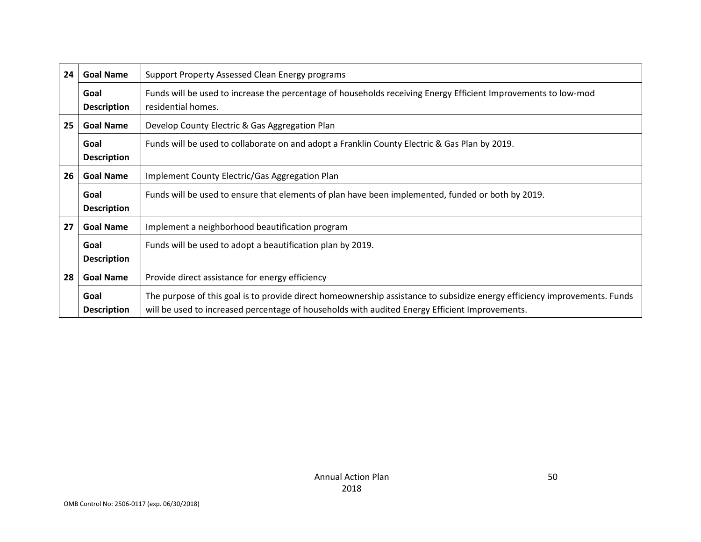| 24 | <b>Goal Name</b>           | Support Property Assessed Clean Energy programs                                                                                                                                                                             |
|----|----------------------------|-----------------------------------------------------------------------------------------------------------------------------------------------------------------------------------------------------------------------------|
|    | Goal<br><b>Description</b> | Funds will be used to increase the percentage of households receiving Energy Efficient Improvements to low-mod<br>residential homes.                                                                                        |
| 25 | <b>Goal Name</b>           | Develop County Electric & Gas Aggregation Plan                                                                                                                                                                              |
|    | Goal<br><b>Description</b> | Funds will be used to collaborate on and adopt a Franklin County Electric & Gas Plan by 2019.                                                                                                                               |
| 26 | <b>Goal Name</b>           | Implement County Electric/Gas Aggregation Plan                                                                                                                                                                              |
|    | Goal<br><b>Description</b> | Funds will be used to ensure that elements of plan have been implemented, funded or both by 2019.                                                                                                                           |
| 27 | <b>Goal Name</b>           | Implement a neighborhood beautification program                                                                                                                                                                             |
|    | Goal<br><b>Description</b> | Funds will be used to adopt a beautification plan by 2019.                                                                                                                                                                  |
| 28 | <b>Goal Name</b>           | Provide direct assistance for energy efficiency                                                                                                                                                                             |
|    | Goal<br><b>Description</b> | The purpose of this goal is to provide direct homeownership assistance to subsidize energy efficiency improvements. Funds<br>will be used to increased percentage of households with audited Energy Efficient Improvements. |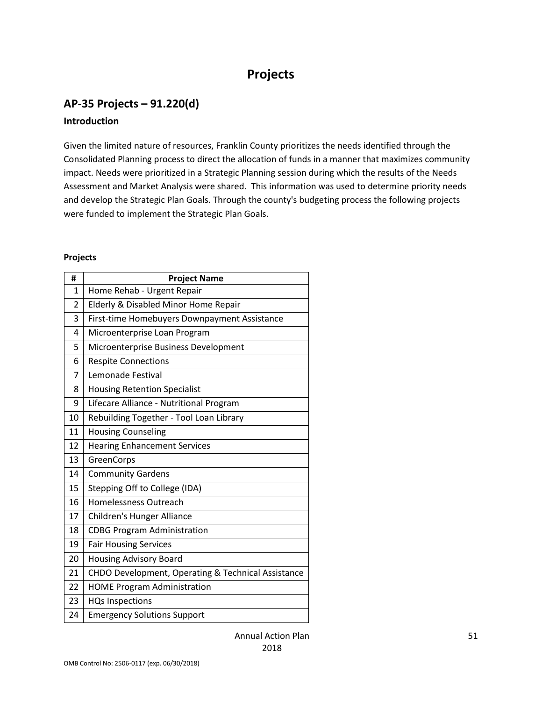# **Projects**

# **AP-35 Projects – 91.220(d)**

#### **Introduction**

Given the limited nature of resources, Franklin County prioritizes the needs identified through the Consolidated Planning process to direct the allocation of funds in a manner that maximizes community impact. Needs were prioritized in a Strategic Planning session during which the results of the Needs Assessment and Market Analysis were shared. This information was used to determine priority needs and develop the Strategic Plan Goals. Through the county's budgeting process the following projects were funded to implement the Strategic Plan Goals.

#### **Projects**

| #            | <b>Project Name</b>                                |
|--------------|----------------------------------------------------|
| $\mathbf{1}$ | Home Rehab - Urgent Repair                         |
| 2            | Elderly & Disabled Minor Home Repair               |
| 3            | First-time Homebuyers Downpayment Assistance       |
| 4            | Microenterprise Loan Program                       |
| 5            | Microenterprise Business Development               |
| 6            | <b>Respite Connections</b>                         |
| 7            | Lemonade Festival                                  |
| 8            | <b>Housing Retention Specialist</b>                |
| 9            | Lifecare Alliance - Nutritional Program            |
| 10           | Rebuilding Together - Tool Loan Library            |
| 11           | <b>Housing Counseling</b>                          |
| 12           | <b>Hearing Enhancement Services</b>                |
| 13           | GreenCorps                                         |
| 14           | <b>Community Gardens</b>                           |
| 15           | Stepping Off to College (IDA)                      |
| 16           | Homelessness Outreach                              |
| 17           | Children's Hunger Alliance                         |
| 18           | <b>CDBG Program Administration</b>                 |
| 19           | <b>Fair Housing Services</b>                       |
| 20           | <b>Housing Advisory Board</b>                      |
| 21           | CHDO Development, Operating & Technical Assistance |
| 22           | <b>HOME Program Administration</b>                 |
| 23           | <b>HQs Inspections</b>                             |
| 24           | <b>Emergency Solutions Support</b>                 |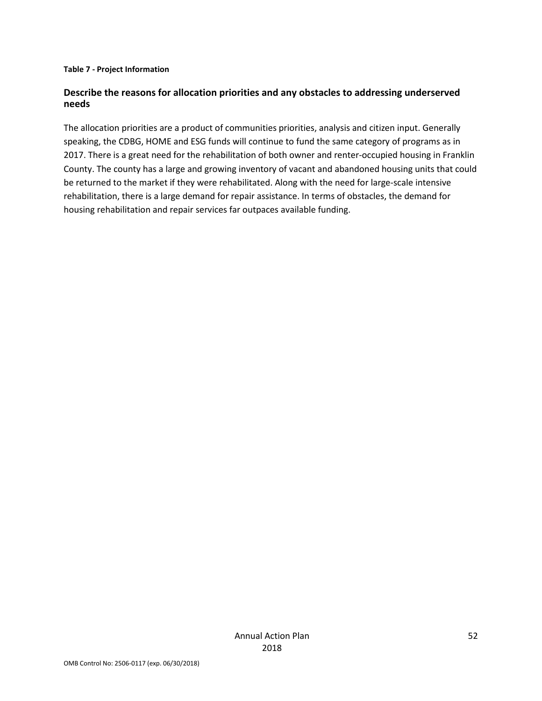#### **Table 7 - Project Information**

#### **Describe the reasons for allocation priorities and any obstacles to addressing underserved needs**

The allocation priorities are a product of communities priorities, analysis and citizen input. Generally speaking, the CDBG, HOME and ESG funds will continue to fund the same category of programs as in 2017. There is a great need for the rehabilitation of both owner and renter-occupied housing in Franklin County. The county has a large and growing inventory of vacant and abandoned housing units that could be returned to the market if they were rehabilitated. Along with the need for large-scale intensive rehabilitation, there is a large demand for repair assistance. In terms of obstacles, the demand for housing rehabilitation and repair services far outpaces available funding.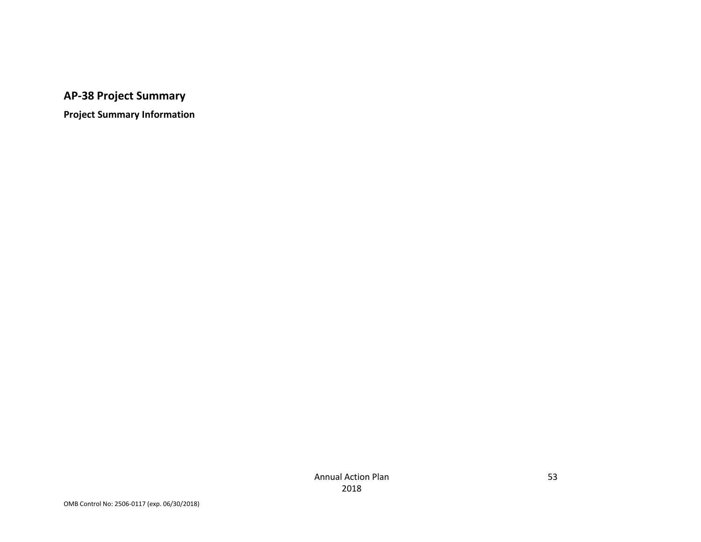**AP-38 Project Summary**

**Project Summary Information**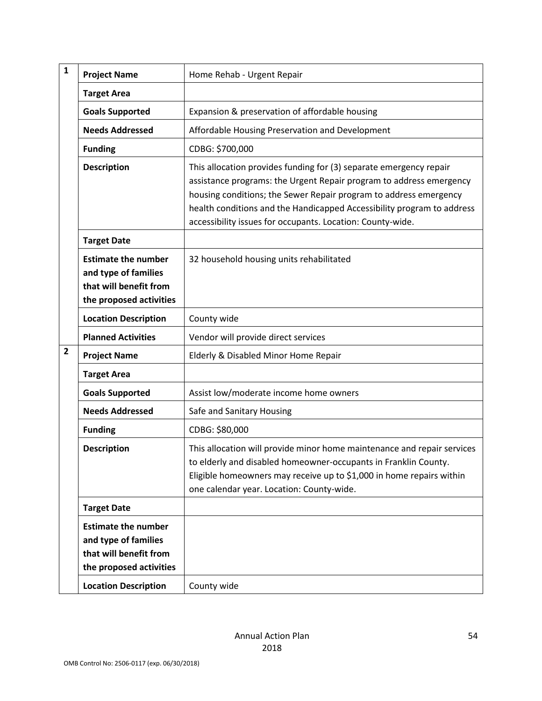| $\mathbf{1}$   | <b>Project Name</b>                                                                                     | Home Rehab - Urgent Repair                                                                                                                                                                                                                                                                                                                             |
|----------------|---------------------------------------------------------------------------------------------------------|--------------------------------------------------------------------------------------------------------------------------------------------------------------------------------------------------------------------------------------------------------------------------------------------------------------------------------------------------------|
|                | <b>Target Area</b>                                                                                      |                                                                                                                                                                                                                                                                                                                                                        |
|                | <b>Goals Supported</b>                                                                                  | Expansion & preservation of affordable housing                                                                                                                                                                                                                                                                                                         |
|                | <b>Needs Addressed</b>                                                                                  | Affordable Housing Preservation and Development                                                                                                                                                                                                                                                                                                        |
|                | <b>Funding</b>                                                                                          | CDBG: \$700,000                                                                                                                                                                                                                                                                                                                                        |
|                | <b>Description</b>                                                                                      | This allocation provides funding for (3) separate emergency repair<br>assistance programs: the Urgent Repair program to address emergency<br>housing conditions; the Sewer Repair program to address emergency<br>health conditions and the Handicapped Accessibility program to address<br>accessibility issues for occupants. Location: County-wide. |
|                | <b>Target Date</b>                                                                                      |                                                                                                                                                                                                                                                                                                                                                        |
|                | <b>Estimate the number</b><br>and type of families<br>that will benefit from<br>the proposed activities | 32 household housing units rehabilitated                                                                                                                                                                                                                                                                                                               |
|                | <b>Location Description</b>                                                                             | County wide                                                                                                                                                                                                                                                                                                                                            |
|                | <b>Planned Activities</b>                                                                               | Vendor will provide direct services                                                                                                                                                                                                                                                                                                                    |
| $\overline{2}$ | <b>Project Name</b>                                                                                     | Elderly & Disabled Minor Home Repair                                                                                                                                                                                                                                                                                                                   |
|                | <b>Target Area</b>                                                                                      |                                                                                                                                                                                                                                                                                                                                                        |
|                | <b>Goals Supported</b>                                                                                  | Assist low/moderate income home owners                                                                                                                                                                                                                                                                                                                 |
|                | <b>Needs Addressed</b>                                                                                  | Safe and Sanitary Housing                                                                                                                                                                                                                                                                                                                              |
|                | <b>Funding</b>                                                                                          | CDBG: \$80,000                                                                                                                                                                                                                                                                                                                                         |
|                | <b>Description</b>                                                                                      | This allocation will provide minor home maintenance and repair services<br>to elderly and disabled homeowner-occupants in Franklin County.<br>Eligible homeowners may receive up to \$1,000 in home repairs within<br>one calendar year. Location: County-wide.                                                                                        |
|                | <b>Target Date</b>                                                                                      |                                                                                                                                                                                                                                                                                                                                                        |
|                | <b>Estimate the number</b><br>and type of families<br>that will benefit from<br>the proposed activities |                                                                                                                                                                                                                                                                                                                                                        |
|                | <b>Location Description</b>                                                                             | County wide                                                                                                                                                                                                                                                                                                                                            |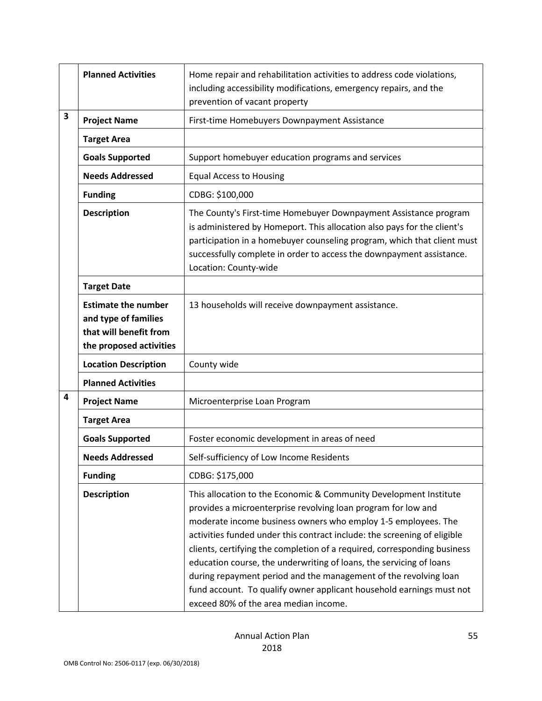|                         | <b>Planned Activities</b>                                                                               | Home repair and rehabilitation activities to address code violations,<br>including accessibility modifications, emergency repairs, and the<br>prevention of vacant property                                                                                                                                                                                                                                                                                                                                                                                                                                             |
|-------------------------|---------------------------------------------------------------------------------------------------------|-------------------------------------------------------------------------------------------------------------------------------------------------------------------------------------------------------------------------------------------------------------------------------------------------------------------------------------------------------------------------------------------------------------------------------------------------------------------------------------------------------------------------------------------------------------------------------------------------------------------------|
| $\overline{\mathbf{3}}$ | <b>Project Name</b>                                                                                     | First-time Homebuyers Downpayment Assistance                                                                                                                                                                                                                                                                                                                                                                                                                                                                                                                                                                            |
|                         | <b>Target Area</b>                                                                                      |                                                                                                                                                                                                                                                                                                                                                                                                                                                                                                                                                                                                                         |
|                         | <b>Goals Supported</b>                                                                                  | Support homebuyer education programs and services                                                                                                                                                                                                                                                                                                                                                                                                                                                                                                                                                                       |
|                         | <b>Needs Addressed</b>                                                                                  | <b>Equal Access to Housing</b>                                                                                                                                                                                                                                                                                                                                                                                                                                                                                                                                                                                          |
|                         | <b>Funding</b>                                                                                          | CDBG: \$100,000                                                                                                                                                                                                                                                                                                                                                                                                                                                                                                                                                                                                         |
|                         | <b>Description</b>                                                                                      | The County's First-time Homebuyer Downpayment Assistance program<br>is administered by Homeport. This allocation also pays for the client's<br>participation in a homebuyer counseling program, which that client must<br>successfully complete in order to access the downpayment assistance.<br>Location: County-wide                                                                                                                                                                                                                                                                                                 |
|                         | <b>Target Date</b>                                                                                      |                                                                                                                                                                                                                                                                                                                                                                                                                                                                                                                                                                                                                         |
|                         | <b>Estimate the number</b><br>and type of families<br>that will benefit from<br>the proposed activities | 13 households will receive downpayment assistance.                                                                                                                                                                                                                                                                                                                                                                                                                                                                                                                                                                      |
|                         | <b>Location Description</b>                                                                             | County wide                                                                                                                                                                                                                                                                                                                                                                                                                                                                                                                                                                                                             |
|                         | <b>Planned Activities</b>                                                                               |                                                                                                                                                                                                                                                                                                                                                                                                                                                                                                                                                                                                                         |
| 4                       | <b>Project Name</b>                                                                                     | Microenterprise Loan Program                                                                                                                                                                                                                                                                                                                                                                                                                                                                                                                                                                                            |
|                         | <b>Target Area</b>                                                                                      |                                                                                                                                                                                                                                                                                                                                                                                                                                                                                                                                                                                                                         |
|                         | <b>Goals Supported</b>                                                                                  | Foster economic development in areas of need                                                                                                                                                                                                                                                                                                                                                                                                                                                                                                                                                                            |
|                         | <b>Needs Addressed</b>                                                                                  | Self-sufficiency of Low Income Residents                                                                                                                                                                                                                                                                                                                                                                                                                                                                                                                                                                                |
|                         | <b>Funding</b>                                                                                          | CDBG: \$175,000                                                                                                                                                                                                                                                                                                                                                                                                                                                                                                                                                                                                         |
|                         | <b>Description</b>                                                                                      | This allocation to the Economic & Community Development Institute<br>provides a microenterprise revolving loan program for low and<br>moderate income business owners who employ 1-5 employees. The<br>activities funded under this contract include: the screening of eligible<br>clients, certifying the completion of a required, corresponding business<br>education course, the underwriting of loans, the servicing of loans<br>during repayment period and the management of the revolving loan<br>fund account. To qualify owner applicant household earnings must not<br>exceed 80% of the area median income. |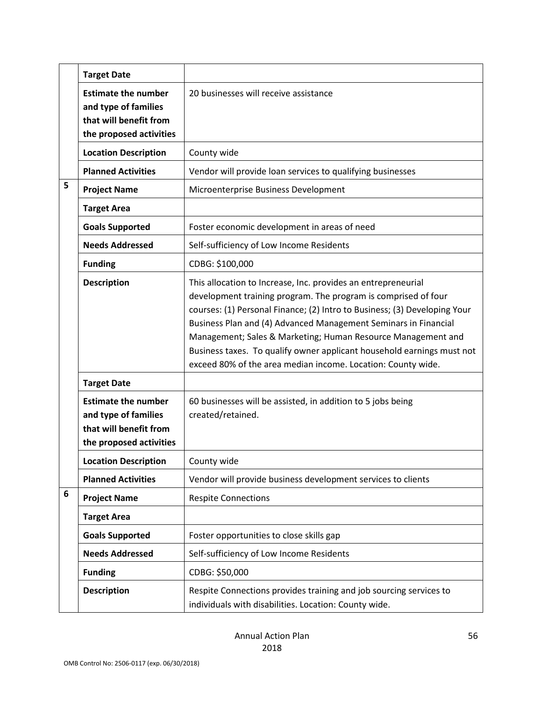|   | <b>Target Date</b>                                                                                      |                                                                                                                                                                                                                                                                                                                                                                                                                                                                                           |
|---|---------------------------------------------------------------------------------------------------------|-------------------------------------------------------------------------------------------------------------------------------------------------------------------------------------------------------------------------------------------------------------------------------------------------------------------------------------------------------------------------------------------------------------------------------------------------------------------------------------------|
|   | <b>Estimate the number</b><br>and type of families<br>that will benefit from<br>the proposed activities | 20 businesses will receive assistance                                                                                                                                                                                                                                                                                                                                                                                                                                                     |
|   | <b>Location Description</b>                                                                             | County wide                                                                                                                                                                                                                                                                                                                                                                                                                                                                               |
|   | <b>Planned Activities</b>                                                                               | Vendor will provide loan services to qualifying businesses                                                                                                                                                                                                                                                                                                                                                                                                                                |
| 5 | <b>Project Name</b>                                                                                     | Microenterprise Business Development                                                                                                                                                                                                                                                                                                                                                                                                                                                      |
|   | <b>Target Area</b>                                                                                      |                                                                                                                                                                                                                                                                                                                                                                                                                                                                                           |
|   | <b>Goals Supported</b>                                                                                  | Foster economic development in areas of need                                                                                                                                                                                                                                                                                                                                                                                                                                              |
|   | <b>Needs Addressed</b>                                                                                  | Self-sufficiency of Low Income Residents                                                                                                                                                                                                                                                                                                                                                                                                                                                  |
|   | <b>Funding</b>                                                                                          | CDBG: \$100,000                                                                                                                                                                                                                                                                                                                                                                                                                                                                           |
|   | <b>Description</b>                                                                                      | This allocation to Increase, Inc. provides an entrepreneurial<br>development training program. The program is comprised of four<br>courses: (1) Personal Finance; (2) Intro to Business; (3) Developing Your<br>Business Plan and (4) Advanced Management Seminars in Financial<br>Management; Sales & Marketing; Human Resource Management and<br>Business taxes. To qualify owner applicant household earnings must not<br>exceed 80% of the area median income. Location: County wide. |
|   | <b>Target Date</b>                                                                                      |                                                                                                                                                                                                                                                                                                                                                                                                                                                                                           |
|   | <b>Estimate the number</b><br>and type of families<br>that will benefit from<br>the proposed activities | 60 businesses will be assisted, in addition to 5 jobs being<br>created/retained.                                                                                                                                                                                                                                                                                                                                                                                                          |
|   | <b>Location Description</b>                                                                             | County wide                                                                                                                                                                                                                                                                                                                                                                                                                                                                               |
|   | <b>Planned Activities</b>                                                                               | Vendor will provide business development services to clients                                                                                                                                                                                                                                                                                                                                                                                                                              |
| 6 | <b>Project Name</b>                                                                                     | <b>Respite Connections</b>                                                                                                                                                                                                                                                                                                                                                                                                                                                                |
|   | <b>Target Area</b>                                                                                      |                                                                                                                                                                                                                                                                                                                                                                                                                                                                                           |
|   | <b>Goals Supported</b>                                                                                  | Foster opportunities to close skills gap                                                                                                                                                                                                                                                                                                                                                                                                                                                  |
|   | <b>Needs Addressed</b>                                                                                  | Self-sufficiency of Low Income Residents                                                                                                                                                                                                                                                                                                                                                                                                                                                  |
|   | <b>Funding</b>                                                                                          | CDBG: \$50,000                                                                                                                                                                                                                                                                                                                                                                                                                                                                            |
|   | <b>Description</b>                                                                                      | Respite Connections provides training and job sourcing services to<br>individuals with disabilities. Location: County wide.                                                                                                                                                                                                                                                                                                                                                               |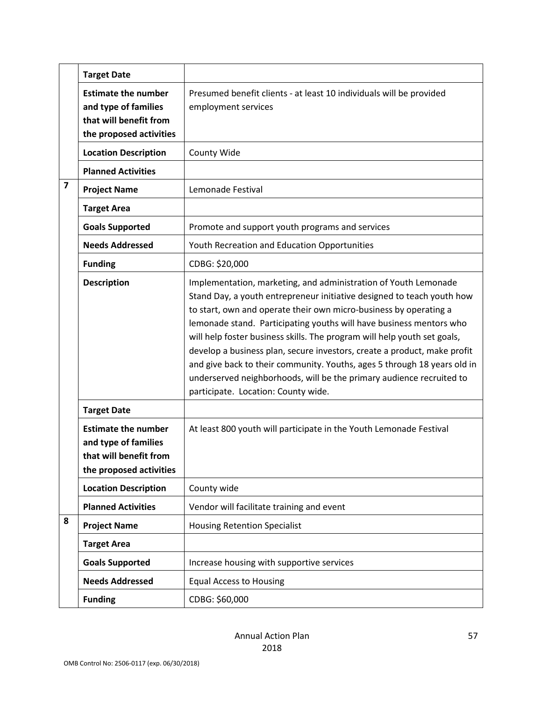|                         | <b>Target Date</b>                                                                                      |                                                                                                                                                                                                                                                                                                                                                                                                                                                                                                                                                                                                                                          |
|-------------------------|---------------------------------------------------------------------------------------------------------|------------------------------------------------------------------------------------------------------------------------------------------------------------------------------------------------------------------------------------------------------------------------------------------------------------------------------------------------------------------------------------------------------------------------------------------------------------------------------------------------------------------------------------------------------------------------------------------------------------------------------------------|
|                         | <b>Estimate the number</b><br>and type of families<br>that will benefit from<br>the proposed activities | Presumed benefit clients - at least 10 individuals will be provided<br>employment services                                                                                                                                                                                                                                                                                                                                                                                                                                                                                                                                               |
|                         | <b>Location Description</b>                                                                             | County Wide                                                                                                                                                                                                                                                                                                                                                                                                                                                                                                                                                                                                                              |
|                         | <b>Planned Activities</b>                                                                               |                                                                                                                                                                                                                                                                                                                                                                                                                                                                                                                                                                                                                                          |
| $\overline{\mathbf{z}}$ | <b>Project Name</b>                                                                                     | Lemonade Festival                                                                                                                                                                                                                                                                                                                                                                                                                                                                                                                                                                                                                        |
|                         | <b>Target Area</b>                                                                                      |                                                                                                                                                                                                                                                                                                                                                                                                                                                                                                                                                                                                                                          |
|                         | <b>Goals Supported</b>                                                                                  | Promote and support youth programs and services                                                                                                                                                                                                                                                                                                                                                                                                                                                                                                                                                                                          |
|                         | <b>Needs Addressed</b>                                                                                  | Youth Recreation and Education Opportunities                                                                                                                                                                                                                                                                                                                                                                                                                                                                                                                                                                                             |
|                         | <b>Funding</b>                                                                                          | CDBG: \$20,000                                                                                                                                                                                                                                                                                                                                                                                                                                                                                                                                                                                                                           |
|                         | <b>Description</b>                                                                                      | Implementation, marketing, and administration of Youth Lemonade<br>Stand Day, a youth entrepreneur initiative designed to teach youth how<br>to start, own and operate their own micro-business by operating a<br>lemonade stand. Participating youths will have business mentors who<br>will help foster business skills. The program will help youth set goals,<br>develop a business plan, secure investors, create a product, make profit<br>and give back to their community. Youths, ages 5 through 18 years old in<br>underserved neighborhoods, will be the primary audience recruited to<br>participate. Location: County wide. |
|                         | <b>Target Date</b>                                                                                      |                                                                                                                                                                                                                                                                                                                                                                                                                                                                                                                                                                                                                                          |
|                         | <b>Estimate the number</b><br>and type of families<br>that will benefit from<br>the proposed activities | At least 800 youth will participate in the Youth Lemonade Festival                                                                                                                                                                                                                                                                                                                                                                                                                                                                                                                                                                       |
|                         | <b>Location Description</b>                                                                             | County wide                                                                                                                                                                                                                                                                                                                                                                                                                                                                                                                                                                                                                              |
|                         | <b>Planned Activities</b>                                                                               | Vendor will facilitate training and event                                                                                                                                                                                                                                                                                                                                                                                                                                                                                                                                                                                                |
| 8                       | <b>Project Name</b>                                                                                     | <b>Housing Retention Specialist</b>                                                                                                                                                                                                                                                                                                                                                                                                                                                                                                                                                                                                      |
|                         | <b>Target Area</b>                                                                                      |                                                                                                                                                                                                                                                                                                                                                                                                                                                                                                                                                                                                                                          |
|                         | <b>Goals Supported</b>                                                                                  | Increase housing with supportive services                                                                                                                                                                                                                                                                                                                                                                                                                                                                                                                                                                                                |
|                         | <b>Needs Addressed</b>                                                                                  | <b>Equal Access to Housing</b>                                                                                                                                                                                                                                                                                                                                                                                                                                                                                                                                                                                                           |
|                         | <b>Funding</b>                                                                                          | CDBG: \$60,000                                                                                                                                                                                                                                                                                                                                                                                                                                                                                                                                                                                                                           |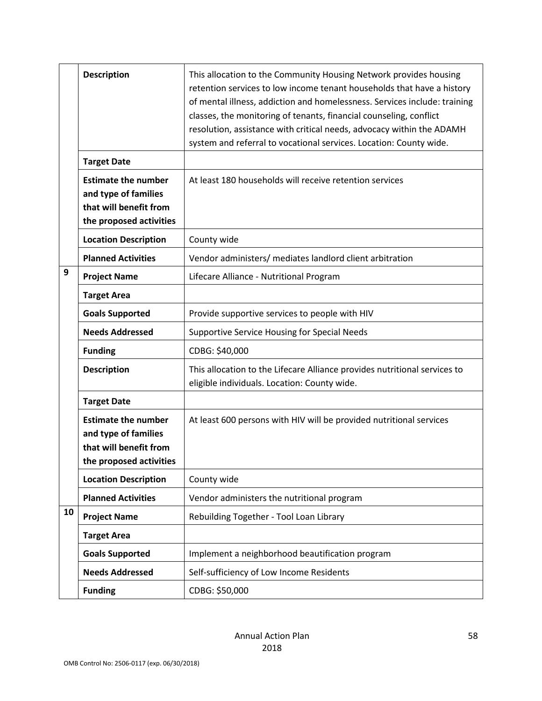|    | <b>Description</b>                                                                                      | This allocation to the Community Housing Network provides housing<br>retention services to low income tenant households that have a history<br>of mental illness, addiction and homelessness. Services include: training<br>classes, the monitoring of tenants, financial counseling, conflict<br>resolution, assistance with critical needs, advocacy within the ADAMH<br>system and referral to vocational services. Location: County wide. |
|----|---------------------------------------------------------------------------------------------------------|-----------------------------------------------------------------------------------------------------------------------------------------------------------------------------------------------------------------------------------------------------------------------------------------------------------------------------------------------------------------------------------------------------------------------------------------------|
|    | <b>Target Date</b>                                                                                      |                                                                                                                                                                                                                                                                                                                                                                                                                                               |
|    | <b>Estimate the number</b><br>and type of families<br>that will benefit from<br>the proposed activities | At least 180 households will receive retention services                                                                                                                                                                                                                                                                                                                                                                                       |
|    | <b>Location Description</b>                                                                             | County wide                                                                                                                                                                                                                                                                                                                                                                                                                                   |
|    | <b>Planned Activities</b>                                                                               | Vendor administers/ mediates landlord client arbitration                                                                                                                                                                                                                                                                                                                                                                                      |
| 9  | <b>Project Name</b>                                                                                     | Lifecare Alliance - Nutritional Program                                                                                                                                                                                                                                                                                                                                                                                                       |
|    | <b>Target Area</b>                                                                                      |                                                                                                                                                                                                                                                                                                                                                                                                                                               |
|    | <b>Goals Supported</b>                                                                                  | Provide supportive services to people with HIV                                                                                                                                                                                                                                                                                                                                                                                                |
|    | <b>Needs Addressed</b>                                                                                  | Supportive Service Housing for Special Needs                                                                                                                                                                                                                                                                                                                                                                                                  |
|    | <b>Funding</b>                                                                                          | CDBG: \$40,000                                                                                                                                                                                                                                                                                                                                                                                                                                |
|    | <b>Description</b>                                                                                      | This allocation to the Lifecare Alliance provides nutritional services to<br>eligible individuals. Location: County wide.                                                                                                                                                                                                                                                                                                                     |
|    | <b>Target Date</b>                                                                                      |                                                                                                                                                                                                                                                                                                                                                                                                                                               |
|    | <b>Estimate the number</b><br>and type of families<br>that will benefit from<br>the proposed activities | At least 600 persons with HIV will be provided nutritional services                                                                                                                                                                                                                                                                                                                                                                           |
|    | <b>Location Description</b>                                                                             | County wide                                                                                                                                                                                                                                                                                                                                                                                                                                   |
|    | <b>Planned Activities</b>                                                                               | Vendor administers the nutritional program                                                                                                                                                                                                                                                                                                                                                                                                    |
| 10 | <b>Project Name</b>                                                                                     | Rebuilding Together - Tool Loan Library                                                                                                                                                                                                                                                                                                                                                                                                       |
|    | <b>Target Area</b>                                                                                      |                                                                                                                                                                                                                                                                                                                                                                                                                                               |
|    | <b>Goals Supported</b>                                                                                  | Implement a neighborhood beautification program                                                                                                                                                                                                                                                                                                                                                                                               |
|    | <b>Needs Addressed</b>                                                                                  | Self-sufficiency of Low Income Residents                                                                                                                                                                                                                                                                                                                                                                                                      |
|    | <b>Funding</b>                                                                                          | CDBG: \$50,000                                                                                                                                                                                                                                                                                                                                                                                                                                |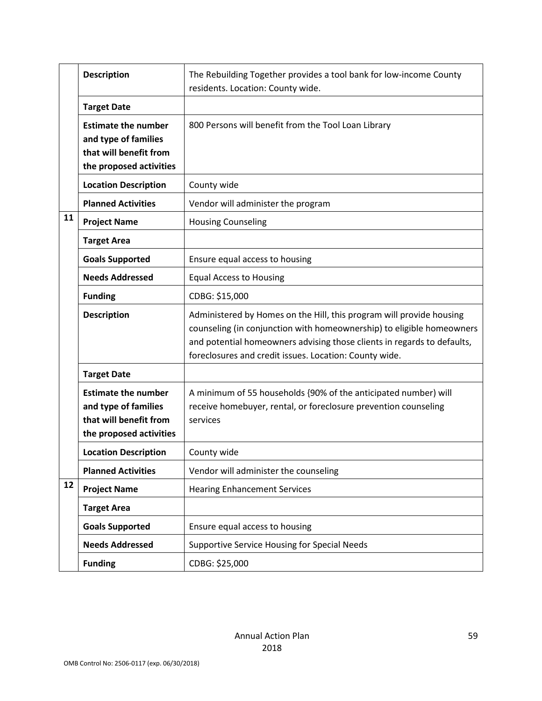|    | <b>Description</b>                                                                                      | The Rebuilding Together provides a tool bank for low-income County<br>residents. Location: County wide.                                                                                                                                                                            |
|----|---------------------------------------------------------------------------------------------------------|------------------------------------------------------------------------------------------------------------------------------------------------------------------------------------------------------------------------------------------------------------------------------------|
|    | <b>Target Date</b>                                                                                      |                                                                                                                                                                                                                                                                                    |
|    | <b>Estimate the number</b><br>and type of families<br>that will benefit from<br>the proposed activities | 800 Persons will benefit from the Tool Loan Library                                                                                                                                                                                                                                |
|    | <b>Location Description</b>                                                                             | County wide                                                                                                                                                                                                                                                                        |
|    | <b>Planned Activities</b>                                                                               | Vendor will administer the program                                                                                                                                                                                                                                                 |
| 11 | <b>Project Name</b>                                                                                     | <b>Housing Counseling</b>                                                                                                                                                                                                                                                          |
|    | <b>Target Area</b>                                                                                      |                                                                                                                                                                                                                                                                                    |
|    | <b>Goals Supported</b>                                                                                  | Ensure equal access to housing                                                                                                                                                                                                                                                     |
|    | <b>Needs Addressed</b>                                                                                  | <b>Equal Access to Housing</b>                                                                                                                                                                                                                                                     |
|    | <b>Funding</b>                                                                                          | CDBG: \$15,000                                                                                                                                                                                                                                                                     |
|    | <b>Description</b>                                                                                      | Administered by Homes on the Hill, this program will provide housing<br>counseling (in conjunction with homeownership) to eligible homeowners<br>and potential homeowners advising those clients in regards to defaults,<br>foreclosures and credit issues. Location: County wide. |
|    | <b>Target Date</b>                                                                                      |                                                                                                                                                                                                                                                                                    |
|    | <b>Estimate the number</b><br>and type of families<br>that will benefit from<br>the proposed activities | A minimum of 55 households {90% of the anticipated number) will<br>receive homebuyer, rental, or foreclosure prevention counseling<br>services                                                                                                                                     |
|    | <b>Location Description</b>                                                                             | County wide                                                                                                                                                                                                                                                                        |
|    | <b>Planned Activities</b>                                                                               | Vendor will administer the counseling                                                                                                                                                                                                                                              |
| 12 | <b>Project Name</b>                                                                                     | <b>Hearing Enhancement Services</b>                                                                                                                                                                                                                                                |
|    | <b>Target Area</b>                                                                                      |                                                                                                                                                                                                                                                                                    |
|    | <b>Goals Supported</b>                                                                                  | Ensure equal access to housing                                                                                                                                                                                                                                                     |
|    | <b>Needs Addressed</b>                                                                                  | Supportive Service Housing for Special Needs                                                                                                                                                                                                                                       |
|    | <b>Funding</b>                                                                                          | CDBG: \$25,000                                                                                                                                                                                                                                                                     |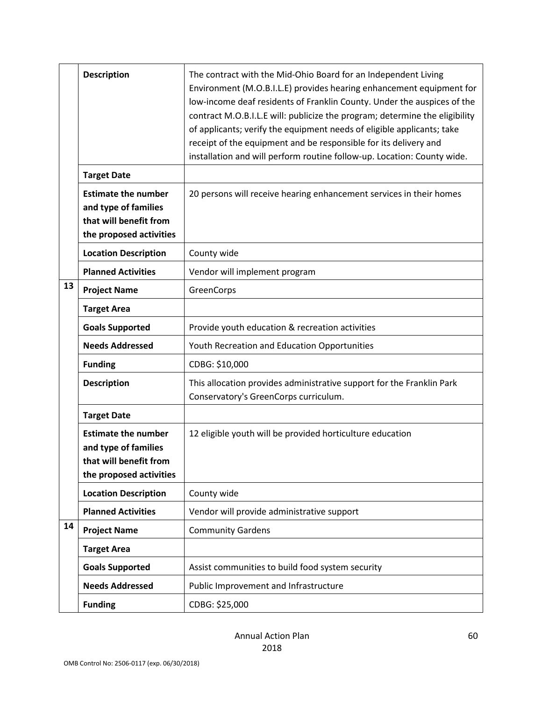|    | <b>Description</b>                                                                                      | The contract with the Mid-Ohio Board for an Independent Living<br>Environment (M.O.B.I.L.E) provides hearing enhancement equipment for<br>low-income deaf residents of Franklin County. Under the auspices of the<br>contract M.O.B.I.L.E will: publicize the program; determine the eligibility<br>of applicants; verify the equipment needs of eligible applicants; take<br>receipt of the equipment and be responsible for its delivery and<br>installation and will perform routine follow-up. Location: County wide. |
|----|---------------------------------------------------------------------------------------------------------|---------------------------------------------------------------------------------------------------------------------------------------------------------------------------------------------------------------------------------------------------------------------------------------------------------------------------------------------------------------------------------------------------------------------------------------------------------------------------------------------------------------------------|
|    | <b>Target Date</b>                                                                                      |                                                                                                                                                                                                                                                                                                                                                                                                                                                                                                                           |
|    | <b>Estimate the number</b><br>and type of families<br>that will benefit from<br>the proposed activities | 20 persons will receive hearing enhancement services in their homes                                                                                                                                                                                                                                                                                                                                                                                                                                                       |
|    | <b>Location Description</b>                                                                             | County wide                                                                                                                                                                                                                                                                                                                                                                                                                                                                                                               |
|    | <b>Planned Activities</b>                                                                               | Vendor will implement program                                                                                                                                                                                                                                                                                                                                                                                                                                                                                             |
| 13 | <b>Project Name</b>                                                                                     | GreenCorps                                                                                                                                                                                                                                                                                                                                                                                                                                                                                                                |
|    | <b>Target Area</b>                                                                                      |                                                                                                                                                                                                                                                                                                                                                                                                                                                                                                                           |
|    | <b>Goals Supported</b>                                                                                  | Provide youth education & recreation activities                                                                                                                                                                                                                                                                                                                                                                                                                                                                           |
|    | <b>Needs Addressed</b>                                                                                  | Youth Recreation and Education Opportunities                                                                                                                                                                                                                                                                                                                                                                                                                                                                              |
|    | <b>Funding</b>                                                                                          | CDBG: \$10,000                                                                                                                                                                                                                                                                                                                                                                                                                                                                                                            |
|    | <b>Description</b>                                                                                      | This allocation provides administrative support for the Franklin Park<br>Conservatory's GreenCorps curriculum.                                                                                                                                                                                                                                                                                                                                                                                                            |
|    | <b>Target Date</b>                                                                                      |                                                                                                                                                                                                                                                                                                                                                                                                                                                                                                                           |
|    | <b>Estimate the number</b><br>and type of families<br>that will benefit from<br>the proposed activities | 12 eligible youth will be provided horticulture education                                                                                                                                                                                                                                                                                                                                                                                                                                                                 |
|    | <b>Location Description</b>                                                                             | County wide                                                                                                                                                                                                                                                                                                                                                                                                                                                                                                               |
|    | <b>Planned Activities</b>                                                                               | Vendor will provide administrative support                                                                                                                                                                                                                                                                                                                                                                                                                                                                                |
| 14 | <b>Project Name</b>                                                                                     | <b>Community Gardens</b>                                                                                                                                                                                                                                                                                                                                                                                                                                                                                                  |
|    | <b>Target Area</b>                                                                                      |                                                                                                                                                                                                                                                                                                                                                                                                                                                                                                                           |
|    | <b>Goals Supported</b>                                                                                  | Assist communities to build food system security                                                                                                                                                                                                                                                                                                                                                                                                                                                                          |
|    | <b>Needs Addressed</b>                                                                                  | Public Improvement and Infrastructure                                                                                                                                                                                                                                                                                                                                                                                                                                                                                     |
|    | <b>Funding</b>                                                                                          | CDBG: \$25,000                                                                                                                                                                                                                                                                                                                                                                                                                                                                                                            |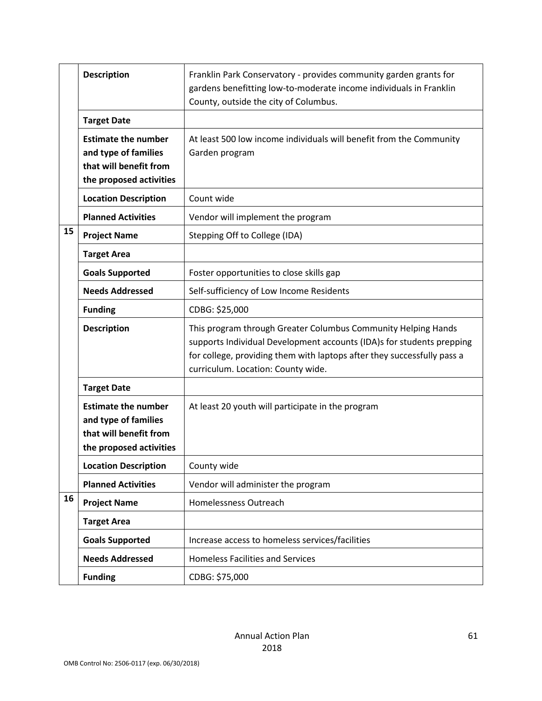|    | <b>Description</b>                                                                                      | Franklin Park Conservatory - provides community garden grants for<br>gardens benefitting low-to-moderate income individuals in Franklin<br>County, outside the city of Columbus.                                                                        |
|----|---------------------------------------------------------------------------------------------------------|---------------------------------------------------------------------------------------------------------------------------------------------------------------------------------------------------------------------------------------------------------|
|    | <b>Target Date</b>                                                                                      |                                                                                                                                                                                                                                                         |
|    | <b>Estimate the number</b><br>and type of families<br>that will benefit from<br>the proposed activities | At least 500 low income individuals will benefit from the Community<br>Garden program                                                                                                                                                                   |
|    | <b>Location Description</b>                                                                             | Count wide                                                                                                                                                                                                                                              |
|    | <b>Planned Activities</b>                                                                               | Vendor will implement the program                                                                                                                                                                                                                       |
| 15 | <b>Project Name</b>                                                                                     | Stepping Off to College (IDA)                                                                                                                                                                                                                           |
|    | <b>Target Area</b>                                                                                      |                                                                                                                                                                                                                                                         |
|    | <b>Goals Supported</b>                                                                                  | Foster opportunities to close skills gap                                                                                                                                                                                                                |
|    | <b>Needs Addressed</b>                                                                                  | Self-sufficiency of Low Income Residents                                                                                                                                                                                                                |
|    | <b>Funding</b>                                                                                          | CDBG: \$25,000                                                                                                                                                                                                                                          |
|    | <b>Description</b>                                                                                      | This program through Greater Columbus Community Helping Hands<br>supports Individual Development accounts (IDA)s for students prepping<br>for college, providing them with laptops after they successfully pass a<br>curriculum. Location: County wide. |
|    | <b>Target Date</b>                                                                                      |                                                                                                                                                                                                                                                         |
|    | <b>Estimate the number</b><br>and type of families<br>that will benefit from<br>the proposed activities | At least 20 youth will participate in the program                                                                                                                                                                                                       |
|    | <b>Location Description</b>                                                                             | County wide                                                                                                                                                                                                                                             |
|    | <b>Planned Activities</b>                                                                               | Vendor will administer the program                                                                                                                                                                                                                      |
| 16 | <b>Project Name</b>                                                                                     | Homelessness Outreach                                                                                                                                                                                                                                   |
|    | <b>Target Area</b>                                                                                      |                                                                                                                                                                                                                                                         |
|    | <b>Goals Supported</b>                                                                                  | Increase access to homeless services/facilities                                                                                                                                                                                                         |
|    | <b>Needs Addressed</b>                                                                                  | <b>Homeless Facilities and Services</b>                                                                                                                                                                                                                 |
|    | <b>Funding</b>                                                                                          | CDBG: \$75,000                                                                                                                                                                                                                                          |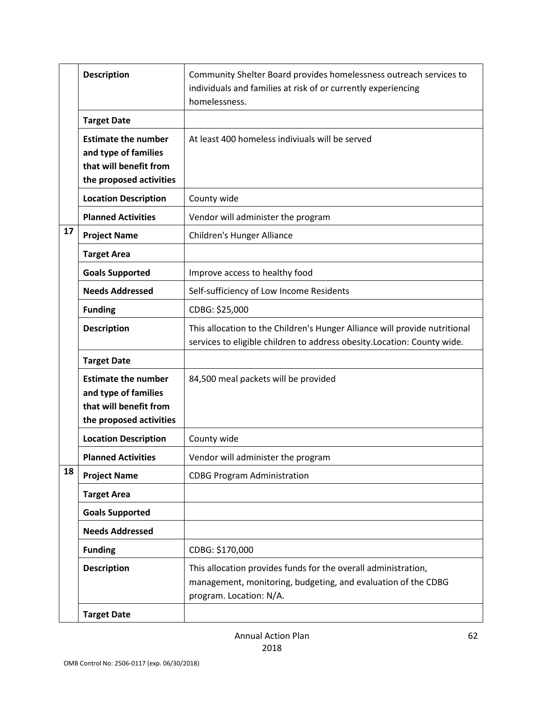|    | <b>Description</b>                                                                                      | Community Shelter Board provides homelessness outreach services to<br>individuals and families at risk of or currently experiencing<br>homelessness.       |
|----|---------------------------------------------------------------------------------------------------------|------------------------------------------------------------------------------------------------------------------------------------------------------------|
|    | <b>Target Date</b>                                                                                      |                                                                                                                                                            |
|    | <b>Estimate the number</b><br>and type of families<br>that will benefit from<br>the proposed activities | At least 400 homeless indiviuals will be served                                                                                                            |
|    | <b>Location Description</b>                                                                             | County wide                                                                                                                                                |
|    | <b>Planned Activities</b>                                                                               | Vendor will administer the program                                                                                                                         |
| 17 | <b>Project Name</b>                                                                                     | <b>Children's Hunger Alliance</b>                                                                                                                          |
|    | <b>Target Area</b>                                                                                      |                                                                                                                                                            |
|    | <b>Goals Supported</b>                                                                                  | Improve access to healthy food                                                                                                                             |
|    | <b>Needs Addressed</b>                                                                                  | Self-sufficiency of Low Income Residents                                                                                                                   |
|    | <b>Funding</b>                                                                                          | CDBG: \$25,000                                                                                                                                             |
|    | <b>Description</b>                                                                                      | This allocation to the Children's Hunger Alliance will provide nutritional<br>services to eligible children to address obesity. Location: County wide.     |
|    | <b>Target Date</b>                                                                                      |                                                                                                                                                            |
|    | <b>Estimate the number</b><br>and type of families<br>that will benefit from<br>the proposed activities | 84,500 meal packets will be provided                                                                                                                       |
|    | <b>Location Description</b>                                                                             | County wide                                                                                                                                                |
|    | <b>Planned Activities</b>                                                                               | Vendor will administer the program                                                                                                                         |
| 18 | <b>Project Name</b>                                                                                     | <b>CDBG Program Administration</b>                                                                                                                         |
|    | <b>Target Area</b>                                                                                      |                                                                                                                                                            |
|    | <b>Goals Supported</b>                                                                                  |                                                                                                                                                            |
|    | <b>Needs Addressed</b>                                                                                  |                                                                                                                                                            |
|    | <b>Funding</b>                                                                                          | CDBG: \$170,000                                                                                                                                            |
|    | <b>Description</b>                                                                                      | This allocation provides funds for the overall administration,<br>management, monitoring, budgeting, and evaluation of the CDBG<br>program. Location: N/A. |
|    | <b>Target Date</b>                                                                                      |                                                                                                                                                            |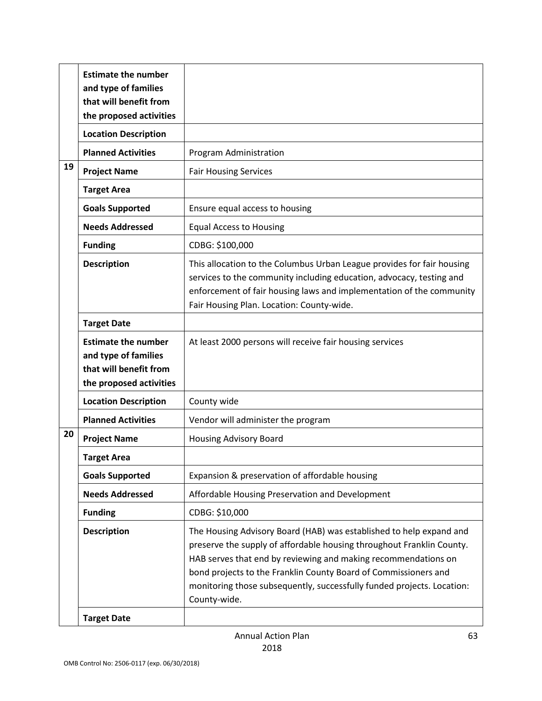|    | <b>Estimate the number</b><br>and type of families<br>that will benefit from<br>the proposed activities |                                                                                                                                                                                                                                                                                                                                                                             |
|----|---------------------------------------------------------------------------------------------------------|-----------------------------------------------------------------------------------------------------------------------------------------------------------------------------------------------------------------------------------------------------------------------------------------------------------------------------------------------------------------------------|
|    | <b>Location Description</b>                                                                             |                                                                                                                                                                                                                                                                                                                                                                             |
|    | <b>Planned Activities</b>                                                                               | Program Administration                                                                                                                                                                                                                                                                                                                                                      |
| 19 | <b>Project Name</b>                                                                                     | <b>Fair Housing Services</b>                                                                                                                                                                                                                                                                                                                                                |
|    | <b>Target Area</b>                                                                                      |                                                                                                                                                                                                                                                                                                                                                                             |
|    | <b>Goals Supported</b>                                                                                  | Ensure equal access to housing                                                                                                                                                                                                                                                                                                                                              |
|    | <b>Needs Addressed</b>                                                                                  | <b>Equal Access to Housing</b>                                                                                                                                                                                                                                                                                                                                              |
|    | <b>Funding</b>                                                                                          | CDBG: \$100,000                                                                                                                                                                                                                                                                                                                                                             |
|    | <b>Description</b>                                                                                      | This allocation to the Columbus Urban League provides for fair housing<br>services to the community including education, advocacy, testing and<br>enforcement of fair housing laws and implementation of the community<br>Fair Housing Plan. Location: County-wide.                                                                                                         |
|    | <b>Target Date</b>                                                                                      |                                                                                                                                                                                                                                                                                                                                                                             |
|    | <b>Estimate the number</b><br>and type of families<br>that will benefit from<br>the proposed activities | At least 2000 persons will receive fair housing services                                                                                                                                                                                                                                                                                                                    |
|    | <b>Location Description</b>                                                                             | County wide                                                                                                                                                                                                                                                                                                                                                                 |
|    | <b>Planned Activities</b>                                                                               | Vendor will administer the program                                                                                                                                                                                                                                                                                                                                          |
| 20 | <b>Project Name</b>                                                                                     | <b>Housing Advisory Board</b>                                                                                                                                                                                                                                                                                                                                               |
|    | <b>Target Area</b>                                                                                      |                                                                                                                                                                                                                                                                                                                                                                             |
|    | <b>Goals Supported</b>                                                                                  | Expansion & preservation of affordable housing                                                                                                                                                                                                                                                                                                                              |
|    | <b>Needs Addressed</b>                                                                                  | Affordable Housing Preservation and Development                                                                                                                                                                                                                                                                                                                             |
|    | <b>Funding</b>                                                                                          | CDBG: \$10,000                                                                                                                                                                                                                                                                                                                                                              |
|    | <b>Description</b>                                                                                      | The Housing Advisory Board (HAB) was established to help expand and<br>preserve the supply of affordable housing throughout Franklin County.<br>HAB serves that end by reviewing and making recommendations on<br>bond projects to the Franklin County Board of Commissioners and<br>monitoring those subsequently, successfully funded projects. Location:<br>County-wide. |
|    | <b>Target Date</b>                                                                                      |                                                                                                                                                                                                                                                                                                                                                                             |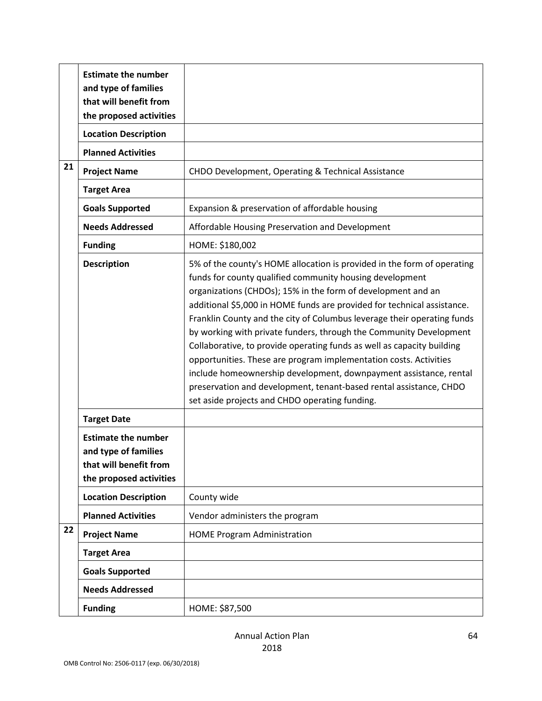|    | <b>Estimate the number</b><br>and type of families                                                      |                                                                                                                                                                                                                                                                                                                                                                                                                                                                                                                                                                                                                                                                                                                                                                             |
|----|---------------------------------------------------------------------------------------------------------|-----------------------------------------------------------------------------------------------------------------------------------------------------------------------------------------------------------------------------------------------------------------------------------------------------------------------------------------------------------------------------------------------------------------------------------------------------------------------------------------------------------------------------------------------------------------------------------------------------------------------------------------------------------------------------------------------------------------------------------------------------------------------------|
|    | that will benefit from<br>the proposed activities                                                       |                                                                                                                                                                                                                                                                                                                                                                                                                                                                                                                                                                                                                                                                                                                                                                             |
|    | <b>Location Description</b>                                                                             |                                                                                                                                                                                                                                                                                                                                                                                                                                                                                                                                                                                                                                                                                                                                                                             |
|    | <b>Planned Activities</b>                                                                               |                                                                                                                                                                                                                                                                                                                                                                                                                                                                                                                                                                                                                                                                                                                                                                             |
| 21 | <b>Project Name</b>                                                                                     | CHDO Development, Operating & Technical Assistance                                                                                                                                                                                                                                                                                                                                                                                                                                                                                                                                                                                                                                                                                                                          |
|    | <b>Target Area</b>                                                                                      |                                                                                                                                                                                                                                                                                                                                                                                                                                                                                                                                                                                                                                                                                                                                                                             |
|    | <b>Goals Supported</b>                                                                                  | Expansion & preservation of affordable housing                                                                                                                                                                                                                                                                                                                                                                                                                                                                                                                                                                                                                                                                                                                              |
|    | <b>Needs Addressed</b>                                                                                  | Affordable Housing Preservation and Development                                                                                                                                                                                                                                                                                                                                                                                                                                                                                                                                                                                                                                                                                                                             |
|    | <b>Funding</b>                                                                                          | HOME: \$180,002                                                                                                                                                                                                                                                                                                                                                                                                                                                                                                                                                                                                                                                                                                                                                             |
|    | <b>Description</b>                                                                                      | 5% of the county's HOME allocation is provided in the form of operating<br>funds for county qualified community housing development<br>organizations (CHDOs); 15% in the form of development and an<br>additional \$5,000 in HOME funds are provided for technical assistance.<br>Franklin County and the city of Columbus leverage their operating funds<br>by working with private funders, through the Community Development<br>Collaborative, to provide operating funds as well as capacity building<br>opportunities. These are program implementation costs. Activities<br>include homeownership development, downpayment assistance, rental<br>preservation and development, tenant-based rental assistance, CHDO<br>set aside projects and CHDO operating funding. |
|    | <b>Target Date</b>                                                                                      |                                                                                                                                                                                                                                                                                                                                                                                                                                                                                                                                                                                                                                                                                                                                                                             |
|    | <b>Estimate the number</b><br>and type of families<br>that will benefit from<br>the proposed activities |                                                                                                                                                                                                                                                                                                                                                                                                                                                                                                                                                                                                                                                                                                                                                                             |
|    | <b>Location Description</b>                                                                             | County wide                                                                                                                                                                                                                                                                                                                                                                                                                                                                                                                                                                                                                                                                                                                                                                 |
|    | <b>Planned Activities</b>                                                                               | Vendor administers the program                                                                                                                                                                                                                                                                                                                                                                                                                                                                                                                                                                                                                                                                                                                                              |
| 22 | <b>Project Name</b>                                                                                     | <b>HOME Program Administration</b>                                                                                                                                                                                                                                                                                                                                                                                                                                                                                                                                                                                                                                                                                                                                          |
|    | <b>Target Area</b>                                                                                      |                                                                                                                                                                                                                                                                                                                                                                                                                                                                                                                                                                                                                                                                                                                                                                             |
|    | <b>Goals Supported</b>                                                                                  |                                                                                                                                                                                                                                                                                                                                                                                                                                                                                                                                                                                                                                                                                                                                                                             |
|    | <b>Needs Addressed</b>                                                                                  |                                                                                                                                                                                                                                                                                                                                                                                                                                                                                                                                                                                                                                                                                                                                                                             |
|    | <b>Funding</b>                                                                                          | HOME: \$87,500                                                                                                                                                                                                                                                                                                                                                                                                                                                                                                                                                                                                                                                                                                                                                              |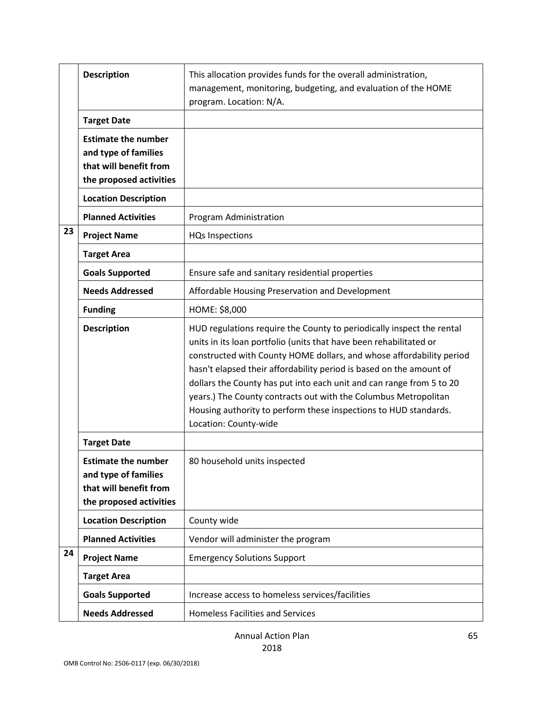|    | <b>Description</b>                                                                                      | This allocation provides funds for the overall administration,<br>management, monitoring, budgeting, and evaluation of the HOME<br>program. Location: N/A.                                                                                                                                                                                                                                                                                                                                                                         |
|----|---------------------------------------------------------------------------------------------------------|------------------------------------------------------------------------------------------------------------------------------------------------------------------------------------------------------------------------------------------------------------------------------------------------------------------------------------------------------------------------------------------------------------------------------------------------------------------------------------------------------------------------------------|
| 23 | <b>Target Date</b>                                                                                      |                                                                                                                                                                                                                                                                                                                                                                                                                                                                                                                                    |
|    | <b>Estimate the number</b><br>and type of families<br>that will benefit from<br>the proposed activities |                                                                                                                                                                                                                                                                                                                                                                                                                                                                                                                                    |
|    | <b>Location Description</b>                                                                             |                                                                                                                                                                                                                                                                                                                                                                                                                                                                                                                                    |
|    | <b>Planned Activities</b>                                                                               | Program Administration                                                                                                                                                                                                                                                                                                                                                                                                                                                                                                             |
|    | <b>Project Name</b>                                                                                     | <b>HQs Inspections</b>                                                                                                                                                                                                                                                                                                                                                                                                                                                                                                             |
|    | <b>Target Area</b>                                                                                      |                                                                                                                                                                                                                                                                                                                                                                                                                                                                                                                                    |
|    | <b>Goals Supported</b>                                                                                  | Ensure safe and sanitary residential properties                                                                                                                                                                                                                                                                                                                                                                                                                                                                                    |
|    | <b>Needs Addressed</b>                                                                                  | Affordable Housing Preservation and Development                                                                                                                                                                                                                                                                                                                                                                                                                                                                                    |
|    | <b>Funding</b>                                                                                          | HOME: \$8,000                                                                                                                                                                                                                                                                                                                                                                                                                                                                                                                      |
|    | <b>Description</b>                                                                                      | HUD regulations require the County to periodically inspect the rental<br>units in its loan portfolio (units that have been rehabilitated or<br>constructed with County HOME dollars, and whose affordability period<br>hasn't elapsed their affordability period is based on the amount of<br>dollars the County has put into each unit and can range from 5 to 20<br>years.) The County contracts out with the Columbus Metropolitan<br>Housing authority to perform these inspections to HUD standards.<br>Location: County-wide |
|    | <b>Target Date</b>                                                                                      |                                                                                                                                                                                                                                                                                                                                                                                                                                                                                                                                    |
|    | <b>Estimate the number</b><br>and type of families<br>that will benefit from<br>the proposed activities | 80 household units inspected                                                                                                                                                                                                                                                                                                                                                                                                                                                                                                       |
|    | <b>Location Description</b>                                                                             | County wide                                                                                                                                                                                                                                                                                                                                                                                                                                                                                                                        |
|    | <b>Planned Activities</b>                                                                               | Vendor will administer the program                                                                                                                                                                                                                                                                                                                                                                                                                                                                                                 |
| 24 | <b>Project Name</b>                                                                                     | <b>Emergency Solutions Support</b>                                                                                                                                                                                                                                                                                                                                                                                                                                                                                                 |
|    | <b>Target Area</b>                                                                                      |                                                                                                                                                                                                                                                                                                                                                                                                                                                                                                                                    |
|    | <b>Goals Supported</b>                                                                                  | Increase access to homeless services/facilities                                                                                                                                                                                                                                                                                                                                                                                                                                                                                    |
|    | <b>Needs Addressed</b>                                                                                  | <b>Homeless Facilities and Services</b>                                                                                                                                                                                                                                                                                                                                                                                                                                                                                            |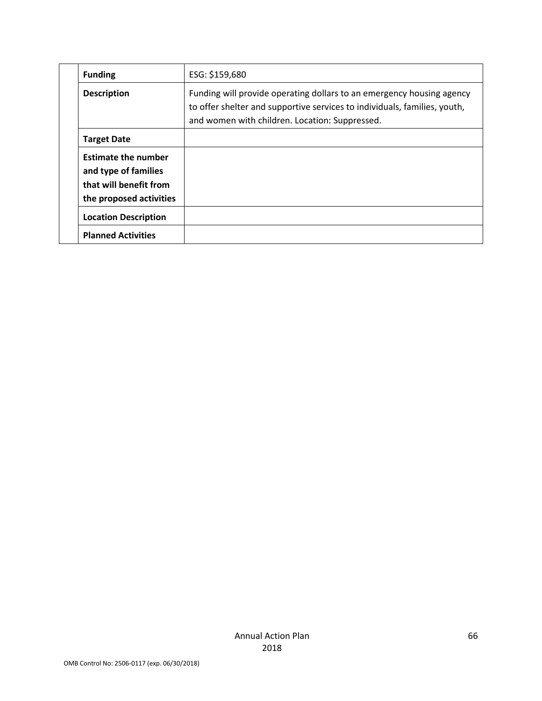|  | <b>Funding</b>                                                                                          | ESG: \$159,680                                                                                                                                                                                       |
|--|---------------------------------------------------------------------------------------------------------|------------------------------------------------------------------------------------------------------------------------------------------------------------------------------------------------------|
|  | <b>Description</b>                                                                                      | Funding will provide operating dollars to an emergency housing agency<br>to offer shelter and supportive services to individuals, families, youth,<br>and women with children. Location: Suppressed. |
|  | <b>Target Date</b>                                                                                      |                                                                                                                                                                                                      |
|  | <b>Estimate the number</b><br>and type of families<br>that will benefit from<br>the proposed activities |                                                                                                                                                                                                      |
|  | <b>Location Description</b>                                                                             |                                                                                                                                                                                                      |
|  | <b>Planned Activities</b>                                                                               |                                                                                                                                                                                                      |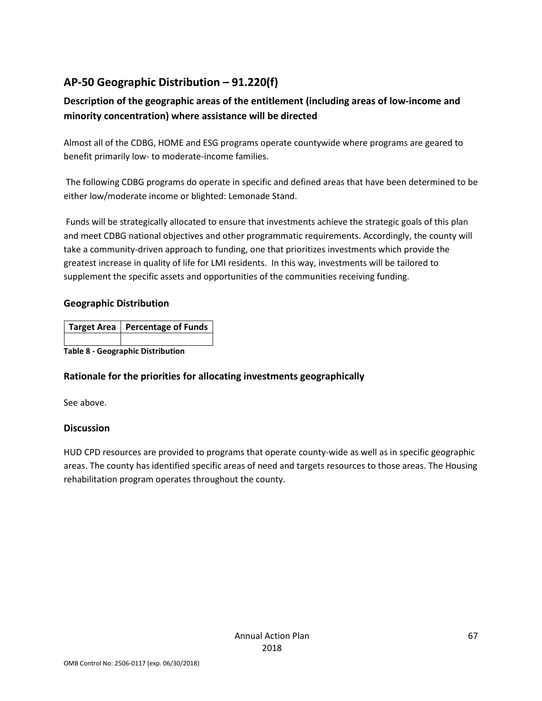# **AP-50 Geographic Distribution – 91.220(f)**

# **Description of the geographic areas of the entitlement (including areas of low-income and minority concentration) where assistance will be directed**

Almost all of the CDBG, HOME and ESG programs operate countywide where programs are geared to benefit primarily low- to moderate-income families.

The following CDBG programs do operate in specific and defined areas that have been determined to be either low/moderate income or blighted: Lemonade Stand.

Funds will be strategically allocated to ensure that investments achieve the strategic goals of this plan and meet CDBG national objectives and other programmatic requirements. Accordingly, the county will take a community-driven approach to funding, one that prioritizes investments which provide the greatest increase in quality of life for LMI residents. In this way, investments will be tailored to supplement the specific assets and opportunities of the communities receiving funding.

#### **Geographic Distribution**

|                                          | Target Area   Percentage of Funds |  |  |  |
|------------------------------------------|-----------------------------------|--|--|--|
|                                          |                                   |  |  |  |
| <b>Table 8 - Geographic Distribution</b> |                                   |  |  |  |

# **Rationale for the priorities for allocating investments geographically**

See above.

### **Discussion**

HUD CPD resources are provided to programs that operate county-wide as well as in specific geographic areas. The county has identified specific areas of need and targets resources to those areas. The Housing rehabilitation program operates throughout the county.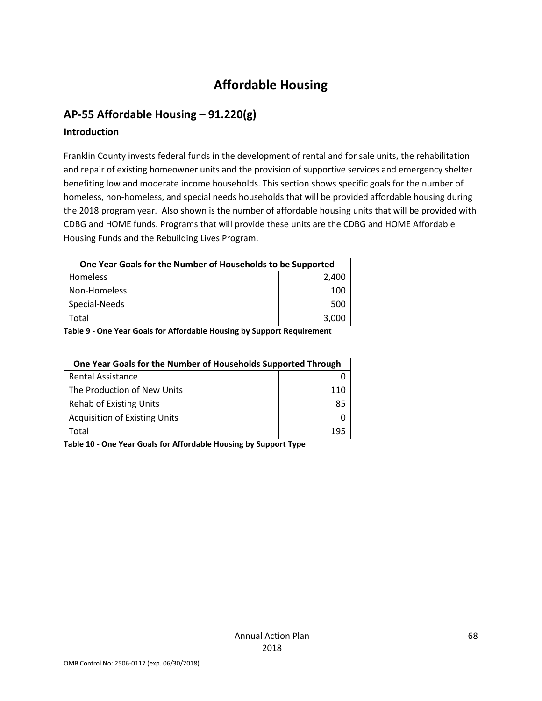# **Affordable Housing**

# **AP-55 Affordable Housing – 91.220(g)**

#### **Introduction**

Franklin County invests federal funds in the development of rental and for sale units, the rehabilitation and repair of existing homeowner units and the provision of supportive services and emergency shelter benefiting low and moderate income households. This section shows specific goals for the number of homeless, non-homeless, and special needs households that will be provided affordable housing during the 2018 program year. Also shown is the number of affordable housing units that will be provided with CDBG and HOME funds. Programs that will provide these units are the CDBG and HOME Affordable Housing Funds and the Rebuilding Lives Program.

| One Year Goals for the Number of Households to be Supported            |       |  |  |  |
|------------------------------------------------------------------------|-------|--|--|--|
| Homeless                                                               | 2,400 |  |  |  |
| Non-Homeless                                                           | 100   |  |  |  |
| Special-Needs                                                          | 500   |  |  |  |
| Total                                                                  | 3,000 |  |  |  |
| Table 9 - One Year Goals for Affordable Housing by Support Requirement |       |  |  |  |

| One Year Goals for the Number of Households Supported Through |     |  |
|---------------------------------------------------------------|-----|--|
| <b>Rental Assistance</b>                                      |     |  |
| The Production of New Units                                   | 110 |  |
| <b>Rehab of Existing Units</b>                                | 85  |  |
| <b>Acquisition of Existing Units</b>                          |     |  |
| Total                                                         | 195 |  |

**Table 10 - One Year Goals for Affordable Housing by Support Type**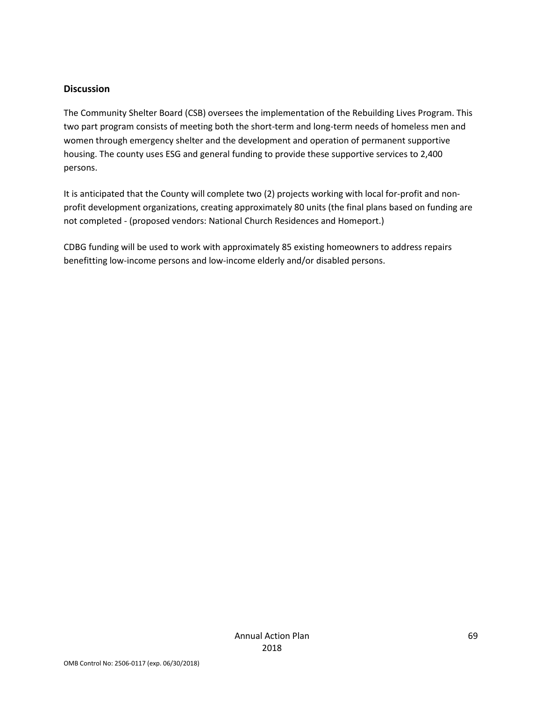#### **Discussion**

The Community Shelter Board (CSB) oversees the implementation of the Rebuilding Lives Program. This two part program consists of meeting both the short-term and long-term needs of homeless men and women through emergency shelter and the development and operation of permanent supportive housing. The county uses ESG and general funding to provide these supportive services to 2,400 persons.

It is anticipated that the County will complete two (2) projects working with local for-profit and nonprofit development organizations, creating approximately 80 units (the final plans based on funding are not completed - (proposed vendors: National Church Residences and Homeport.)

CDBG funding will be used to work with approximately 85 existing homeowners to address repairs benefitting low-income persons and low-income elderly and/or disabled persons.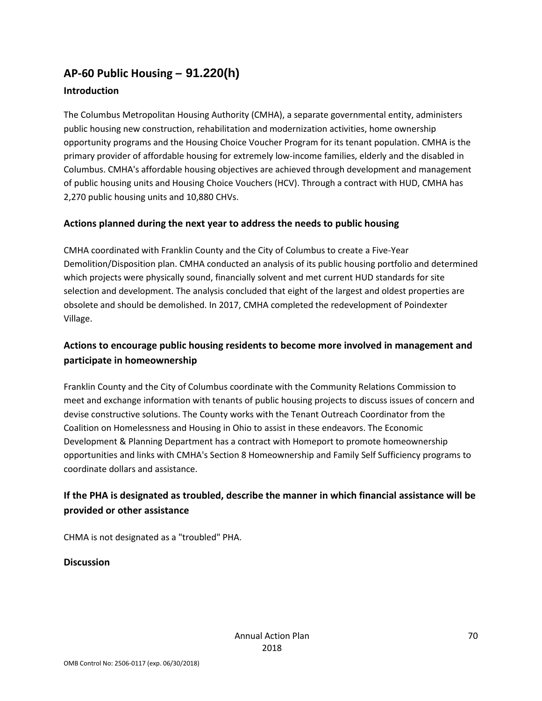# **AP-60 Public Housing** *–* **91.220(h)**

## **Introduction**

The Columbus Metropolitan Housing Authority (CMHA), a separate governmental entity, administers public housing new construction, rehabilitation and modernization activities, home ownership opportunity programs and the Housing Choice Voucher Program for its tenant population. CMHA is the primary provider of affordable housing for extremely low-income families, elderly and the disabled in Columbus. CMHA's affordable housing objectives are achieved through development and management of public housing units and Housing Choice Vouchers (HCV). Through a contract with HUD, CMHA has 2,270 public housing units and 10,880 CHVs.

### **Actions planned during the next year to address the needs to public housing**

CMHA coordinated with Franklin County and the City of Columbus to create a Five-Year Demolition/Disposition plan. CMHA conducted an analysis of its public housing portfolio and determined which projects were physically sound, financially solvent and met current HUD standards for site selection and development. The analysis concluded that eight of the largest and oldest properties are obsolete and should be demolished. In 2017, CMHA completed the redevelopment of Poindexter Village.

# **Actions to encourage public housing residents to become more involved in management and participate in homeownership**

Franklin County and the City of Columbus coordinate with the Community Relations Commission to meet and exchange information with tenants of public housing projects to discuss issues of concern and devise constructive solutions. The County works with the Tenant Outreach Coordinator from the Coalition on Homelessness and Housing in Ohio to assist in these endeavors. The Economic Development & Planning Department has a contract with Homeport to promote homeownership opportunities and links with CMHA's Section 8 Homeownership and Family Self Sufficiency programs to coordinate dollars and assistance.

# **If the PHA is designated as troubled, describe the manner in which financial assistance will be provided or other assistance**

CHMA is not designated as a "troubled" PHA.

### **Discussion**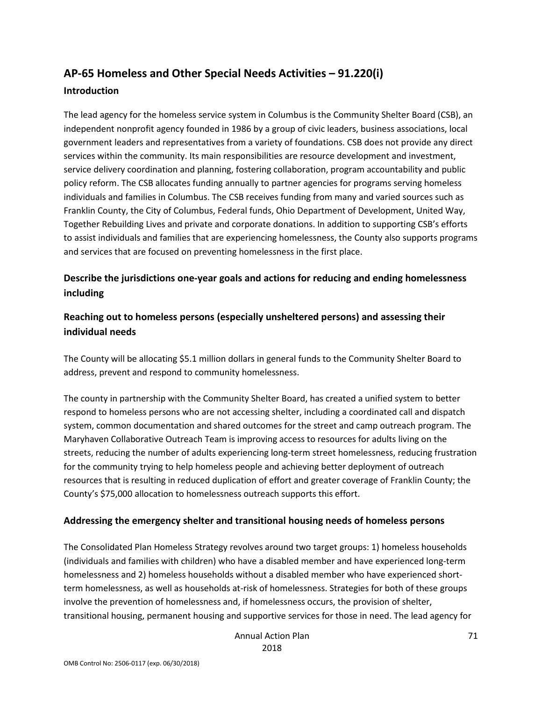# **AP-65 Homeless and Other Special Needs Activities – 91.220(i)**

#### **Introduction**

The lead agency for the homeless service system in Columbus is the Community Shelter Board (CSB), an independent nonprofit agency founded in 1986 by a group of civic leaders, business associations, local government leaders and representatives from a variety of foundations. CSB does not provide any direct services within the community. Its main responsibilities are resource development and investment, service delivery coordination and planning, fostering collaboration, program accountability and public policy reform. The CSB allocates funding annually to partner agencies for programs serving homeless individuals and families in Columbus. The CSB receives funding from many and varied sources such as Franklin County, the City of Columbus, Federal funds, Ohio Department of Development, United Way, Together Rebuilding Lives and private and corporate donations. In addition to supporting CSB's efforts to assist individuals and families that are experiencing homelessness, the County also supports programs and services that are focused on preventing homelessness in the first place.

# **Describe the jurisdictions one-year goals and actions for reducing and ending homelessness including**

# **Reaching out to homeless persons (especially unsheltered persons) and assessing their individual needs**

The County will be allocating \$5.1 million dollars in general funds to the Community Shelter Board to address, prevent and respond to community homelessness.

The county in partnership with the Community Shelter Board, has created a unified system to better respond to homeless persons who are not accessing shelter, including a coordinated call and dispatch system, common documentation and shared outcomes for the street and camp outreach program. The Maryhaven Collaborative Outreach Team is improving access to resources for adults living on the streets, reducing the number of adults experiencing long-term street homelessness, reducing frustration for the community trying to help homeless people and achieving better deployment of outreach resources that is resulting in reduced duplication of effort and greater coverage of Franklin County; the County's \$75,000 allocation to homelessness outreach supports this effort.

### **Addressing the emergency shelter and transitional housing needs of homeless persons**

The Consolidated Plan Homeless Strategy revolves around two target groups: 1) homeless households (individuals and families with children) who have a disabled member and have experienced long-term homelessness and 2) homeless households without a disabled member who have experienced shortterm homelessness, as well as households at-risk of homelessness. Strategies for both of these groups involve the prevention of homelessness and, if homelessness occurs, the provision of shelter, transitional housing, permanent housing and supportive services for those in need. The lead agency for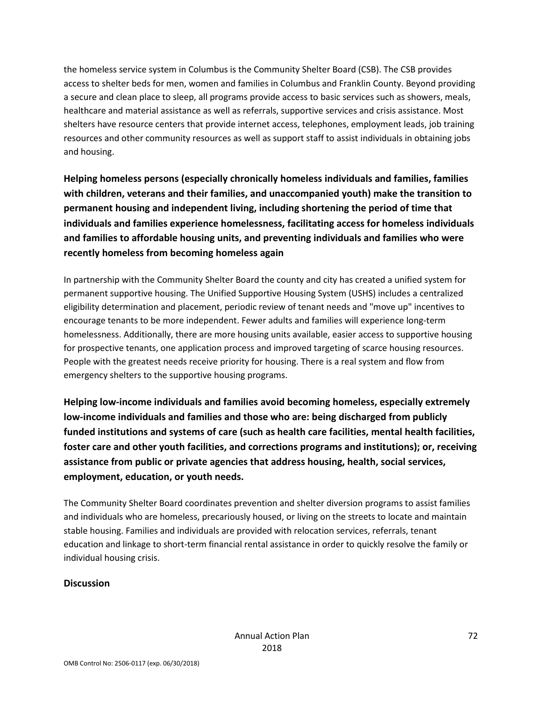the homeless service system in Columbus is the Community Shelter Board (CSB). The CSB provides access to shelter beds for men, women and families in Columbus and Franklin County. Beyond providing a secure and clean place to sleep, all programs provide access to basic services such as showers, meals, healthcare and material assistance as well as referrals, supportive services and crisis assistance. Most shelters have resource centers that provide internet access, telephones, employment leads, job training resources and other community resources as well as support staff to assist individuals in obtaining jobs and housing.

**Helping homeless persons (especially chronically homeless individuals and families, families with children, veterans and their families, and unaccompanied youth) make the transition to permanent housing and independent living, including shortening the period of time that individuals and families experience homelessness, facilitating access for homeless individuals and families to affordable housing units, and preventing individuals and families who were recently homeless from becoming homeless again**

In partnership with the Community Shelter Board the county and city has created a unified system for permanent supportive housing. The Unified Supportive Housing System (USHS) includes a centralized eligibility determination and placement, periodic review of tenant needs and "move up" incentives to encourage tenants to be more independent. Fewer adults and families will experience long-term homelessness. Additionally, there are more housing units available, easier access to supportive housing for prospective tenants, one application process and improved targeting of scarce housing resources. People with the greatest needs receive priority for housing. There is a real system and flow from emergency shelters to the supportive housing programs.

**Helping low-income individuals and families avoid becoming homeless, especially extremely low-income individuals and families and those who are: being discharged from publicly funded institutions and systems of care (such as health care facilities, mental health facilities, foster care and other youth facilities, and corrections programs and institutions); or, receiving assistance from public or private agencies that address housing, health, social services, employment, education, or youth needs.**

The Community Shelter Board coordinates prevention and shelter diversion programs to assist families and individuals who are homeless, precariously housed, or living on the streets to locate and maintain stable housing. Families and individuals are provided with relocation services, referrals, tenant education and linkage to short-term financial rental assistance in order to quickly resolve the family or individual housing crisis.

### **Discussion**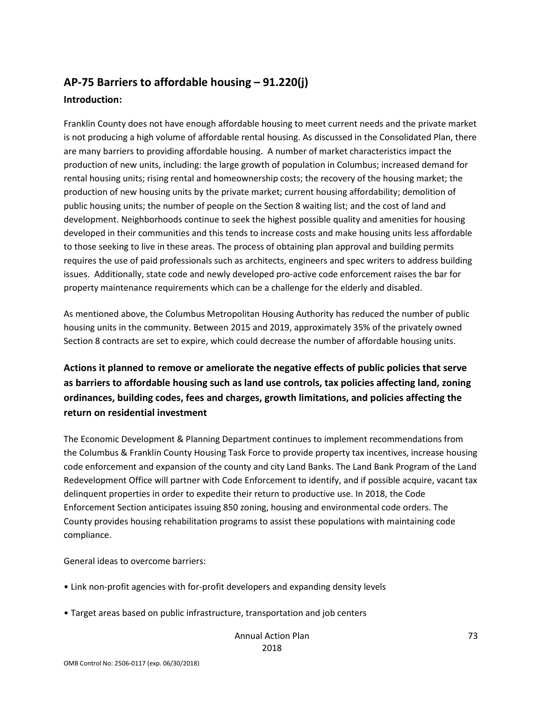# **AP-75 Barriers to affordable housing – 91.220(j) Introduction:**

Franklin County does not have enough affordable housing to meet current needs and the private market is not producing a high volume of affordable rental housing. As discussed in the Consolidated Plan, there are many barriers to providing affordable housing. A number of market characteristics impact the production of new units, including: the large growth of population in Columbus; increased demand for rental housing units; rising rental and homeownership costs; the recovery of the housing market; the production of new housing units by the private market; current housing affordability; demolition of public housing units; the number of people on the Section 8 waiting list; and the cost of land and development. Neighborhoods continue to seek the highest possible quality and amenities for housing developed in their communities and this tends to increase costs and make housing units less affordable to those seeking to live in these areas. The process of obtaining plan approval and building permits requires the use of paid professionals such as architects, engineers and spec writers to address building issues. Additionally, state code and newly developed pro-active code enforcement raises the bar for property maintenance requirements which can be a challenge for the elderly and disabled.

As mentioned above, the Columbus Metropolitan Housing Authority has reduced the number of public housing units in the community. Between 2015 and 2019, approximately 35% of the privately owned Section 8 contracts are set to expire, which could decrease the number of affordable housing units.

**Actions it planned to remove or ameliorate the negative effects of public policies that serve as barriers to affordable housing such as land use controls, tax policies affecting land, zoning ordinances, building codes, fees and charges, growth limitations, and policies affecting the return on residential investment**

The Economic Development & Planning Department continues to implement recommendations from the Columbus & Franklin County Housing Task Force to provide property tax incentives, increase housing code enforcement and expansion of the county and city Land Banks. The Land Bank Program of the Land Redevelopment Office will partner with Code Enforcement to identify, and if possible acquire, vacant tax delinquent properties in order to expedite their return to productive use. In 2018, the Code Enforcement Section anticipates issuing 850 zoning, housing and environmental code orders. The County provides housing rehabilitation programs to assist these populations with maintaining code compliance.

General ideas to overcome barriers:

- Link non-profit agencies with for-profit developers and expanding density levels
- Target areas based on public infrastructure, transportation and job centers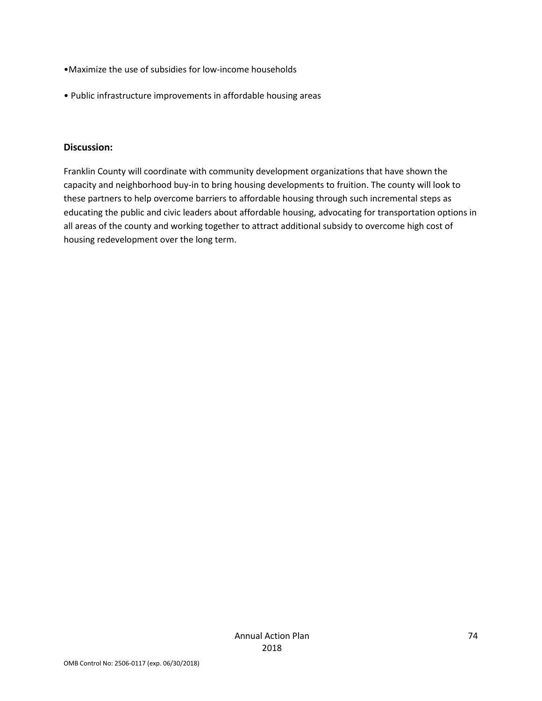- •Maximize the use of subsidies for low-income households
- Public infrastructure improvements in affordable housing areas

#### **Discussion:**

Franklin County will coordinate with community development organizations that have shown the capacity and neighborhood buy-in to bring housing developments to fruition. The county will look to these partners to help overcome barriers to affordable housing through such incremental steps as educating the public and civic leaders about affordable housing, advocating for transportation options in all areas of the county and working together to attract additional subsidy to overcome high cost of housing redevelopment over the long term.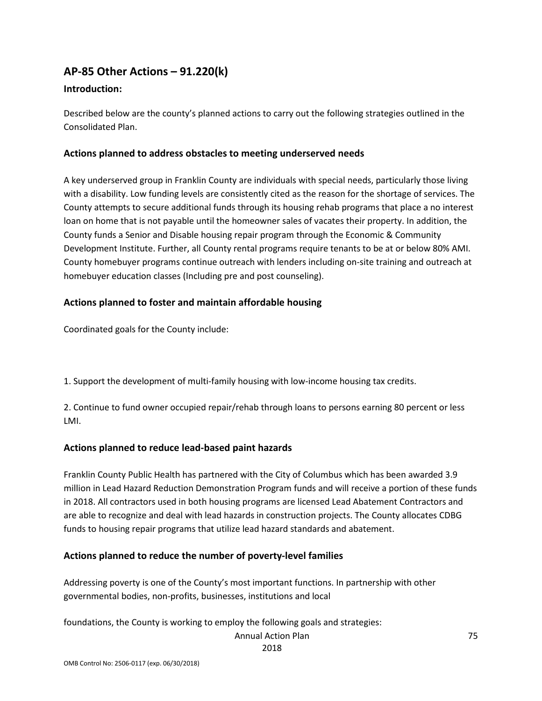## **AP-85 Other Actions – 91.220(k)**

### **Introduction:**

Described below are the county's planned actions to carry out the following strategies outlined in the Consolidated Plan.

### **Actions planned to address obstacles to meeting underserved needs**

A key underserved group in Franklin County are individuals with special needs, particularly those living with a disability. Low funding levels are consistently cited as the reason for the shortage of services. The County attempts to secure additional funds through its housing rehab programs that place a no interest loan on home that is not payable until the homeowner sales of vacates their property. In addition, the County funds a Senior and Disable housing repair program through the Economic & Community Development Institute. Further, all County rental programs require tenants to be at or below 80% AMI. County homebuyer programs continue outreach with lenders including on-site training and outreach at homebuyer education classes (Including pre and post counseling).

### **Actions planned to foster and maintain affordable housing**

Coordinated goals for the County include:

1. Support the development of multi-family housing with low-income housing tax credits.

2. Continue to fund owner occupied repair/rehab through loans to persons earning 80 percent or less LMI.

### **Actions planned to reduce lead-based paint hazards**

Franklin County Public Health has partnered with the City of Columbus which has been awarded 3.9 million in Lead Hazard Reduction Demonstration Program funds and will receive a portion of these funds in 2018. All contractors used in both housing programs are licensed Lead Abatement Contractors and are able to recognize and deal with lead hazards in construction projects. The County allocates CDBG funds to housing repair programs that utilize lead hazard standards and abatement.

#### **Actions planned to reduce the number of poverty-level families**

Addressing poverty is one of the County's most important functions. In partnership with other governmental bodies, non-profits, businesses, institutions and local

foundations, the County is working to employ the following goals and strategies:

Annual Action Plan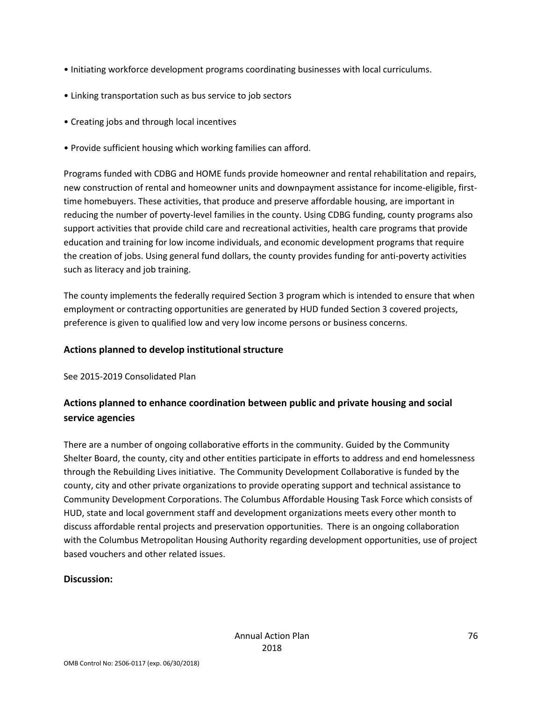- Initiating workforce development programs coordinating businesses with local curriculums.
- Linking transportation such as bus service to job sectors
- Creating jobs and through local incentives
- Provide sufficient housing which working families can afford.

Programs funded with CDBG and HOME funds provide homeowner and rental rehabilitation and repairs, new construction of rental and homeowner units and downpayment assistance for income-eligible, firsttime homebuyers. These activities, that produce and preserve affordable housing, are important in reducing the number of poverty-level families in the county. Using CDBG funding, county programs also support activities that provide child care and recreational activities, health care programs that provide education and training for low income individuals, and economic development programs that require the creation of jobs. Using general fund dollars, the county provides funding for anti-poverty activities such as literacy and job training.

The county implements the federally required Section 3 program which is intended to ensure that when employment or contracting opportunities are generated by HUD funded Section 3 covered projects, preference is given to qualified low and very low income persons or business concerns.

### **Actions planned to develop institutional structure**

See 2015-2019 Consolidated Plan

## **Actions planned to enhance coordination between public and private housing and social service agencies**

There are a number of ongoing collaborative efforts in the community. Guided by the Community Shelter Board, the county, city and other entities participate in efforts to address and end homelessness through the Rebuilding Lives initiative. The Community Development Collaborative is funded by the county, city and other private organizations to provide operating support and technical assistance to Community Development Corporations. The Columbus Affordable Housing Task Force which consists of HUD, state and local government staff and development organizations meets every other month to discuss affordable rental projects and preservation opportunities. There is an ongoing collaboration with the Columbus Metropolitan Housing Authority regarding development opportunities, use of project based vouchers and other related issues.

### **Discussion:**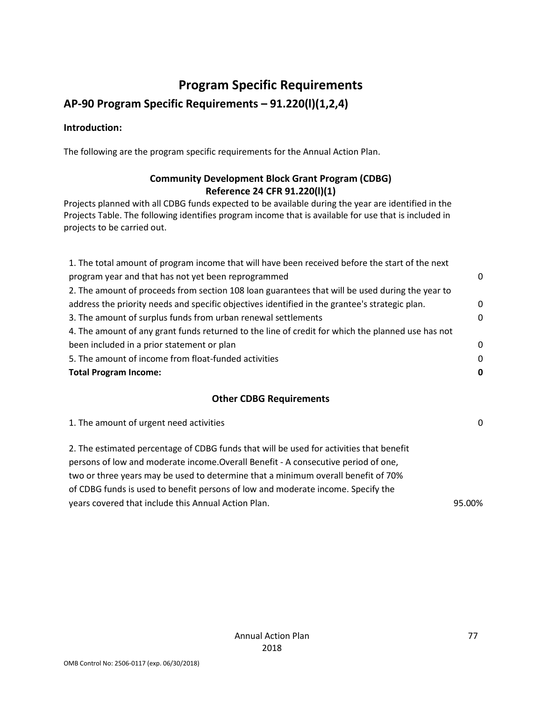## **Program Specific Requirements**

## **AP-90 Program Specific Requirements – 91.220(l)(1,2,4)**

### **Introduction:**

The following are the program specific requirements for the Annual Action Plan.

### **Community Development Block Grant Program (CDBG) Reference 24 CFR 91.220(l)(1)**

Projects planned with all CDBG funds expected to be available during the year are identified in the Projects Table. The following identifies program income that is available for use that is included in projects to be carried out.

| 1. The total amount of program income that will have been received before the start of the next   |          |
|---------------------------------------------------------------------------------------------------|----------|
| program year and that has not yet been reprogrammed                                               | 0        |
| 2. The amount of proceeds from section 108 loan guarantees that will be used during the year to   |          |
| address the priority needs and specific objectives identified in the grantee's strategic plan.    | $\Omega$ |
| 3. The amount of surplus funds from urban renewal settlements                                     | $\Omega$ |
| 4. The amount of any grant funds returned to the line of credit for which the planned use has not |          |
| been included in a prior statement or plan                                                        | 0        |
| 5. The amount of income from float-funded activities                                              | $\Omega$ |
| <b>Total Program Income:</b>                                                                      | 0        |

### **Other CDBG Requirements**

| 1. The amount of urgent need activities                                                 | 0      |
|-----------------------------------------------------------------------------------------|--------|
| 2. The estimated percentage of CDBG funds that will be used for activities that benefit |        |
| persons of low and moderate income. Overall Benefit - A consecutive period of one,      |        |
| two or three years may be used to determine that a minimum overall benefit of 70%       |        |
| of CDBG funds is used to benefit persons of low and moderate income. Specify the        |        |
| years covered that include this Annual Action Plan.                                     | 95.00% |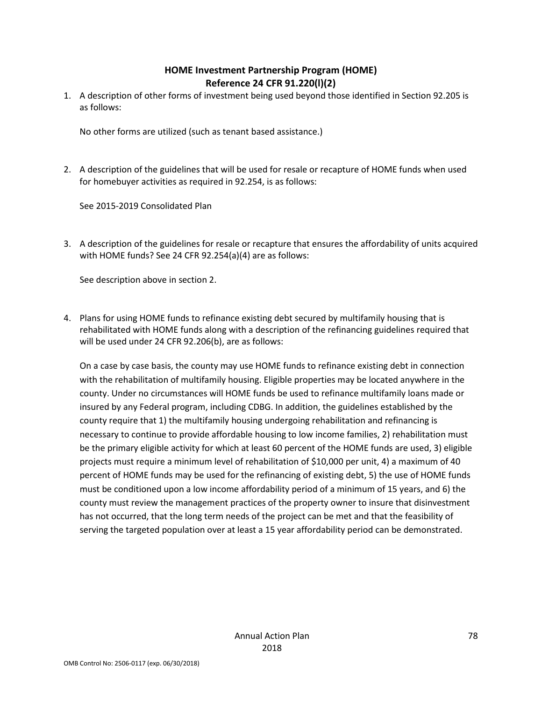### **HOME Investment Partnership Program (HOME) Reference 24 CFR 91.220(l)(2)**

1. A description of other forms of investment being used beyond those identified in Section 92.205 is as follows:

No other forms are utilized (such as tenant based assistance.)

2. A description of the guidelines that will be used for resale or recapture of HOME funds when used for homebuyer activities as required in 92.254, is as follows:

See 2015-2019 Consolidated Plan

3. A description of the guidelines for resale or recapture that ensures the affordability of units acquired with HOME funds? See 24 CFR 92.254(a)(4) are as follows:

See description above in section 2.

4. Plans for using HOME funds to refinance existing debt secured by multifamily housing that is rehabilitated with HOME funds along with a description of the refinancing guidelines required that will be used under 24 CFR 92.206(b), are as follows:

On a case by case basis, the county may use HOME funds to refinance existing debt in connection with the rehabilitation of multifamily housing. Eligible properties may be located anywhere in the county. Under no circumstances will HOME funds be used to refinance multifamily loans made or insured by any Federal program, including CDBG. In addition, the guidelines established by the county require that 1) the multifamily housing undergoing rehabilitation and refinancing is necessary to continue to provide affordable housing to low income families, 2) rehabilitation must be the primary eligible activity for which at least 60 percent of the HOME funds are used, 3) eligible projects must require a minimum level of rehabilitation of \$10,000 per unit, 4) a maximum of 40 percent of HOME funds may be used for the refinancing of existing debt, 5) the use of HOME funds must be conditioned upon a low income affordability period of a minimum of 15 years, and 6) the county must review the management practices of the property owner to insure that disinvestment has not occurred, that the long term needs of the project can be met and that the feasibility of serving the targeted population over at least a 15 year affordability period can be demonstrated.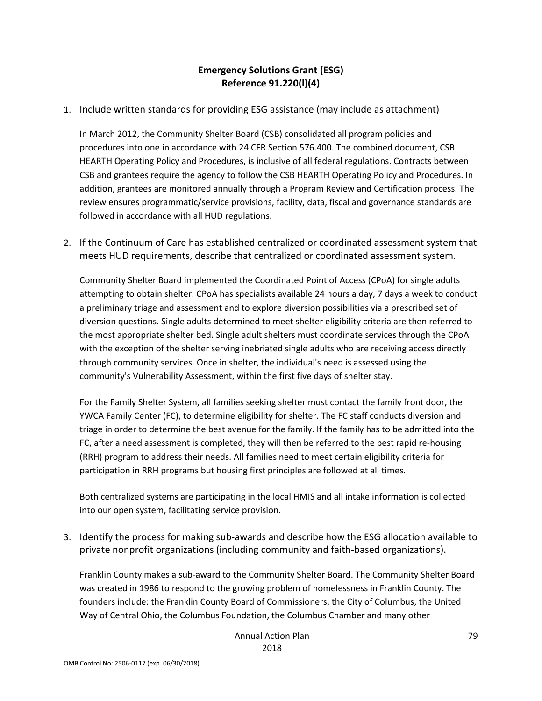### **Emergency Solutions Grant (ESG) Reference 91.220(l)(4)**

1. Include written standards for providing ESG assistance (may include as attachment)

In March 2012, the Community Shelter Board (CSB) consolidated all program policies and procedures into one in accordance with 24 CFR Section 576.400. The combined document, CSB HEARTH Operating Policy and Procedures, is inclusive of all federal regulations. Contracts between CSB and grantees require the agency to follow the CSB HEARTH Operating Policy and Procedures. In addition, grantees are monitored annually through a Program Review and Certification process. The review ensures programmatic/service provisions, facility, data, fiscal and governance standards are followed in accordance with all HUD regulations.

2. If the Continuum of Care has established centralized or coordinated assessment system that meets HUD requirements, describe that centralized or coordinated assessment system.

Community Shelter Board implemented the Coordinated Point of Access (CPoA) for single adults attempting to obtain shelter. CPoA has specialists available 24 hours a day, 7 days a week to conduct a preliminary triage and assessment and to explore diversion possibilities via a prescribed set of diversion questions. Single adults determined to meet shelter eligibility criteria are then referred to the most appropriate shelter bed. Single adult shelters must coordinate services through the CPoA with the exception of the shelter serving inebriated single adults who are receiving access directly through community services. Once in shelter, the individual's need is assessed using the community's Vulnerability Assessment, within the first five days of shelter stay.

For the Family Shelter System, all families seeking shelter must contact the family front door, the YWCA Family Center (FC), to determine eligibility for shelter. The FC staff conducts diversion and triage in order to determine the best avenue for the family. If the family has to be admitted into the FC, after a need assessment is completed, they will then be referred to the best rapid re-housing (RRH) program to address their needs. All families need to meet certain eligibility criteria for participation in RRH programs but housing first principles are followed at all times.

Both centralized systems are participating in the local HMIS and all intake information is collected into our open system, facilitating service provision.

3. Identify the process for making sub-awards and describe how the ESG allocation available to private nonprofit organizations (including community and faith-based organizations).

Franklin County makes a sub-award to the Community Shelter Board. The Community Shelter Board was created in 1986 to respond to the growing problem of homelessness in Franklin County. The founders include: the Franklin County Board of Commissioners, the City of Columbus, the United Way of Central Ohio, the Columbus Foundation, the Columbus Chamber and many other